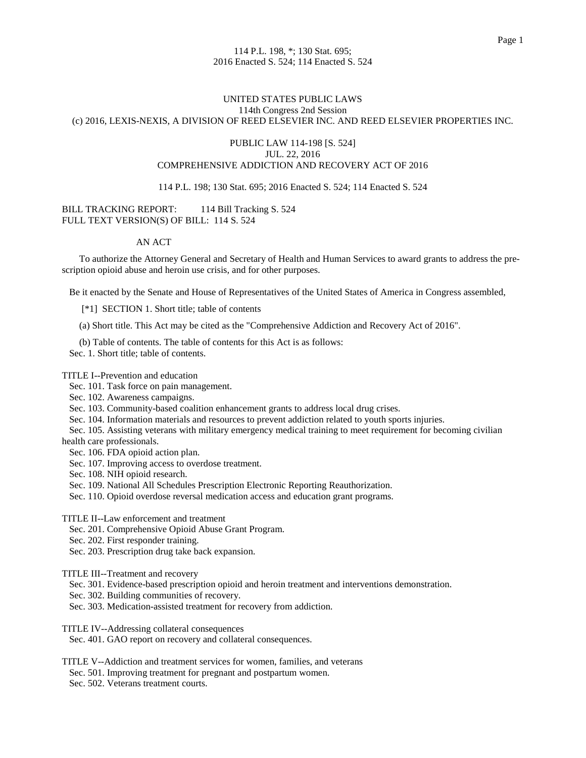# UNITED STATES PUBLIC LAWS 114th Congress 2nd Session (c) 2016, LEXIS-NEXIS, A DIVISION OF REED ELSEVIER INC. AND REED ELSEVIER PROPERTIES INC.

#### PUBLIC LAW 114-198 [S. 524] JUL. 22, 2016 COMPREHENSIVE ADDICTION AND RECOVERY ACT OF 2016

#### 114 P.L. 198; 130 Stat. 695; 2016 Enacted S. 524; 114 Enacted S. 524

#### BILL TRACKING REPORT: 114 Bill Tracking S. 524 FULL TEXT VERSION(S) OF BILL: 114 S. 524

## AN ACT

To authorize the Attorney General and Secretary of Health and Human Services to award grants to address the prescription opioid abuse and heroin use crisis, and for other purposes.

Be it enacted by the Senate and House of Representatives of the United States of America in Congress assembled,

[\*1] SECTION 1. Short title; table of contents

(a) Short title. This Act may be cited as the "Comprehensive Addiction and Recovery Act of 2016".

(b) Table of contents. The table of contents for this Act is as follows:

Sec. 1. Short title; table of contents.

# TITLE I--Prevention and education

- Sec. 101. Task force on pain management.
- Sec. 102. Awareness campaigns.
- Sec. 103. Community-based coalition enhancement grants to address local drug crises.
- Sec. 104. Information materials and resources to prevent addiction related to youth sports injuries.
- Sec. 105. Assisting veterans with military emergency medical training to meet requirement for becoming civilian
- health care professionals.
	- Sec. 106. FDA opioid action plan.
- Sec. 107. Improving access to overdose treatment.
- Sec. 108. NIH opioid research.
- Sec. 109. National All Schedules Prescription Electronic Reporting Reauthorization.
- Sec. 110. Opioid overdose reversal medication access and education grant programs.
- TITLE II--Law enforcement and treatment
	- Sec. 201. Comprehensive Opioid Abuse Grant Program.
	- Sec. 202. First responder training.
	- Sec. 203. Prescription drug take back expansion.
- TITLE III--Treatment and recovery
	- Sec. 301. Evidence-based prescription opioid and heroin treatment and interventions demonstration.
	- Sec. 302. Building communities of recovery.
	- Sec. 303. Medication-assisted treatment for recovery from addiction.

TITLE IV--Addressing collateral consequences

Sec. 401. GAO report on recovery and collateral consequences.

- TITLE V--Addiction and treatment services for women, families, and veterans
- Sec. 501. Improving treatment for pregnant and postpartum women.
- Sec. 502. Veterans treatment courts.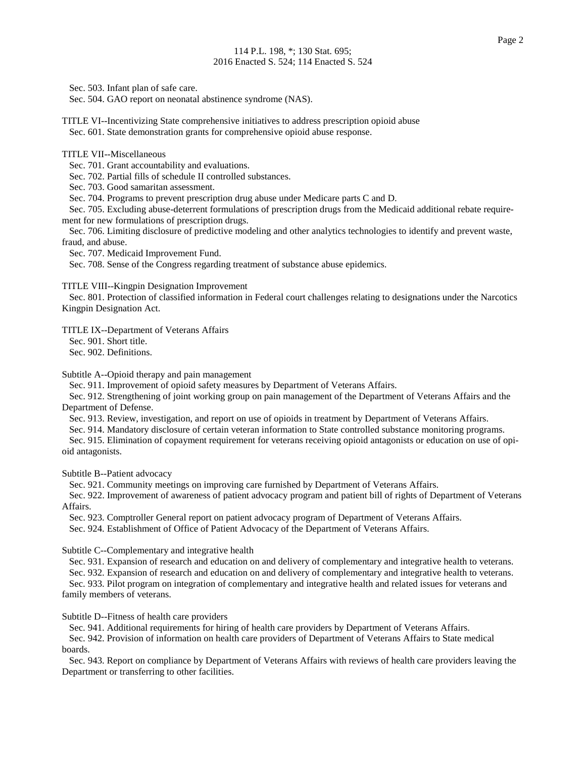Sec. 503. Infant plan of safe care.

Sec. 504. GAO report on neonatal abstinence syndrome (NAS).

TITLE VI--Incentivizing State comprehensive initiatives to address prescription opioid abuse

Sec. 601. State demonstration grants for comprehensive opioid abuse response.

TITLE VII--Miscellaneous

Sec. 701. Grant accountability and evaluations.

Sec. 702. Partial fills of schedule II controlled substances.

Sec. 703. Good samaritan assessment.

Sec. 704. Programs to prevent prescription drug abuse under Medicare parts C and D.

 Sec. 705. Excluding abuse-deterrent formulations of prescription drugs from the Medicaid additional rebate requirement for new formulations of prescription drugs.

 Sec. 706. Limiting disclosure of predictive modeling and other analytics technologies to identify and prevent waste, fraud, and abuse.

Sec. 707. Medicaid Improvement Fund.

Sec. 708. Sense of the Congress regarding treatment of substance abuse epidemics.

TITLE VIII--Kingpin Designation Improvement

 Sec. 801. Protection of classified information in Federal court challenges relating to designations under the Narcotics Kingpin Designation Act.

TITLE IX--Department of Veterans Affairs

Sec. 901. Short title.

Sec. 902. Definitions.

Subtitle A--Opioid therapy and pain management

Sec. 911. Improvement of opioid safety measures by Department of Veterans Affairs.

 Sec. 912. Strengthening of joint working group on pain management of the Department of Veterans Affairs and the Department of Defense.

Sec. 913. Review, investigation, and report on use of opioids in treatment by Department of Veterans Affairs.

Sec. 914. Mandatory disclosure of certain veteran information to State controlled substance monitoring programs.

 Sec. 915. Elimination of copayment requirement for veterans receiving opioid antagonists or education on use of opioid antagonists.

Subtitle B--Patient advocacy

Sec. 921. Community meetings on improving care furnished by Department of Veterans Affairs.

 Sec. 922. Improvement of awareness of patient advocacy program and patient bill of rights of Department of Veterans Affairs.

Sec. 923. Comptroller General report on patient advocacy program of Department of Veterans Affairs.

Sec. 924. Establishment of Office of Patient Advocacy of the Department of Veterans Affairs.

Subtitle C--Complementary and integrative health

Sec. 931. Expansion of research and education on and delivery of complementary and integrative health to veterans.

Sec. 932. Expansion of research and education on and delivery of complementary and integrative health to veterans.

 Sec. 933. Pilot program on integration of complementary and integrative health and related issues for veterans and family members of veterans.

Subtitle D--Fitness of health care providers

Sec. 941. Additional requirements for hiring of health care providers by Department of Veterans Affairs.

 Sec. 942. Provision of information on health care providers of Department of Veterans Affairs to State medical boards.

 Sec. 943. Report on compliance by Department of Veterans Affairs with reviews of health care providers leaving the Department or transferring to other facilities.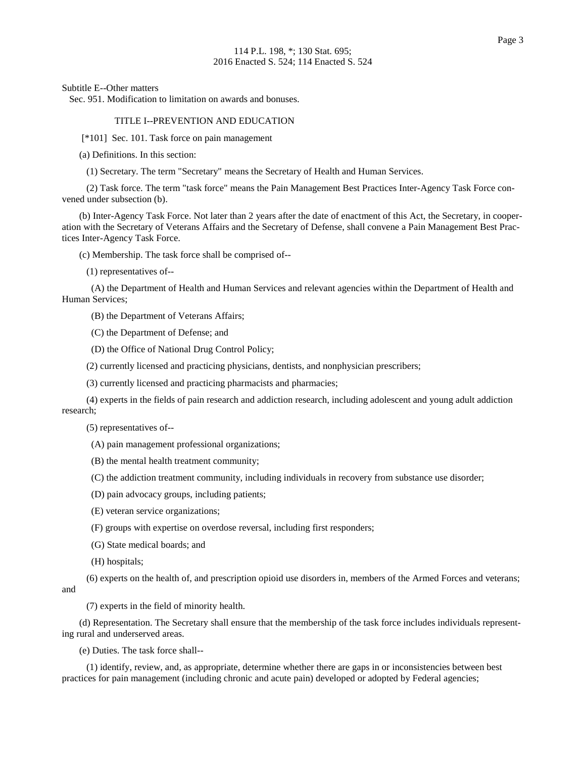Subtitle E--Other matters

Sec. 951. Modification to limitation on awards and bonuses.

#### TITLE I--PREVENTION AND EDUCATION

[\*101] Sec. 101. Task force on pain management

(a) Definitions. In this section:

(1) Secretary. The term "Secretary" means the Secretary of Health and Human Services.

 (2) Task force. The term "task force" means the Pain Management Best Practices Inter-Agency Task Force convened under subsection (b).

(b) Inter-Agency Task Force. Not later than 2 years after the date of enactment of this Act, the Secretary, in cooperation with the Secretary of Veterans Affairs and the Secretary of Defense, shall convene a Pain Management Best Practices Inter-Agency Task Force.

(c) Membership. The task force shall be comprised of--

(1) representatives of--

 (A) the Department of Health and Human Services and relevant agencies within the Department of Health and Human Services;

(B) the Department of Veterans Affairs;

(C) the Department of Defense; and

(D) the Office of National Drug Control Policy;

(2) currently licensed and practicing physicians, dentists, and nonphysician prescribers;

(3) currently licensed and practicing pharmacists and pharmacies;

 (4) experts in the fields of pain research and addiction research, including adolescent and young adult addiction research;

(5) representatives of--

(A) pain management professional organizations;

(B) the mental health treatment community;

(C) the addiction treatment community, including individuals in recovery from substance use disorder;

- (D) pain advocacy groups, including patients;
- (E) veteran service organizations;
- (F) groups with expertise on overdose reversal, including first responders;
- (G) State medical boards; and
- (H) hospitals;

 (6) experts on the health of, and prescription opioid use disorders in, members of the Armed Forces and veterans; and

(7) experts in the field of minority health.

(d) Representation. The Secretary shall ensure that the membership of the task force includes individuals representing rural and underserved areas.

(e) Duties. The task force shall--

 (1) identify, review, and, as appropriate, determine whether there are gaps in or inconsistencies between best practices for pain management (including chronic and acute pain) developed or adopted by Federal agencies;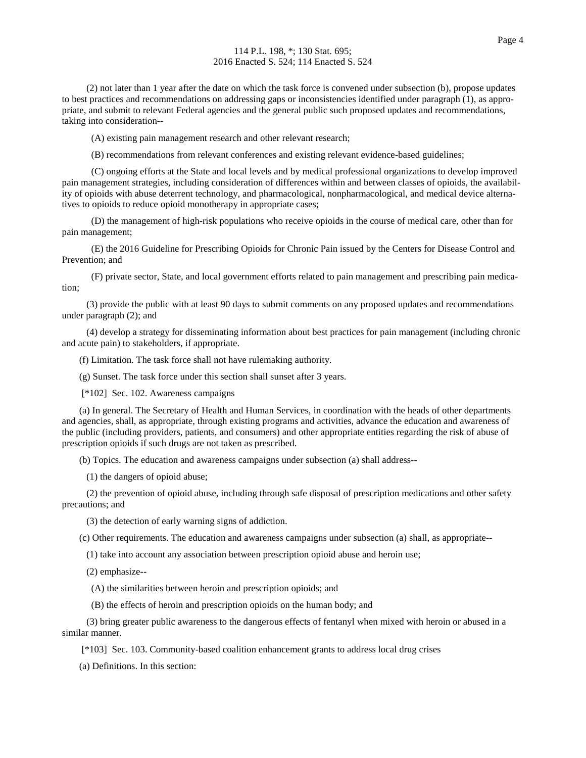(2) not later than 1 year after the date on which the task force is convened under subsection (b), propose updates to best practices and recommendations on addressing gaps or inconsistencies identified under paragraph (1), as appropriate, and submit to relevant Federal agencies and the general public such proposed updates and recommendations, taking into consideration--

(A) existing pain management research and other relevant research;

(B) recommendations from relevant conferences and existing relevant evidence-based guidelines;

 (C) ongoing efforts at the State and local levels and by medical professional organizations to develop improved pain management strategies, including consideration of differences within and between classes of opioids, the availability of opioids with abuse deterrent technology, and pharmacological, nonpharmacological, and medical device alternatives to opioids to reduce opioid monotherapy in appropriate cases;

 (D) the management of high-risk populations who receive opioids in the course of medical care, other than for pain management;

 (E) the 2016 Guideline for Prescribing Opioids for Chronic Pain issued by the Centers for Disease Control and Prevention; and

 (F) private sector, State, and local government efforts related to pain management and prescribing pain medication;

 (3) provide the public with at least 90 days to submit comments on any proposed updates and recommendations under paragraph (2); and

 (4) develop a strategy for disseminating information about best practices for pain management (including chronic and acute pain) to stakeholders, if appropriate.

(f) Limitation. The task force shall not have rulemaking authority.

(g) Sunset. The task force under this section shall sunset after 3 years.

[\*102] Sec. 102. Awareness campaigns

(a) In general. The Secretary of Health and Human Services, in coordination with the heads of other departments and agencies, shall, as appropriate, through existing programs and activities, advance the education and awareness of the public (including providers, patients, and consumers) and other appropriate entities regarding the risk of abuse of prescription opioids if such drugs are not taken as prescribed.

(b) Topics. The education and awareness campaigns under subsection (a) shall address--

(1) the dangers of opioid abuse;

 (2) the prevention of opioid abuse, including through safe disposal of prescription medications and other safety precautions; and

(3) the detection of early warning signs of addiction.

(c) Other requirements. The education and awareness campaigns under subsection (a) shall, as appropriate--

(1) take into account any association between prescription opioid abuse and heroin use;

(2) emphasize--

(A) the similarities between heroin and prescription opioids; and

(B) the effects of heroin and prescription opioids on the human body; and

 (3) bring greater public awareness to the dangerous effects of fentanyl when mixed with heroin or abused in a similar manner.

[\*103] Sec. 103. Community-based coalition enhancement grants to address local drug crises

(a) Definitions. In this section: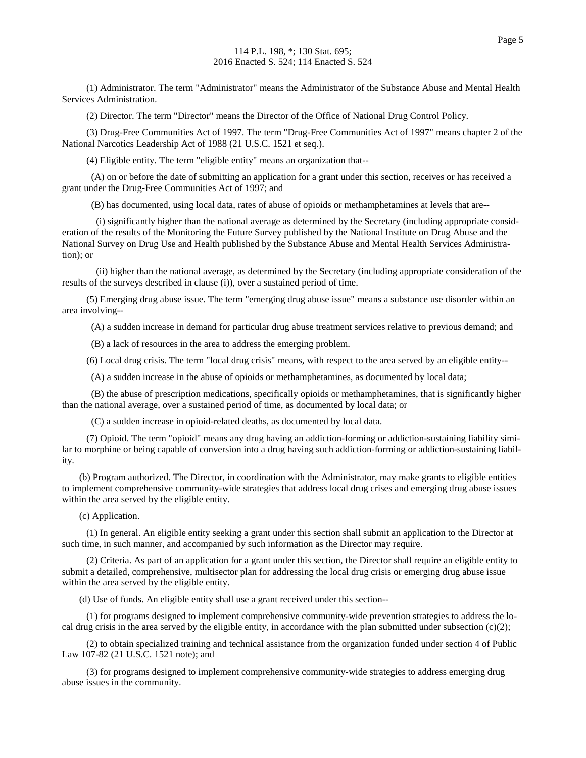(1) Administrator. The term "Administrator" means the Administrator of the Substance Abuse and Mental Health Services Administration.

(2) Director. The term "Director" means the Director of the Office of National Drug Control Policy.

 (3) Drug-Free Communities Act of 1997. The term "Drug-Free Communities Act of 1997" means chapter 2 of the National Narcotics Leadership Act of 1988 (21 U.S.C. 1521 et seq.).

(4) Eligible entity. The term "eligible entity" means an organization that--

 (A) on or before the date of submitting an application for a grant under this section, receives or has received a grant under the Drug-Free Communities Act of 1997; and

(B) has documented, using local data, rates of abuse of opioids or methamphetamines at levels that are--

 (i) significantly higher than the national average as determined by the Secretary (including appropriate consideration of the results of the Monitoring the Future Survey published by the National Institute on Drug Abuse and the National Survey on Drug Use and Health published by the Substance Abuse and Mental Health Services Administration); or

 (ii) higher than the national average, as determined by the Secretary (including appropriate consideration of the results of the surveys described in clause (i)), over a sustained period of time.

 (5) Emerging drug abuse issue. The term "emerging drug abuse issue" means a substance use disorder within an area involving--

(A) a sudden increase in demand for particular drug abuse treatment services relative to previous demand; and

(B) a lack of resources in the area to address the emerging problem.

(6) Local drug crisis. The term "local drug crisis" means, with respect to the area served by an eligible entity--

(A) a sudden increase in the abuse of opioids or methamphetamines, as documented by local data;

 (B) the abuse of prescription medications, specifically opioids or methamphetamines, that is significantly higher than the national average, over a sustained period of time, as documented by local data; or

(C) a sudden increase in opioid-related deaths, as documented by local data.

 (7) Opioid. The term "opioid" means any drug having an addiction-forming or addiction-sustaining liability similar to morphine or being capable of conversion into a drug having such addiction-forming or addiction-sustaining liability.

(b) Program authorized. The Director, in coordination with the Administrator, may make grants to eligible entities to implement comprehensive community-wide strategies that address local drug crises and emerging drug abuse issues within the area served by the eligible entity.

(c) Application.

 (1) In general. An eligible entity seeking a grant under this section shall submit an application to the Director at such time, in such manner, and accompanied by such information as the Director may require.

 (2) Criteria. As part of an application for a grant under this section, the Director shall require an eligible entity to submit a detailed, comprehensive, multisector plan for addressing the local drug crisis or emerging drug abuse issue within the area served by the eligible entity.

(d) Use of funds. An eligible entity shall use a grant received under this section--

 (1) for programs designed to implement comprehensive community-wide prevention strategies to address the local drug crisis in the area served by the eligible entity, in accordance with the plan submitted under subsection  $(c)(2)$ ;

 (2) to obtain specialized training and technical assistance from the organization funded under section 4 of Public Law 107-82 (21 U.S.C. 1521 note); and

 (3) for programs designed to implement comprehensive community-wide strategies to address emerging drug abuse issues in the community.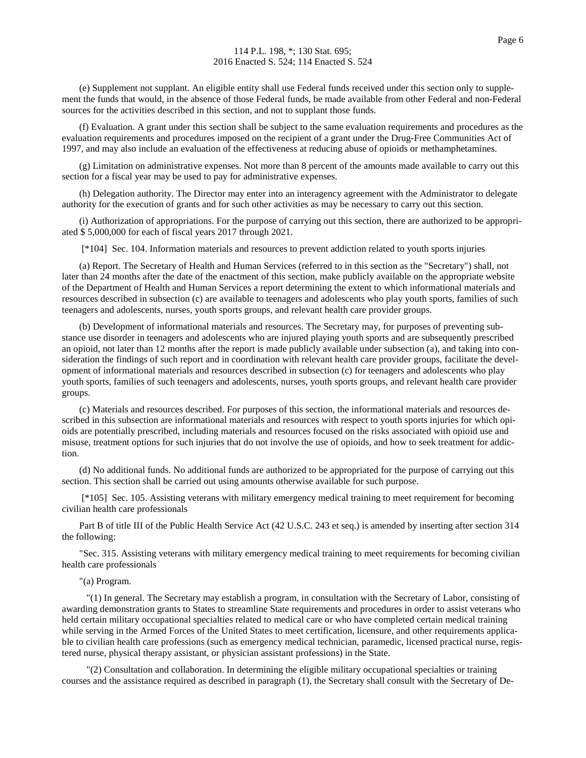(e) Supplement not supplant. An eligible entity shall use Federal funds received under this section only to supplement the funds that would, in the absence of those Federal funds, be made available from other Federal and non-Federal sources for the activities described in this section, and not to supplant those funds.

(f) Evaluation. A grant under this section shall be subject to the same evaluation requirements and procedures as the evaluation requirements and procedures imposed on the recipient of a grant under the Drug-Free Communities Act of 1997, and may also include an evaluation of the effectiveness at reducing abuse of opioids or methamphetamines.

(g) Limitation on administrative expenses. Not more than 8 percent of the amounts made available to carry out this section for a fiscal year may be used to pay for administrative expenses.

(h) Delegation authority. The Director may enter into an interagency agreement with the Administrator to delegate authority for the execution of grants and for such other activities as may be necessary to carry out this section.

(i) Authorization of appropriations. For the purpose of carrying out this section, there are authorized to be appropriated \$ 5,000,000 for each of fiscal years 2017 through 2021.

[\*104] Sec. 104. Information materials and resources to prevent addiction related to youth sports injuries

(a) Report. The Secretary of Health and Human Services (referred to in this section as the "Secretary") shall, not later than 24 months after the date of the enactment of this section, make publicly available on the appropriate website of the Department of Health and Human Services a report determining the extent to which informational materials and resources described in subsection (c) are available to teenagers and adolescents who play youth sports, families of such teenagers and adolescents, nurses, youth sports groups, and relevant health care provider groups.

(b) Development of informational materials and resources. The Secretary may, for purposes of preventing substance use disorder in teenagers and adolescents who are injured playing youth sports and are subsequently prescribed an opioid, not later than 12 months after the report is made publicly available under subsection (a), and taking into consideration the findings of such report and in coordination with relevant health care provider groups, facilitate the development of informational materials and resources described in subsection (c) for teenagers and adolescents who play youth sports, families of such teenagers and adolescents, nurses, youth sports groups, and relevant health care provider groups.

(c) Materials and resources described. For purposes of this section, the informational materials and resources described in this subsection are informational materials and resources with respect to youth sports injuries for which opioids are potentially prescribed, including materials and resources focused on the risks associated with opioid use and misuse, treatment options for such injuries that do not involve the use of opioids, and how to seek treatment for addiction.

(d) No additional funds. No additional funds are authorized to be appropriated for the purpose of carrying out this section. This section shall be carried out using amounts otherwise available for such purpose.

[\*105] Sec. 105. Assisting veterans with military emergency medical training to meet requirement for becoming civilian health care professionals

Part B of title III of the Public Health Service Act (42 U.S.C. 243 et seq.) is amended by inserting after section 314 the following:

"Sec. 315. Assisting veterans with military emergency medical training to meet requirements for becoming civilian health care professionals

#### "(a) Program.

 "(1) In general. The Secretary may establish a program, in consultation with the Secretary of Labor, consisting of awarding demonstration grants to States to streamline State requirements and procedures in order to assist veterans who held certain military occupational specialties related to medical care or who have completed certain medical training while serving in the Armed Forces of the United States to meet certification, licensure, and other requirements applicable to civilian health care professions (such as emergency medical technician, paramedic, licensed practical nurse, registered nurse, physical therapy assistant, or physician assistant professions) in the State.

 "(2) Consultation and collaboration. In determining the eligible military occupational specialties or training courses and the assistance required as described in paragraph (1), the Secretary shall consult with the Secretary of De-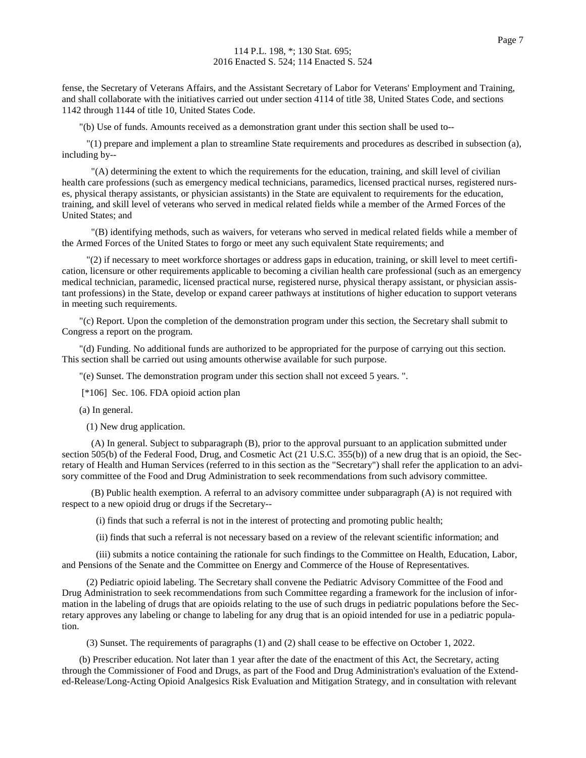fense, the Secretary of Veterans Affairs, and the Assistant Secretary of Labor for Veterans' Employment and Training, and shall collaborate with the initiatives carried out under section 4114 of title 38, United States Code, and sections 1142 through 1144 of title 10, United States Code.

"(b) Use of funds. Amounts received as a demonstration grant under this section shall be used to--

 "(1) prepare and implement a plan to streamline State requirements and procedures as described in subsection (a), including by--

 "(A) determining the extent to which the requirements for the education, training, and skill level of civilian health care professions (such as emergency medical technicians, paramedics, licensed practical nurses, registered nurses, physical therapy assistants, or physician assistants) in the State are equivalent to requirements for the education, training, and skill level of veterans who served in medical related fields while a member of the Armed Forces of the United States; and

 "(B) identifying methods, such as waivers, for veterans who served in medical related fields while a member of the Armed Forces of the United States to forgo or meet any such equivalent State requirements; and

 "(2) if necessary to meet workforce shortages or address gaps in education, training, or skill level to meet certification, licensure or other requirements applicable to becoming a civilian health care professional (such as an emergency medical technician, paramedic, licensed practical nurse, registered nurse, physical therapy assistant, or physician assistant professions) in the State, develop or expand career pathways at institutions of higher education to support veterans in meeting such requirements.

"(c) Report. Upon the completion of the demonstration program under this section, the Secretary shall submit to Congress a report on the program.

"(d) Funding. No additional funds are authorized to be appropriated for the purpose of carrying out this section. This section shall be carried out using amounts otherwise available for such purpose.

"(e) Sunset. The demonstration program under this section shall not exceed 5 years. ".

[\*106] Sec. 106. FDA opioid action plan

(a) In general.

(1) New drug application.

 (A) In general. Subject to subparagraph (B), prior to the approval pursuant to an application submitted under section 505(b) of the Federal Food, Drug, and Cosmetic Act (21 U.S.C. 355(b)) of a new drug that is an opioid, the Secretary of Health and Human Services (referred to in this section as the "Secretary") shall refer the application to an advisory committee of the Food and Drug Administration to seek recommendations from such advisory committee.

 (B) Public health exemption. A referral to an advisory committee under subparagraph (A) is not required with respect to a new opioid drug or drugs if the Secretary--

(i) finds that such a referral is not in the interest of protecting and promoting public health;

(ii) finds that such a referral is not necessary based on a review of the relevant scientific information; and

 (iii) submits a notice containing the rationale for such findings to the Committee on Health, Education, Labor, and Pensions of the Senate and the Committee on Energy and Commerce of the House of Representatives.

 (2) Pediatric opioid labeling. The Secretary shall convene the Pediatric Advisory Committee of the Food and Drug Administration to seek recommendations from such Committee regarding a framework for the inclusion of information in the labeling of drugs that are opioids relating to the use of such drugs in pediatric populations before the Secretary approves any labeling or change to labeling for any drug that is an opioid intended for use in a pediatric population.

(3) Sunset. The requirements of paragraphs (1) and (2) shall cease to be effective on October 1, 2022.

(b) Prescriber education. Not later than 1 year after the date of the enactment of this Act, the Secretary, acting through the Commissioner of Food and Drugs, as part of the Food and Drug Administration's evaluation of the Extended-Release/Long-Acting Opioid Analgesics Risk Evaluation and Mitigation Strategy, and in consultation with relevant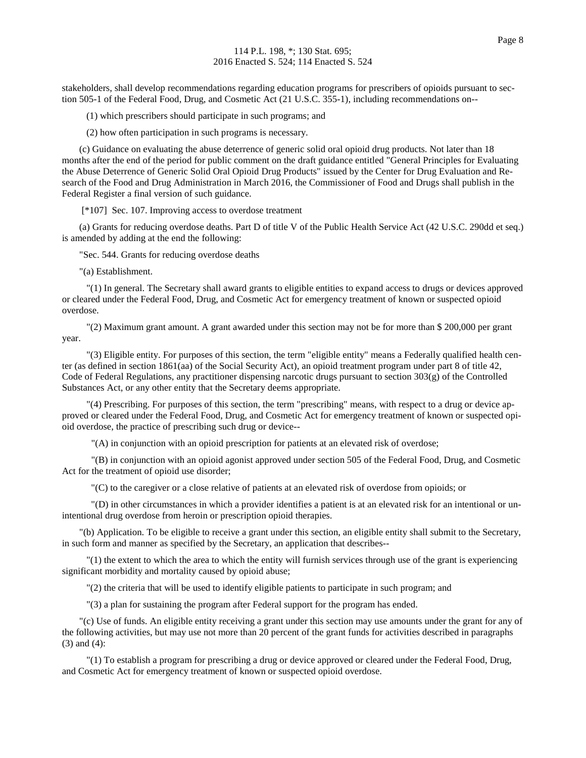stakeholders, shall develop recommendations regarding education programs for prescribers of opioids pursuant to section 505-1 of the Federal Food, Drug, and Cosmetic Act (21 U.S.C. 355-1), including recommendations on--

(1) which prescribers should participate in such programs; and

(2) how often participation in such programs is necessary.

(c) Guidance on evaluating the abuse deterrence of generic solid oral opioid drug products. Not later than 18 months after the end of the period for public comment on the draft guidance entitled "General Principles for Evaluating the Abuse Deterrence of Generic Solid Oral Opioid Drug Products" issued by the Center for Drug Evaluation and Research of the Food and Drug Administration in March 2016, the Commissioner of Food and Drugs shall publish in the Federal Register a final version of such guidance.

[\*107] Sec. 107. Improving access to overdose treatment

(a) Grants for reducing overdose deaths. Part D of title V of the Public Health Service Act (42 U.S.C. 290dd et seq.) is amended by adding at the end the following:

"Sec. 544. Grants for reducing overdose deaths

"(a) Establishment.

 "(1) In general. The Secretary shall award grants to eligible entities to expand access to drugs or devices approved or cleared under the Federal Food, Drug, and Cosmetic Act for emergency treatment of known or suspected opioid overdose.

 "(2) Maximum grant amount. A grant awarded under this section may not be for more than \$ 200,000 per grant year.

 "(3) Eligible entity. For purposes of this section, the term "eligible entity" means a Federally qualified health center (as defined in section 1861(aa) of the Social Security Act), an opioid treatment program under part 8 of title 42, Code of Federal Regulations, any practitioner dispensing narcotic drugs pursuant to section 303(g) of the Controlled Substances Act, or any other entity that the Secretary deems appropriate.

 "(4) Prescribing. For purposes of this section, the term "prescribing" means, with respect to a drug or device approved or cleared under the Federal Food, Drug, and Cosmetic Act for emergency treatment of known or suspected opioid overdose, the practice of prescribing such drug or device--

"(A) in conjunction with an opioid prescription for patients at an elevated risk of overdose;

 "(B) in conjunction with an opioid agonist approved under section 505 of the Federal Food, Drug, and Cosmetic Act for the treatment of opioid use disorder;

"(C) to the caregiver or a close relative of patients at an elevated risk of overdose from opioids; or

 "(D) in other circumstances in which a provider identifies a patient is at an elevated risk for an intentional or unintentional drug overdose from heroin or prescription opioid therapies.

"(b) Application. To be eligible to receive a grant under this section, an eligible entity shall submit to the Secretary, in such form and manner as specified by the Secretary, an application that describes--

 "(1) the extent to which the area to which the entity will furnish services through use of the grant is experiencing significant morbidity and mortality caused by opioid abuse;

"(2) the criteria that will be used to identify eligible patients to participate in such program; and

"(3) a plan for sustaining the program after Federal support for the program has ended.

"(c) Use of funds. An eligible entity receiving a grant under this section may use amounts under the grant for any of the following activities, but may use not more than 20 percent of the grant funds for activities described in paragraphs (3) and (4):

 "(1) To establish a program for prescribing a drug or device approved or cleared under the Federal Food, Drug, and Cosmetic Act for emergency treatment of known or suspected opioid overdose.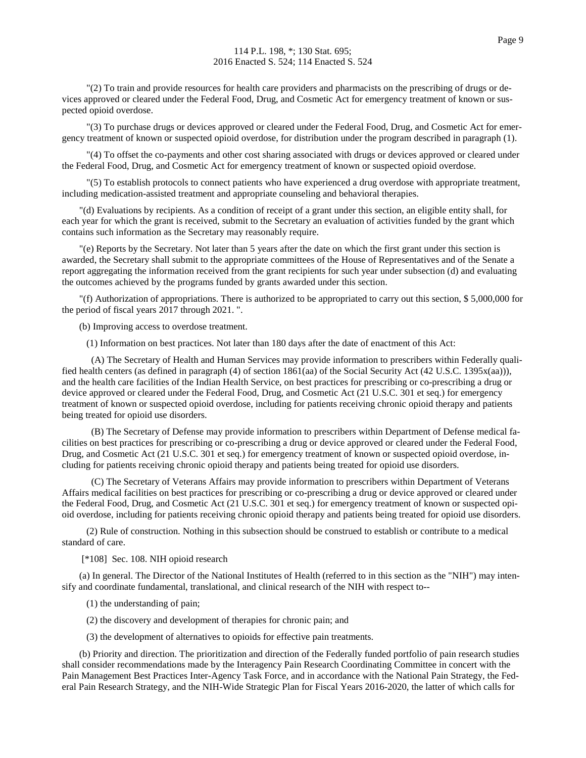"(2) To train and provide resources for health care providers and pharmacists on the prescribing of drugs or devices approved or cleared under the Federal Food, Drug, and Cosmetic Act for emergency treatment of known or suspected opioid overdose.

 "(3) To purchase drugs or devices approved or cleared under the Federal Food, Drug, and Cosmetic Act for emergency treatment of known or suspected opioid overdose, for distribution under the program described in paragraph (1).

 "(4) To offset the co-payments and other cost sharing associated with drugs or devices approved or cleared under the Federal Food, Drug, and Cosmetic Act for emergency treatment of known or suspected opioid overdose.

 "(5) To establish protocols to connect patients who have experienced a drug overdose with appropriate treatment, including medication-assisted treatment and appropriate counseling and behavioral therapies.

"(d) Evaluations by recipients. As a condition of receipt of a grant under this section, an eligible entity shall, for each year for which the grant is received, submit to the Secretary an evaluation of activities funded by the grant which contains such information as the Secretary may reasonably require.

"(e) Reports by the Secretary. Not later than 5 years after the date on which the first grant under this section is awarded, the Secretary shall submit to the appropriate committees of the House of Representatives and of the Senate a report aggregating the information received from the grant recipients for such year under subsection (d) and evaluating the outcomes achieved by the programs funded by grants awarded under this section.

"(f) Authorization of appropriations. There is authorized to be appropriated to carry out this section, \$ 5,000,000 for the period of fiscal years 2017 through 2021. ".

(b) Improving access to overdose treatment.

(1) Information on best practices. Not later than 180 days after the date of enactment of this Act:

 (A) The Secretary of Health and Human Services may provide information to prescribers within Federally qualified health centers (as defined in paragraph (4) of section 1861(aa) of the Social Security Act (42 U.S.C. 1395x(aa))), and the health care facilities of the Indian Health Service, on best practices for prescribing or co-prescribing a drug or device approved or cleared under the Federal Food, Drug, and Cosmetic Act (21 U.S.C. 301 et seq.) for emergency treatment of known or suspected opioid overdose, including for patients receiving chronic opioid therapy and patients being treated for opioid use disorders.

 (B) The Secretary of Defense may provide information to prescribers within Department of Defense medical facilities on best practices for prescribing or co-prescribing a drug or device approved or cleared under the Federal Food, Drug, and Cosmetic Act (21 U.S.C. 301 et seq.) for emergency treatment of known or suspected opioid overdose, including for patients receiving chronic opioid therapy and patients being treated for opioid use disorders.

 (C) The Secretary of Veterans Affairs may provide information to prescribers within Department of Veterans Affairs medical facilities on best practices for prescribing or co-prescribing a drug or device approved or cleared under the Federal Food, Drug, and Cosmetic Act (21 U.S.C. 301 et seq.) for emergency treatment of known or suspected opioid overdose, including for patients receiving chronic opioid therapy and patients being treated for opioid use disorders.

 (2) Rule of construction. Nothing in this subsection should be construed to establish or contribute to a medical standard of care.

[\*108] Sec. 108. NIH opioid research

(a) In general. The Director of the National Institutes of Health (referred to in this section as the "NIH") may intensify and coordinate fundamental, translational, and clinical research of the NIH with respect to--

- (1) the understanding of pain;
- (2) the discovery and development of therapies for chronic pain; and
- (3) the development of alternatives to opioids for effective pain treatments.

(b) Priority and direction. The prioritization and direction of the Federally funded portfolio of pain research studies shall consider recommendations made by the Interagency Pain Research Coordinating Committee in concert with the Pain Management Best Practices Inter-Agency Task Force, and in accordance with the National Pain Strategy, the Federal Pain Research Strategy, and the NIH-Wide Strategic Plan for Fiscal Years 2016-2020, the latter of which calls for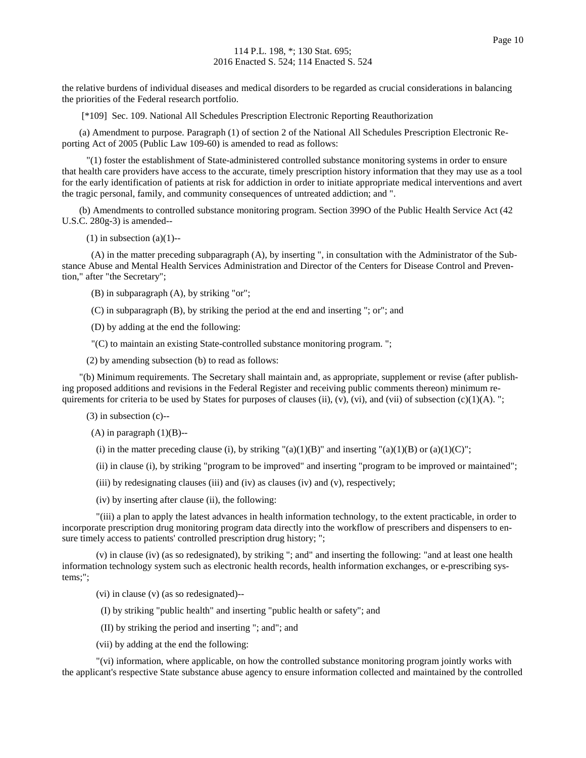#### Page 10

## 114 P.L. 198, \*; 130 Stat. 695; 2016 Enacted S. 524; 114 Enacted S. 524

the relative burdens of individual diseases and medical disorders to be regarded as crucial considerations in balancing the priorities of the Federal research portfolio.

[\*109] Sec. 109. National All Schedules Prescription Electronic Reporting Reauthorization

(a) Amendment to purpose. Paragraph (1) of section 2 of the National All Schedules Prescription Electronic Reporting Act of 2005 (Public Law 109-60) is amended to read as follows:

 "(1) foster the establishment of State-administered controlled substance monitoring systems in order to ensure that health care providers have access to the accurate, timely prescription history information that they may use as a tool for the early identification of patients at risk for addiction in order to initiate appropriate medical interventions and avert the tragic personal, family, and community consequences of untreated addiction; and ".

(b) Amendments to controlled substance monitoring program. Section 399O of the Public Health Service Act (42 U.S.C. 280g-3) is amended--

 $(1)$  in subsection  $(a)(1)$ --

 (A) in the matter preceding subparagraph (A), by inserting ", in consultation with the Administrator of the Substance Abuse and Mental Health Services Administration and Director of the Centers for Disease Control and Prevention," after "the Secretary";

- (B) in subparagraph (A), by striking "or";
- (C) in subparagraph (B), by striking the period at the end and inserting "; or"; and
- (D) by adding at the end the following:

"(C) to maintain an existing State-controlled substance monitoring program. ";

(2) by amending subsection (b) to read as follows:

"(b) Minimum requirements. The Secretary shall maintain and, as appropriate, supplement or revise (after publishing proposed additions and revisions in the Federal Register and receiving public comments thereon) minimum requirements for criteria to be used by States for purposes of clauses (ii), (v), (vi), and (vii) of subsection (c)(1)(A). ";

(3) in subsection (c)--

 $(A)$  in paragraph  $(1)(B)$ --

(i) in the matter preceding clause (i), by striking " $(a)(1)(B)$ " and inserting " $(a)(1)(B)$  or  $(a)(1)(C)$ ";

(ii) in clause (i), by striking "program to be improved" and inserting "program to be improved or maintained";

(iii) by redesignating clauses (iii) and (iv) as clauses (iv) and (v), respectively;

(iv) by inserting after clause (ii), the following:

 "(iii) a plan to apply the latest advances in health information technology, to the extent practicable, in order to incorporate prescription drug monitoring program data directly into the workflow of prescribers and dispensers to ensure timely access to patients' controlled prescription drug history; ";

 (v) in clause (iv) (as so redesignated), by striking "; and" and inserting the following: "and at least one health information technology system such as electronic health records, health information exchanges, or e-prescribing systems;";

- (vi) in clause (v) (as so redesignated)--
- (I) by striking "public health" and inserting "public health or safety"; and
- (II) by striking the period and inserting "; and"; and
- (vii) by adding at the end the following:

 "(vi) information, where applicable, on how the controlled substance monitoring program jointly works with the applicant's respective State substance abuse agency to ensure information collected and maintained by the controlled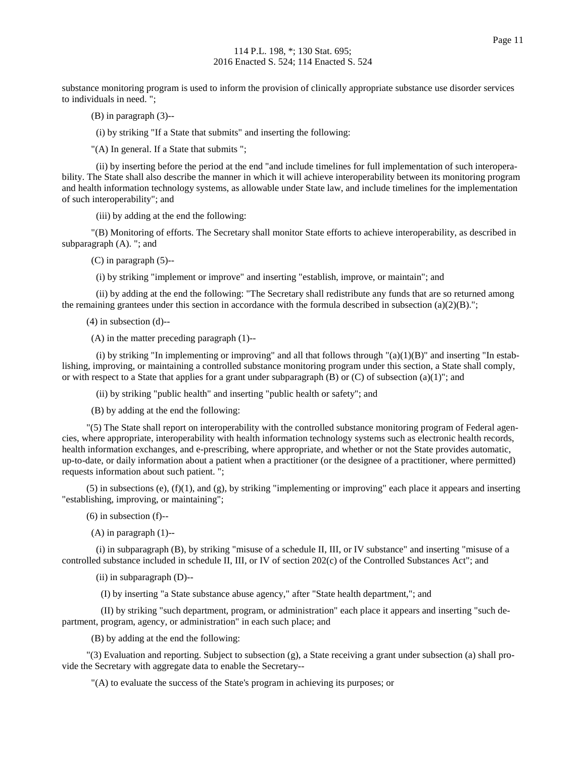substance monitoring program is used to inform the provision of clinically appropriate substance use disorder services to individuals in need. ";

(B) in paragraph (3)--

(i) by striking "If a State that submits" and inserting the following:

"(A) In general. If a State that submits ";

 (ii) by inserting before the period at the end "and include timelines for full implementation of such interoperability. The State shall also describe the manner in which it will achieve interoperability between its monitoring program and health information technology systems, as allowable under State law, and include timelines for the implementation of such interoperability"; and

(iii) by adding at the end the following:

 "(B) Monitoring of efforts. The Secretary shall monitor State efforts to achieve interoperability, as described in subparagraph (A). "; and

(C) in paragraph (5)--

(i) by striking "implement or improve" and inserting "establish, improve, or maintain"; and

 (ii) by adding at the end the following: "The Secretary shall redistribute any funds that are so returned among the remaining grantees under this section in accordance with the formula described in subsection (a)(2)(B).";

(4) in subsection (d)--

(A) in the matter preceding paragraph (1)--

(i) by striking "In implementing or improving" and all that follows through " $(a)(1)(B)$ " and inserting "In establishing, improving, or maintaining a controlled substance monitoring program under this section, a State shall comply, or with respect to a State that applies for a grant under subparagraph  $(B)$  or  $(C)$  of subsection  $(a)(1)$ "; and

(ii) by striking "public health" and inserting "public health or safety"; and

(B) by adding at the end the following:

 "(5) The State shall report on interoperability with the controlled substance monitoring program of Federal agencies, where appropriate, interoperability with health information technology systems such as electronic health records, health information exchanges, and e-prescribing, where appropriate, and whether or not the State provides automatic, up-to-date, or daily information about a patient when a practitioner (or the designee of a practitioner, where permitted) requests information about such patient. ";

 (5) in subsections (e), (f)(1), and (g), by striking "implementing or improving" each place it appears and inserting "establishing, improving, or maintaining";

 $(6)$  in subsection  $(f)$ --

(A) in paragraph (1)--

 (i) in subparagraph (B), by striking "misuse of a schedule II, III, or IV substance" and inserting "misuse of a controlled substance included in schedule II, III, or IV of section 202(c) of the Controlled Substances Act"; and

(ii) in subparagraph (D)--

(I) by inserting "a State substance abuse agency," after "State health department,"; and

 (II) by striking "such department, program, or administration" each place it appears and inserting "such department, program, agency, or administration" in each such place; and

(B) by adding at the end the following:

 "(3) Evaluation and reporting. Subject to subsection (g), a State receiving a grant under subsection (a) shall provide the Secretary with aggregate data to enable the Secretary--

"(A) to evaluate the success of the State's program in achieving its purposes; or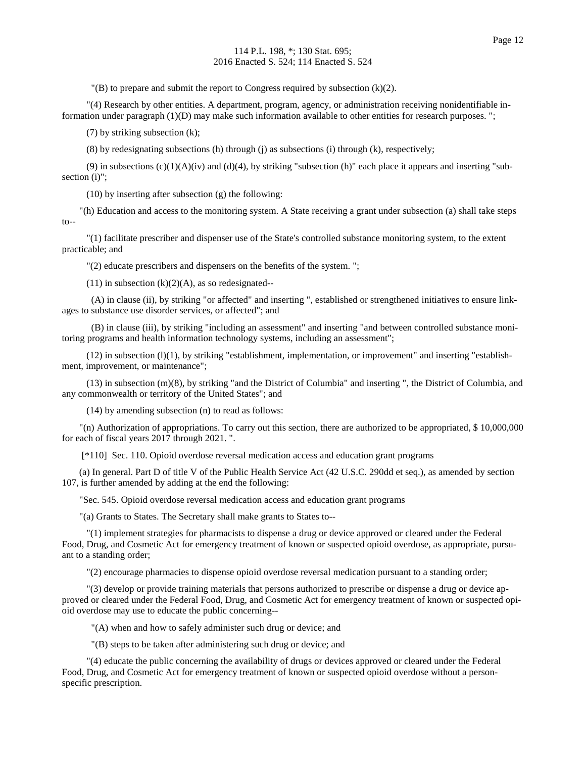$'(B)$  to prepare and submit the report to Congress required by subsection  $(k)(2)$ .

 "(4) Research by other entities. A department, program, agency, or administration receiving nonidentifiable information under paragraph (1)(D) may make such information available to other entities for research purposes. ";

(7) by striking subsection (k);

 $(8)$  by redesignating subsections (h) through (i) as subsections (i) through (k), respectively;

(9) in subsections  $(c)(1)(A)(iv)$  and  $(d)(4)$ , by striking "subsection (h)" each place it appears and inserting "subsection (i)";

(10) by inserting after subsection (g) the following:

"(h) Education and access to the monitoring system. A State receiving a grant under subsection (a) shall take steps to--

 "(1) facilitate prescriber and dispenser use of the State's controlled substance monitoring system, to the extent practicable; and

"(2) educate prescribers and dispensers on the benefits of the system. ";

 $(11)$  in subsection  $(k)(2)(A)$ , as so redesignated--

 (A) in clause (ii), by striking "or affected" and inserting ", established or strengthened initiatives to ensure linkages to substance use disorder services, or affected"; and

 (B) in clause (iii), by striking "including an assessment" and inserting "and between controlled substance monitoring programs and health information technology systems, including an assessment";

 $(12)$  in subsection  $(l)(1)$ , by striking "establishment, implementation, or improvement" and inserting "establishment, improvement, or maintenance";

 (13) in subsection (m)(8), by striking "and the District of Columbia" and inserting ", the District of Columbia, and any commonwealth or territory of the United States"; and

(14) by amending subsection (n) to read as follows:

"(n) Authorization of appropriations. To carry out this section, there are authorized to be appropriated, \$ 10,000,000 for each of fiscal years 2017 through 2021. ".

[\*110] Sec. 110. Opioid overdose reversal medication access and education grant programs

(a) In general. Part D of title V of the Public Health Service Act (42 U.S.C. 290dd et seq.), as amended by section 107, is further amended by adding at the end the following:

"Sec. 545. Opioid overdose reversal medication access and education grant programs

"(a) Grants to States. The Secretary shall make grants to States to--

 "(1) implement strategies for pharmacists to dispense a drug or device approved or cleared under the Federal Food, Drug, and Cosmetic Act for emergency treatment of known or suspected opioid overdose, as appropriate, pursuant to a standing order;

"(2) encourage pharmacies to dispense opioid overdose reversal medication pursuant to a standing order;

 "(3) develop or provide training materials that persons authorized to prescribe or dispense a drug or device approved or cleared under the Federal Food, Drug, and Cosmetic Act for emergency treatment of known or suspected opioid overdose may use to educate the public concerning--

"(A) when and how to safely administer such drug or device; and

"(B) steps to be taken after administering such drug or device; and

 "(4) educate the public concerning the availability of drugs or devices approved or cleared under the Federal Food, Drug, and Cosmetic Act for emergency treatment of known or suspected opioid overdose without a personspecific prescription.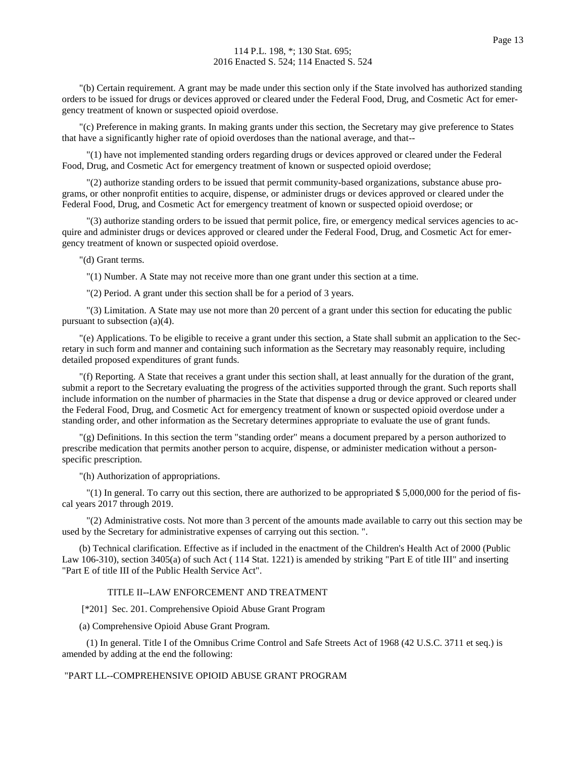"(b) Certain requirement. A grant may be made under this section only if the State involved has authorized standing orders to be issued for drugs or devices approved or cleared under the Federal Food, Drug, and Cosmetic Act for emergency treatment of known or suspected opioid overdose.

"(c) Preference in making grants. In making grants under this section, the Secretary may give preference to States that have a significantly higher rate of opioid overdoses than the national average, and that--

 "(1) have not implemented standing orders regarding drugs or devices approved or cleared under the Federal Food, Drug, and Cosmetic Act for emergency treatment of known or suspected opioid overdose;

 "(2) authorize standing orders to be issued that permit community-based organizations, substance abuse programs, or other nonprofit entities to acquire, dispense, or administer drugs or devices approved or cleared under the Federal Food, Drug, and Cosmetic Act for emergency treatment of known or suspected opioid overdose; or

 "(3) authorize standing orders to be issued that permit police, fire, or emergency medical services agencies to acquire and administer drugs or devices approved or cleared under the Federal Food, Drug, and Cosmetic Act for emergency treatment of known or suspected opioid overdose.

"(d) Grant terms.

"(1) Number. A State may not receive more than one grant under this section at a time.

"(2) Period. A grant under this section shall be for a period of 3 years.

 "(3) Limitation. A State may use not more than 20 percent of a grant under this section for educating the public pursuant to subsection (a)(4).

"(e) Applications. To be eligible to receive a grant under this section, a State shall submit an application to the Secretary in such form and manner and containing such information as the Secretary may reasonably require, including detailed proposed expenditures of grant funds.

"(f) Reporting. A State that receives a grant under this section shall, at least annually for the duration of the grant, submit a report to the Secretary evaluating the progress of the activities supported through the grant. Such reports shall include information on the number of pharmacies in the State that dispense a drug or device approved or cleared under the Federal Food, Drug, and Cosmetic Act for emergency treatment of known or suspected opioid overdose under a standing order, and other information as the Secretary determines appropriate to evaluate the use of grant funds.

"(g) Definitions. In this section the term "standing order" means a document prepared by a person authorized to prescribe medication that permits another person to acquire, dispense, or administer medication without a personspecific prescription.

"(h) Authorization of appropriations.

 "(1) In general. To carry out this section, there are authorized to be appropriated \$ 5,000,000 for the period of fiscal years 2017 through 2019.

 "(2) Administrative costs. Not more than 3 percent of the amounts made available to carry out this section may be used by the Secretary for administrative expenses of carrying out this section. ".

(b) Technical clarification. Effective as if included in the enactment of the Children's Health Act of 2000 (Public Law 106-310), section 3405(a) of such Act ( 114 Stat. 1221) is amended by striking "Part E of title III" and inserting "Part E of title III of the Public Health Service Act".

## TITLE II--LAW ENFORCEMENT AND TREATMENT

[\*201] Sec. 201. Comprehensive Opioid Abuse Grant Program

(a) Comprehensive Opioid Abuse Grant Program.

 (1) In general. Title I of the Omnibus Crime Control and Safe Streets Act of 1968 (42 U.S.C. 3711 et seq.) is amended by adding at the end the following:

## "PART LL--COMPREHENSIVE OPIOID ABUSE GRANT PROGRAM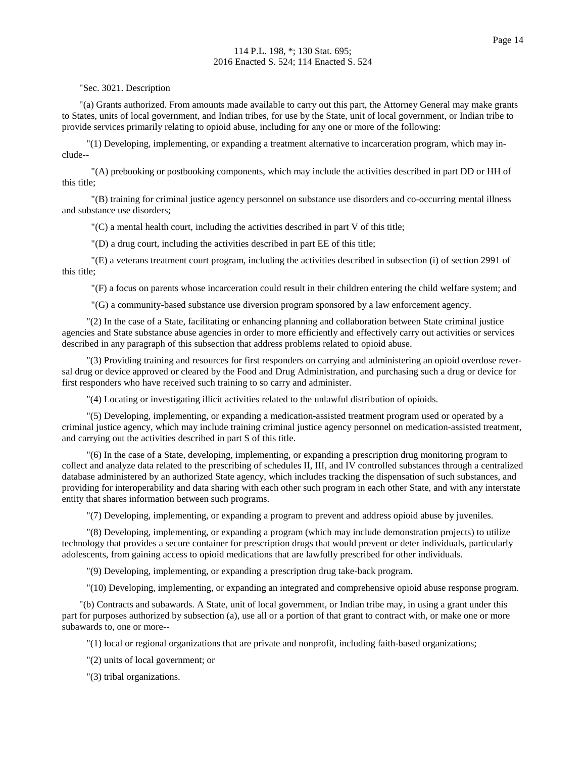"Sec. 3021. Description

"(a) Grants authorized. From amounts made available to carry out this part, the Attorney General may make grants to States, units of local government, and Indian tribes, for use by the State, unit of local government, or Indian tribe to provide services primarily relating to opioid abuse, including for any one or more of the following:

 "(1) Developing, implementing, or expanding a treatment alternative to incarceration program, which may include--

 "(A) prebooking or postbooking components, which may include the activities described in part DD or HH of this title;

 "(B) training for criminal justice agency personnel on substance use disorders and co-occurring mental illness and substance use disorders;

"(C) a mental health court, including the activities described in part V of this title;

"(D) a drug court, including the activities described in part EE of this title;

 "(E) a veterans treatment court program, including the activities described in subsection (i) of section 2991 of this title;

"(F) a focus on parents whose incarceration could result in their children entering the child welfare system; and

"(G) a community-based substance use diversion program sponsored by a law enforcement agency.

 "(2) In the case of a State, facilitating or enhancing planning and collaboration between State criminal justice agencies and State substance abuse agencies in order to more efficiently and effectively carry out activities or services described in any paragraph of this subsection that address problems related to opioid abuse.

 "(3) Providing training and resources for first responders on carrying and administering an opioid overdose reversal drug or device approved or cleared by the Food and Drug Administration, and purchasing such a drug or device for first responders who have received such training to so carry and administer.

"(4) Locating or investigating illicit activities related to the unlawful distribution of opioids.

 "(5) Developing, implementing, or expanding a medication-assisted treatment program used or operated by a criminal justice agency, which may include training criminal justice agency personnel on medication-assisted treatment, and carrying out the activities described in part S of this title.

 "(6) In the case of a State, developing, implementing, or expanding a prescription drug monitoring program to collect and analyze data related to the prescribing of schedules II, III, and IV controlled substances through a centralized database administered by an authorized State agency, which includes tracking the dispensation of such substances, and providing for interoperability and data sharing with each other such program in each other State, and with any interstate entity that shares information between such programs.

"(7) Developing, implementing, or expanding a program to prevent and address opioid abuse by juveniles.

 "(8) Developing, implementing, or expanding a program (which may include demonstration projects) to utilize technology that provides a secure container for prescription drugs that would prevent or deter individuals, particularly adolescents, from gaining access to opioid medications that are lawfully prescribed for other individuals.

"(9) Developing, implementing, or expanding a prescription drug take-back program.

"(10) Developing, implementing, or expanding an integrated and comprehensive opioid abuse response program.

"(b) Contracts and subawards. A State, unit of local government, or Indian tribe may, in using a grant under this part for purposes authorized by subsection (a), use all or a portion of that grant to contract with, or make one or more subawards to, one or more--

"(1) local or regional organizations that are private and nonprofit, including faith-based organizations;

"(2) units of local government; or

"(3) tribal organizations.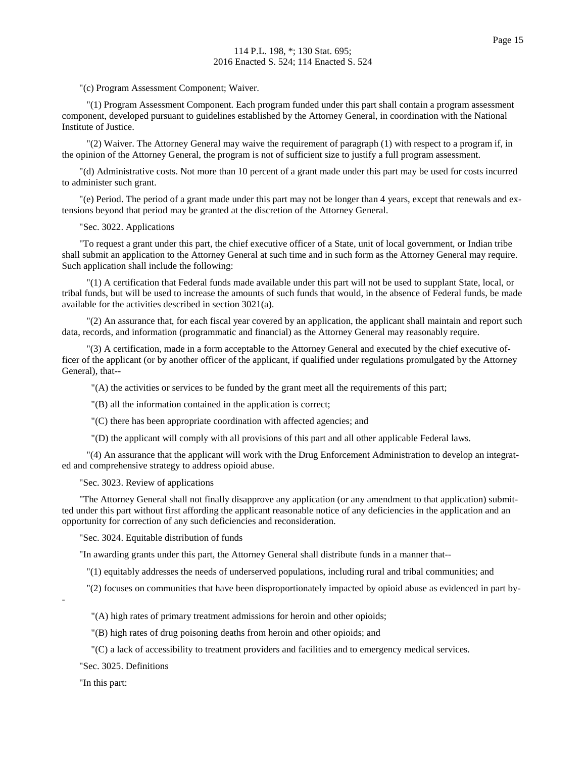#### "(c) Program Assessment Component; Waiver.

 "(1) Program Assessment Component. Each program funded under this part shall contain a program assessment component, developed pursuant to guidelines established by the Attorney General, in coordination with the National Institute of Justice.

 "(2) Waiver. The Attorney General may waive the requirement of paragraph (1) with respect to a program if, in the opinion of the Attorney General, the program is not of sufficient size to justify a full program assessment.

"(d) Administrative costs. Not more than 10 percent of a grant made under this part may be used for costs incurred to administer such grant.

"(e) Period. The period of a grant made under this part may not be longer than 4 years, except that renewals and extensions beyond that period may be granted at the discretion of the Attorney General.

#### "Sec. 3022. Applications

"To request a grant under this part, the chief executive officer of a State, unit of local government, or Indian tribe shall submit an application to the Attorney General at such time and in such form as the Attorney General may require. Such application shall include the following:

 "(1) A certification that Federal funds made available under this part will not be used to supplant State, local, or tribal funds, but will be used to increase the amounts of such funds that would, in the absence of Federal funds, be made available for the activities described in section 3021(a).

 "(2) An assurance that, for each fiscal year covered by an application, the applicant shall maintain and report such data, records, and information (programmatic and financial) as the Attorney General may reasonably require.

 "(3) A certification, made in a form acceptable to the Attorney General and executed by the chief executive officer of the applicant (or by another officer of the applicant, if qualified under regulations promulgated by the Attorney General), that--

"(A) the activities or services to be funded by the grant meet all the requirements of this part;

"(B) all the information contained in the application is correct;

"(C) there has been appropriate coordination with affected agencies; and

"(D) the applicant will comply with all provisions of this part and all other applicable Federal laws.

 "(4) An assurance that the applicant will work with the Drug Enforcement Administration to develop an integrated and comprehensive strategy to address opioid abuse.

"Sec. 3023. Review of applications

"The Attorney General shall not finally disapprove any application (or any amendment to that application) submitted under this part without first affording the applicant reasonable notice of any deficiencies in the application and an opportunity for correction of any such deficiencies and reconsideration.

"Sec. 3024. Equitable distribution of funds

"In awarding grants under this part, the Attorney General shall distribute funds in a manner that--

"(1) equitably addresses the needs of underserved populations, including rural and tribal communities; and

"(2) focuses on communities that have been disproportionately impacted by opioid abuse as evidenced in part by-

-

"(A) high rates of primary treatment admissions for heroin and other opioids;

"(B) high rates of drug poisoning deaths from heroin and other opioids; and

"(C) a lack of accessibility to treatment providers and facilities and to emergency medical services.

"Sec. 3025. Definitions

"In this part: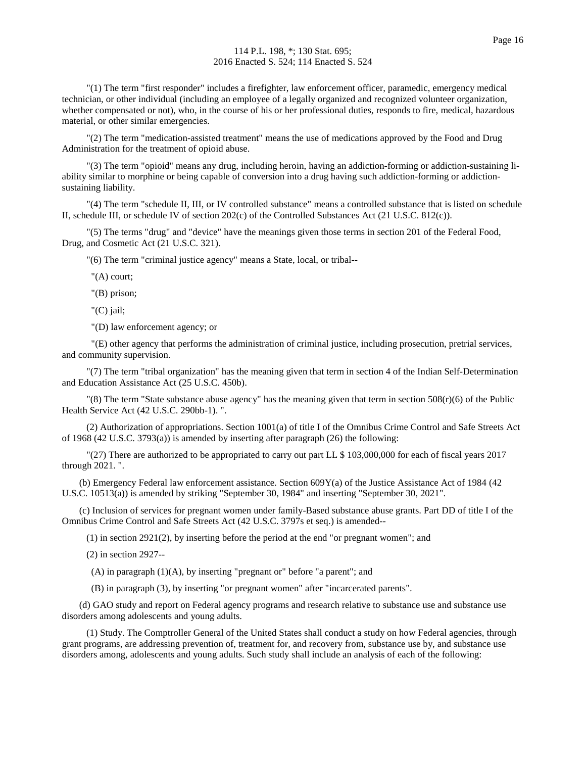"(1) The term "first responder" includes a firefighter, law enforcement officer, paramedic, emergency medical technician, or other individual (including an employee of a legally organized and recognized volunteer organization, whether compensated or not), who, in the course of his or her professional duties, responds to fire, medical, hazardous material, or other similar emergencies.

 "(2) The term "medication-assisted treatment" means the use of medications approved by the Food and Drug Administration for the treatment of opioid abuse.

 "(3) The term "opioid" means any drug, including heroin, having an addiction-forming or addiction-sustaining liability similar to morphine or being capable of conversion into a drug having such addiction-forming or addictionsustaining liability.

 "(4) The term "schedule II, III, or IV controlled substance" means a controlled substance that is listed on schedule II, schedule III, or schedule IV of section 202(c) of the Controlled Substances Act (21 U.S.C. 812(c)).

 "(5) The terms "drug" and "device" have the meanings given those terms in section 201 of the Federal Food, Drug, and Cosmetic Act (21 U.S.C. 321).

"(6) The term "criminal justice agency" means a State, local, or tribal--

"(A) court;

"(B) prison;

"(C) jail;

"(D) law enforcement agency; or

 "(E) other agency that performs the administration of criminal justice, including prosecution, pretrial services, and community supervision.

 "(7) The term "tribal organization" has the meaning given that term in section 4 of the Indian Self-Determination and Education Assistance Act (25 U.S.C. 450b).

 "(8) The term "State substance abuse agency" has the meaning given that term in section 508(r)(6) of the Public Health Service Act (42 U.S.C. 290bb-1). ".

 (2) Authorization of appropriations. Section 1001(a) of title I of the Omnibus Crime Control and Safe Streets Act of 1968 (42 U.S.C. 3793(a)) is amended by inserting after paragraph (26) the following:

 "(27) There are authorized to be appropriated to carry out part LL \$ 103,000,000 for each of fiscal years 2017 through 2021. ".

(b) Emergency Federal law enforcement assistance. Section 609Y(a) of the Justice Assistance Act of 1984 (42 U.S.C. 10513(a)) is amended by striking "September 30, 1984" and inserting "September 30, 2021".

(c) Inclusion of services for pregnant women under family-Based substance abuse grants. Part DD of title I of the Omnibus Crime Control and Safe Streets Act (42 U.S.C. 3797s et seq.) is amended--

(1) in section 2921(2), by inserting before the period at the end "or pregnant women"; and

(2) in section 2927--

(A) in paragraph (1)(A), by inserting "pregnant or" before "a parent"; and

(B) in paragraph (3), by inserting "or pregnant women" after "incarcerated parents".

(d) GAO study and report on Federal agency programs and research relative to substance use and substance use disorders among adolescents and young adults.

 (1) Study. The Comptroller General of the United States shall conduct a study on how Federal agencies, through grant programs, are addressing prevention of, treatment for, and recovery from, substance use by, and substance use disorders among, adolescents and young adults. Such study shall include an analysis of each of the following: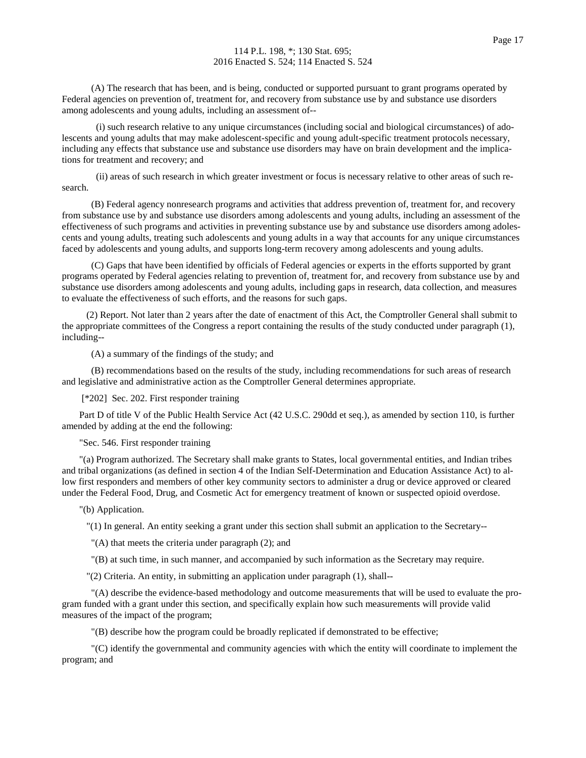(A) The research that has been, and is being, conducted or supported pursuant to grant programs operated by Federal agencies on prevention of, treatment for, and recovery from substance use by and substance use disorders among adolescents and young adults, including an assessment of--

 (i) such research relative to any unique circumstances (including social and biological circumstances) of adolescents and young adults that may make adolescent-specific and young adult-specific treatment protocols necessary, including any effects that substance use and substance use disorders may have on brain development and the implications for treatment and recovery; and

 (ii) areas of such research in which greater investment or focus is necessary relative to other areas of such research.

 (B) Federal agency nonresearch programs and activities that address prevention of, treatment for, and recovery from substance use by and substance use disorders among adolescents and young adults, including an assessment of the effectiveness of such programs and activities in preventing substance use by and substance use disorders among adolescents and young adults, treating such adolescents and young adults in a way that accounts for any unique circumstances faced by adolescents and young adults, and supports long-term recovery among adolescents and young adults.

 (C) Gaps that have been identified by officials of Federal agencies or experts in the efforts supported by grant programs operated by Federal agencies relating to prevention of, treatment for, and recovery from substance use by and substance use disorders among adolescents and young adults, including gaps in research, data collection, and measures to evaluate the effectiveness of such efforts, and the reasons for such gaps.

 (2) Report. Not later than 2 years after the date of enactment of this Act, the Comptroller General shall submit to the appropriate committees of the Congress a report containing the results of the study conducted under paragraph (1), including--

(A) a summary of the findings of the study; and

 (B) recommendations based on the results of the study, including recommendations for such areas of research and legislative and administrative action as the Comptroller General determines appropriate.

[\*202] Sec. 202. First responder training

Part D of title V of the Public Health Service Act (42 U.S.C. 290dd et seq.), as amended by section 110, is further amended by adding at the end the following:

"Sec. 546. First responder training

"(a) Program authorized. The Secretary shall make grants to States, local governmental entities, and Indian tribes and tribal organizations (as defined in section 4 of the Indian Self-Determination and Education Assistance Act) to allow first responders and members of other key community sectors to administer a drug or device approved or cleared under the Federal Food, Drug, and Cosmetic Act for emergency treatment of known or suspected opioid overdose.

"(b) Application.

"(1) In general. An entity seeking a grant under this section shall submit an application to the Secretary--

"(A) that meets the criteria under paragraph (2); and

"(B) at such time, in such manner, and accompanied by such information as the Secretary may require.

"(2) Criteria. An entity, in submitting an application under paragraph (1), shall--

 "(A) describe the evidence-based methodology and outcome measurements that will be used to evaluate the program funded with a grant under this section, and specifically explain how such measurements will provide valid measures of the impact of the program;

"(B) describe how the program could be broadly replicated if demonstrated to be effective;

 "(C) identify the governmental and community agencies with which the entity will coordinate to implement the program; and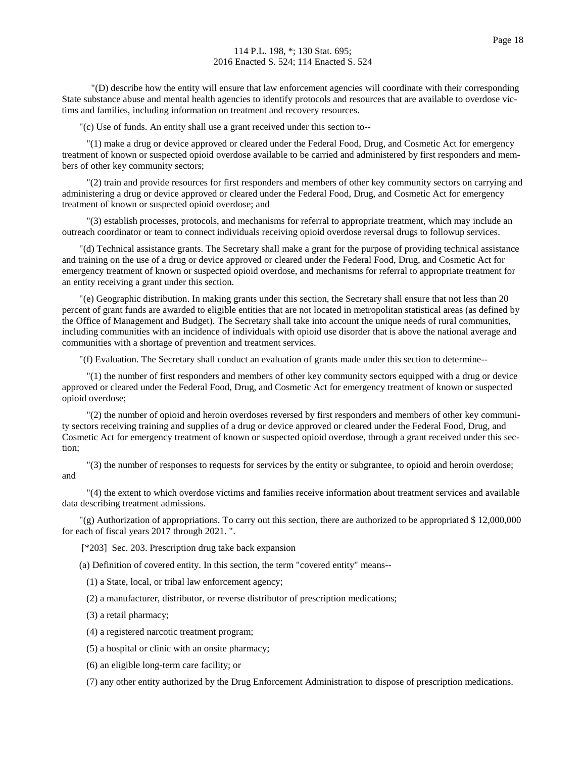"(D) describe how the entity will ensure that law enforcement agencies will coordinate with their corresponding State substance abuse and mental health agencies to identify protocols and resources that are available to overdose victims and families, including information on treatment and recovery resources.

"(c) Use of funds. An entity shall use a grant received under this section to--

 "(1) make a drug or device approved or cleared under the Federal Food, Drug, and Cosmetic Act for emergency treatment of known or suspected opioid overdose available to be carried and administered by first responders and members of other key community sectors;

 "(2) train and provide resources for first responders and members of other key community sectors on carrying and administering a drug or device approved or cleared under the Federal Food, Drug, and Cosmetic Act for emergency treatment of known or suspected opioid overdose; and

 "(3) establish processes, protocols, and mechanisms for referral to appropriate treatment, which may include an outreach coordinator or team to connect individuals receiving opioid overdose reversal drugs to followup services.

"(d) Technical assistance grants. The Secretary shall make a grant for the purpose of providing technical assistance and training on the use of a drug or device approved or cleared under the Federal Food, Drug, and Cosmetic Act for emergency treatment of known or suspected opioid overdose, and mechanisms for referral to appropriate treatment for an entity receiving a grant under this section.

"(e) Geographic distribution. In making grants under this section, the Secretary shall ensure that not less than 20 percent of grant funds are awarded to eligible entities that are not located in metropolitan statistical areas (as defined by the Office of Management and Budget). The Secretary shall take into account the unique needs of rural communities, including communities with an incidence of individuals with opioid use disorder that is above the national average and communities with a shortage of prevention and treatment services.

"(f) Evaluation. The Secretary shall conduct an evaluation of grants made under this section to determine--

 "(1) the number of first responders and members of other key community sectors equipped with a drug or device approved or cleared under the Federal Food, Drug, and Cosmetic Act for emergency treatment of known or suspected opioid overdose;

 "(2) the number of opioid and heroin overdoses reversed by first responders and members of other key community sectors receiving training and supplies of a drug or device approved or cleared under the Federal Food, Drug, and Cosmetic Act for emergency treatment of known or suspected opioid overdose, through a grant received under this section;

 "(3) the number of responses to requests for services by the entity or subgrantee, to opioid and heroin overdose; and

 "(4) the extent to which overdose victims and families receive information about treatment services and available data describing treatment admissions.

"(g) Authorization of appropriations. To carry out this section, there are authorized to be appropriated \$ 12,000,000 for each of fiscal years 2017 through 2021. ".

[\*203] Sec. 203. Prescription drug take back expansion

(a) Definition of covered entity. In this section, the term "covered entity" means--

(1) a State, local, or tribal law enforcement agency;

(2) a manufacturer, distributor, or reverse distributor of prescription medications;

(3) a retail pharmacy;

(4) a registered narcotic treatment program;

(5) a hospital or clinic with an onsite pharmacy;

(6) an eligible long-term care facility; or

(7) any other entity authorized by the Drug Enforcement Administration to dispose of prescription medications.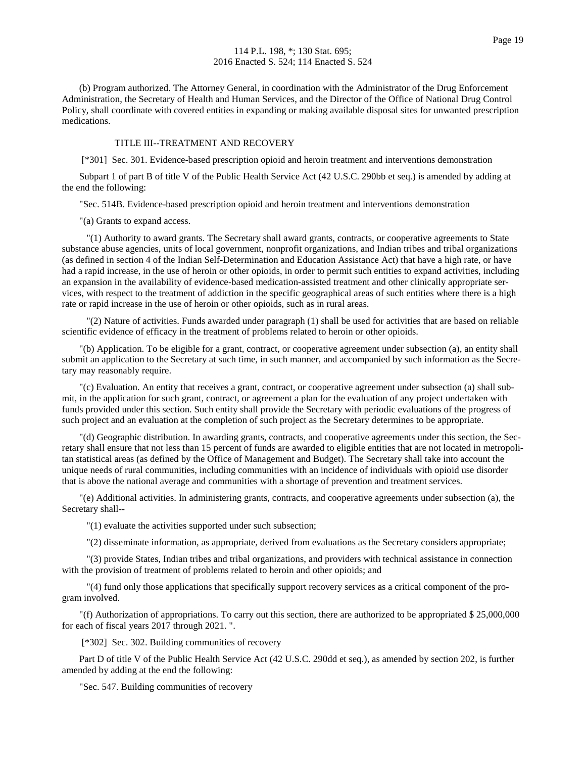(b) Program authorized. The Attorney General, in coordination with the Administrator of the Drug Enforcement Administration, the Secretary of Health and Human Services, and the Director of the Office of National Drug Control Policy, shall coordinate with covered entities in expanding or making available disposal sites for unwanted prescription medications.

#### TITLE III--TREATMENT AND RECOVERY

[\*301] Sec. 301. Evidence-based prescription opioid and heroin treatment and interventions demonstration

Subpart 1 of part B of title V of the Public Health Service Act (42 U.S.C. 290bb et seq.) is amended by adding at the end the following:

"Sec. 514B. Evidence-based prescription opioid and heroin treatment and interventions demonstration

"(a) Grants to expand access.

 "(1) Authority to award grants. The Secretary shall award grants, contracts, or cooperative agreements to State substance abuse agencies, units of local government, nonprofit organizations, and Indian tribes and tribal organizations (as defined in section 4 of the Indian Self-Determination and Education Assistance Act) that have a high rate, or have had a rapid increase, in the use of heroin or other opioids, in order to permit such entities to expand activities, including an expansion in the availability of evidence-based medication-assisted treatment and other clinically appropriate services, with respect to the treatment of addiction in the specific geographical areas of such entities where there is a high rate or rapid increase in the use of heroin or other opioids, such as in rural areas.

 "(2) Nature of activities. Funds awarded under paragraph (1) shall be used for activities that are based on reliable scientific evidence of efficacy in the treatment of problems related to heroin or other opioids.

"(b) Application. To be eligible for a grant, contract, or cooperative agreement under subsection (a), an entity shall submit an application to the Secretary at such time, in such manner, and accompanied by such information as the Secretary may reasonably require.

"(c) Evaluation. An entity that receives a grant, contract, or cooperative agreement under subsection (a) shall submit, in the application for such grant, contract, or agreement a plan for the evaluation of any project undertaken with funds provided under this section. Such entity shall provide the Secretary with periodic evaluations of the progress of such project and an evaluation at the completion of such project as the Secretary determines to be appropriate.

"(d) Geographic distribution. In awarding grants, contracts, and cooperative agreements under this section, the Secretary shall ensure that not less than 15 percent of funds are awarded to eligible entities that are not located in metropolitan statistical areas (as defined by the Office of Management and Budget). The Secretary shall take into account the unique needs of rural communities, including communities with an incidence of individuals with opioid use disorder that is above the national average and communities with a shortage of prevention and treatment services.

"(e) Additional activities. In administering grants, contracts, and cooperative agreements under subsection (a), the Secretary shall--

"(1) evaluate the activities supported under such subsection;

"(2) disseminate information, as appropriate, derived from evaluations as the Secretary considers appropriate;

 "(3) provide States, Indian tribes and tribal organizations, and providers with technical assistance in connection with the provision of treatment of problems related to heroin and other opioids; and

 "(4) fund only those applications that specifically support recovery services as a critical component of the program involved.

"(f) Authorization of appropriations. To carry out this section, there are authorized to be appropriated \$ 25,000,000 for each of fiscal years 2017 through 2021. ".

[\*302] Sec. 302. Building communities of recovery

Part D of title V of the Public Health Service Act (42 U.S.C. 290dd et seq.), as amended by section 202, is further amended by adding at the end the following:

"Sec. 547. Building communities of recovery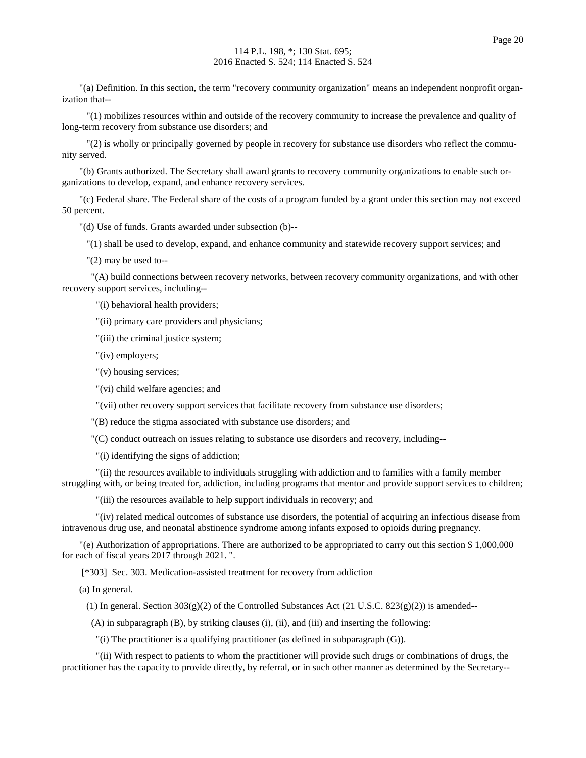"(a) Definition. In this section, the term "recovery community organization" means an independent nonprofit organization that--

 "(1) mobilizes resources within and outside of the recovery community to increase the prevalence and quality of long-term recovery from substance use disorders; and

 "(2) is wholly or principally governed by people in recovery for substance use disorders who reflect the community served.

"(b) Grants authorized. The Secretary shall award grants to recovery community organizations to enable such organizations to develop, expand, and enhance recovery services.

"(c) Federal share. The Federal share of the costs of a program funded by a grant under this section may not exceed 50 percent.

"(d) Use of funds. Grants awarded under subsection (b)--

"(1) shall be used to develop, expand, and enhance community and statewide recovery support services; and

"(2) may be used to--

 "(A) build connections between recovery networks, between recovery community organizations, and with other recovery support services, including--

"(i) behavioral health providers;

"(ii) primary care providers and physicians;

"(iii) the criminal justice system;

"(iv) employers;

"(v) housing services;

"(vi) child welfare agencies; and

"(vii) other recovery support services that facilitate recovery from substance use disorders;

"(B) reduce the stigma associated with substance use disorders; and

"(C) conduct outreach on issues relating to substance use disorders and recovery, including--

"(i) identifying the signs of addiction;

 "(ii) the resources available to individuals struggling with addiction and to families with a family member struggling with, or being treated for, addiction, including programs that mentor and provide support services to children;

"(iii) the resources available to help support individuals in recovery; and

 "(iv) related medical outcomes of substance use disorders, the potential of acquiring an infectious disease from intravenous drug use, and neonatal abstinence syndrome among infants exposed to opioids during pregnancy.

"(e) Authorization of appropriations. There are authorized to be appropriated to carry out this section \$ 1,000,000 for each of fiscal years 2017 through 2021. ".

[\*303] Sec. 303. Medication-assisted treatment for recovery from addiction

(a) In general.

(1) In general. Section  $303(g)(2)$  of the Controlled Substances Act (21 U.S.C. 823(g)(2)) is amended--

(A) in subparagraph (B), by striking clauses (i), (ii), and (iii) and inserting the following:

"(i) The practitioner is a qualifying practitioner (as defined in subparagraph (G)).

 "(ii) With respect to patients to whom the practitioner will provide such drugs or combinations of drugs, the practitioner has the capacity to provide directly, by referral, or in such other manner as determined by the Secretary--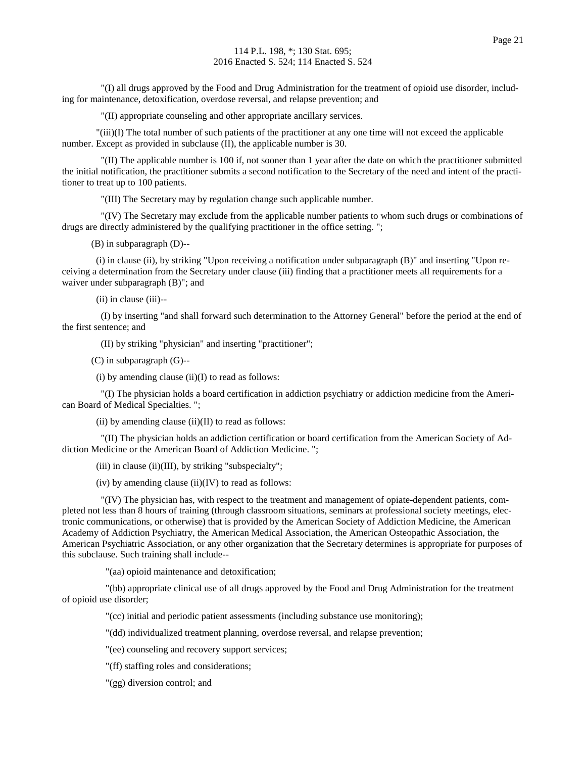"(I) all drugs approved by the Food and Drug Administration for the treatment of opioid use disorder, including for maintenance, detoxification, overdose reversal, and relapse prevention; and

"(II) appropriate counseling and other appropriate ancillary services.

 "(iii)(I) The total number of such patients of the practitioner at any one time will not exceed the applicable number. Except as provided in subclause (II), the applicable number is 30.

 "(II) The applicable number is 100 if, not sooner than 1 year after the date on which the practitioner submitted the initial notification, the practitioner submits a second notification to the Secretary of the need and intent of the practitioner to treat up to 100 patients.

"(III) The Secretary may by regulation change such applicable number.

 "(IV) The Secretary may exclude from the applicable number patients to whom such drugs or combinations of drugs are directly administered by the qualifying practitioner in the office setting. ";

(B) in subparagraph (D)--

 (i) in clause (ii), by striking "Upon receiving a notification under subparagraph (B)" and inserting "Upon receiving a determination from the Secretary under clause (iii) finding that a practitioner meets all requirements for a waiver under subparagraph (B)"; and

(ii) in clause (iii)--

 (I) by inserting "and shall forward such determination to the Attorney General" before the period at the end of the first sentence; and

(II) by striking "physician" and inserting "practitioner";

(C) in subparagraph (G)--

 $(i)$  by amending clause  $(ii)(I)$  to read as follows:

 "(I) The physician holds a board certification in addiction psychiatry or addiction medicine from the American Board of Medical Specialties. ";

(ii) by amending clause  $(ii)(II)$  to read as follows:

 "(II) The physician holds an addiction certification or board certification from the American Society of Addiction Medicine or the American Board of Addiction Medicine. ";

(iii) in clause (ii)(III), by striking "subspecialty";

 $(iv)$  by amending clause  $(ii)(IV)$  to read as follows:

 "(IV) The physician has, with respect to the treatment and management of opiate-dependent patients, completed not less than 8 hours of training (through classroom situations, seminars at professional society meetings, electronic communications, or otherwise) that is provided by the American Society of Addiction Medicine, the American Academy of Addiction Psychiatry, the American Medical Association, the American Osteopathic Association, the American Psychiatric Association, or any other organization that the Secretary determines is appropriate for purposes of this subclause. Such training shall include--

"(aa) opioid maintenance and detoxification;

 "(bb) appropriate clinical use of all drugs approved by the Food and Drug Administration for the treatment of opioid use disorder;

"(cc) initial and periodic patient assessments (including substance use monitoring);

"(dd) individualized treatment planning, overdose reversal, and relapse prevention;

"(ee) counseling and recovery support services;

"(ff) staffing roles and considerations;

"(gg) diversion control; and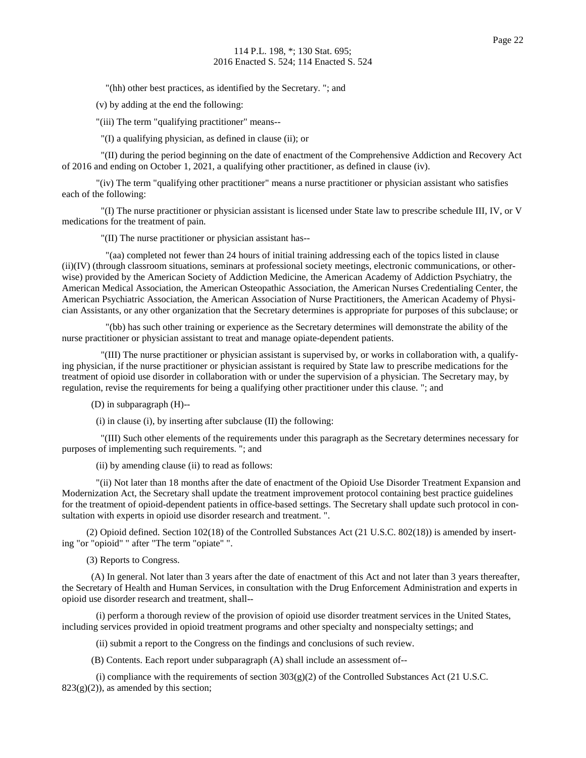"(hh) other best practices, as identified by the Secretary. "; and

(v) by adding at the end the following:

"(iii) The term "qualifying practitioner" means--

"(I) a qualifying physician, as defined in clause (ii); or

 "(II) during the period beginning on the date of enactment of the Comprehensive Addiction and Recovery Act of 2016 and ending on October 1, 2021, a qualifying other practitioner, as defined in clause (iv).

 "(iv) The term "qualifying other practitioner" means a nurse practitioner or physician assistant who satisfies each of the following:

 "(I) The nurse practitioner or physician assistant is licensed under State law to prescribe schedule III, IV, or V medications for the treatment of pain.

"(II) The nurse practitioner or physician assistant has--

 "(aa) completed not fewer than 24 hours of initial training addressing each of the topics listed in clause (ii)(IV) (through classroom situations, seminars at professional society meetings, electronic communications, or otherwise) provided by the American Society of Addiction Medicine, the American Academy of Addiction Psychiatry, the American Medical Association, the American Osteopathic Association, the American Nurses Credentialing Center, the American Psychiatric Association, the American Association of Nurse Practitioners, the American Academy of Physician Assistants, or any other organization that the Secretary determines is appropriate for purposes of this subclause; or

 "(bb) has such other training or experience as the Secretary determines will demonstrate the ability of the nurse practitioner or physician assistant to treat and manage opiate-dependent patients.

 "(III) The nurse practitioner or physician assistant is supervised by, or works in collaboration with, a qualifying physician, if the nurse practitioner or physician assistant is required by State law to prescribe medications for the treatment of opioid use disorder in collaboration with or under the supervision of a physician. The Secretary may, by regulation, revise the requirements for being a qualifying other practitioner under this clause. "; and

(D) in subparagraph (H)--

(i) in clause (i), by inserting after subclause (II) the following:

 "(III) Such other elements of the requirements under this paragraph as the Secretary determines necessary for purposes of implementing such requirements. "; and

(ii) by amending clause (ii) to read as follows:

 "(ii) Not later than 18 months after the date of enactment of the Opioid Use Disorder Treatment Expansion and Modernization Act, the Secretary shall update the treatment improvement protocol containing best practice guidelines for the treatment of opioid-dependent patients in office-based settings. The Secretary shall update such protocol in consultation with experts in opioid use disorder research and treatment. ".

 (2) Opioid defined. Section 102(18) of the Controlled Substances Act (21 U.S.C. 802(18)) is amended by inserting "or "opioid" " after "The term "opiate" ".

(3) Reports to Congress.

 (A) In general. Not later than 3 years after the date of enactment of this Act and not later than 3 years thereafter, the Secretary of Health and Human Services, in consultation with the Drug Enforcement Administration and experts in opioid use disorder research and treatment, shall--

 (i) perform a thorough review of the provision of opioid use disorder treatment services in the United States, including services provided in opioid treatment programs and other specialty and nonspecialty settings; and

(ii) submit a report to the Congress on the findings and conclusions of such review.

(B) Contents. Each report under subparagraph (A) shall include an assessment of--

(i) compliance with the requirements of section  $303(g)(2)$  of the Controlled Substances Act (21 U.S.C.  $823(g)(2)$ , as amended by this section;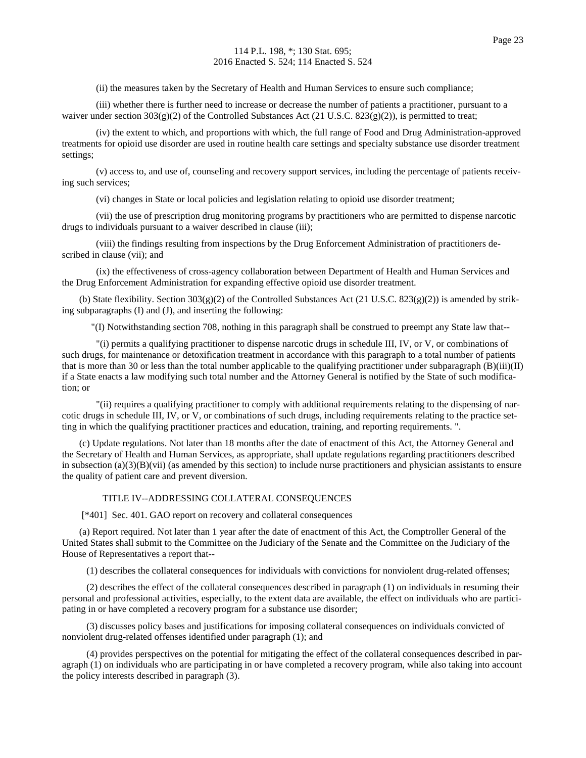(ii) the measures taken by the Secretary of Health and Human Services to ensure such compliance;

 (iii) whether there is further need to increase or decrease the number of patients a practitioner, pursuant to a waiver under section  $303(g)(2)$  of the Controlled Substances Act (21 U.S.C.  $823(g)(2)$ ), is permitted to treat;

 (iv) the extent to which, and proportions with which, the full range of Food and Drug Administration-approved treatments for opioid use disorder are used in routine health care settings and specialty substance use disorder treatment settings;

 (v) access to, and use of, counseling and recovery support services, including the percentage of patients receiving such services;

(vi) changes in State or local policies and legislation relating to opioid use disorder treatment;

 (vii) the use of prescription drug monitoring programs by practitioners who are permitted to dispense narcotic drugs to individuals pursuant to a waiver described in clause (iii);

 (viii) the findings resulting from inspections by the Drug Enforcement Administration of practitioners described in clause (vii); and

 (ix) the effectiveness of cross-agency collaboration between Department of Health and Human Services and the Drug Enforcement Administration for expanding effective opioid use disorder treatment.

(b) State flexibility. Section  $303(g)(2)$  of the Controlled Substances Act (21 U.S.C.  $823(g)(2)$ ) is amended by striking subparagraphs (I) and (J), and inserting the following:

"(I) Notwithstanding section 708, nothing in this paragraph shall be construed to preempt any State law that--

 "(i) permits a qualifying practitioner to dispense narcotic drugs in schedule III, IV, or V, or combinations of such drugs, for maintenance or detoxification treatment in accordance with this paragraph to a total number of patients that is more than 30 or less than the total number applicable to the qualifying practitioner under subparagraph  $(B)(iii)(II)$ if a State enacts a law modifying such total number and the Attorney General is notified by the State of such modification; or

 "(ii) requires a qualifying practitioner to comply with additional requirements relating to the dispensing of narcotic drugs in schedule III, IV, or V, or combinations of such drugs, including requirements relating to the practice setting in which the qualifying practitioner practices and education, training, and reporting requirements. ".

(c) Update regulations. Not later than 18 months after the date of enactment of this Act, the Attorney General and the Secretary of Health and Human Services, as appropriate, shall update regulations regarding practitioners described in subsection  $(a)(3)(B)(vii)$  (as amended by this section) to include nurse practitioners and physician assistants to ensure the quality of patient care and prevent diversion.

#### TITLE IV--ADDRESSING COLLATERAL CONSEQUENCES

[\*401] Sec. 401. GAO report on recovery and collateral consequences

(a) Report required. Not later than 1 year after the date of enactment of this Act, the Comptroller General of the United States shall submit to the Committee on the Judiciary of the Senate and the Committee on the Judiciary of the House of Representatives a report that--

(1) describes the collateral consequences for individuals with convictions for nonviolent drug-related offenses;

 (2) describes the effect of the collateral consequences described in paragraph (1) on individuals in resuming their personal and professional activities, especially, to the extent data are available, the effect on individuals who are participating in or have completed a recovery program for a substance use disorder;

 (3) discusses policy bases and justifications for imposing collateral consequences on individuals convicted of nonviolent drug-related offenses identified under paragraph (1); and

 (4) provides perspectives on the potential for mitigating the effect of the collateral consequences described in paragraph (1) on individuals who are participating in or have completed a recovery program, while also taking into account the policy interests described in paragraph (3).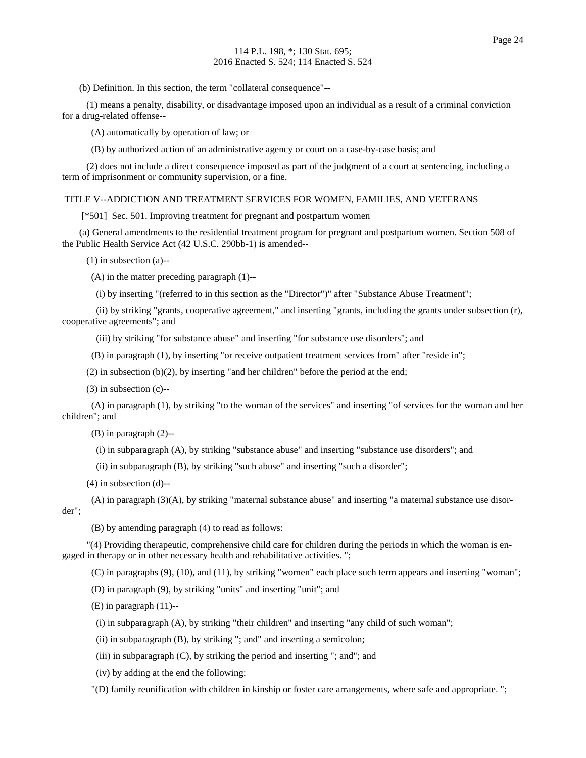(b) Definition. In this section, the term "collateral consequence"--

 (1) means a penalty, disability, or disadvantage imposed upon an individual as a result of a criminal conviction for a drug-related offense--

(A) automatically by operation of law; or

(B) by authorized action of an administrative agency or court on a case-by-case basis; and

 (2) does not include a direct consequence imposed as part of the judgment of a court at sentencing, including a term of imprisonment or community supervision, or a fine.

TITLE V--ADDICTION AND TREATMENT SERVICES FOR WOMEN, FAMILIES, AND VETERANS

[\*501] Sec. 501. Improving treatment for pregnant and postpartum women

(a) General amendments to the residential treatment program for pregnant and postpartum women. Section 508 of the Public Health Service Act (42 U.S.C. 290bb-1) is amended--

(1) in subsection (a)--

(A) in the matter preceding paragraph (1)--

(i) by inserting "(referred to in this section as the "Director")" after "Substance Abuse Treatment";

 (ii) by striking "grants, cooperative agreement," and inserting "grants, including the grants under subsection (r), cooperative agreements"; and

(iii) by striking "for substance abuse" and inserting "for substance use disorders"; and

(B) in paragraph (1), by inserting "or receive outpatient treatment services from" after "reside in";

 $(2)$  in subsection  $(b)(2)$ , by inserting "and her children" before the period at the end;

(3) in subsection (c)--

 (A) in paragraph (1), by striking "to the woman of the services" and inserting "of services for the woman and her children"; and

(B) in paragraph (2)--

(i) in subparagraph (A), by striking "substance abuse" and inserting "substance use disorders"; and

(ii) in subparagraph (B), by striking "such abuse" and inserting "such a disorder";

(4) in subsection (d)--

 (A) in paragraph (3)(A), by striking "maternal substance abuse" and inserting "a maternal substance use disorder";

(B) by amending paragraph (4) to read as follows:

 "(4) Providing therapeutic, comprehensive child care for children during the periods in which the woman is engaged in therapy or in other necessary health and rehabilitative activities. ";

(C) in paragraphs (9), (10), and (11), by striking "women" each place such term appears and inserting "woman";

(D) in paragraph (9), by striking "units" and inserting "unit"; and

(E) in paragraph (11)--

(i) in subparagraph (A), by striking "their children" and inserting "any child of such woman";

(ii) in subparagraph (B), by striking "; and" and inserting a semicolon;

(iii) in subparagraph (C), by striking the period and inserting "; and"; and

(iv) by adding at the end the following:

"(D) family reunification with children in kinship or foster care arrangements, where safe and appropriate. ";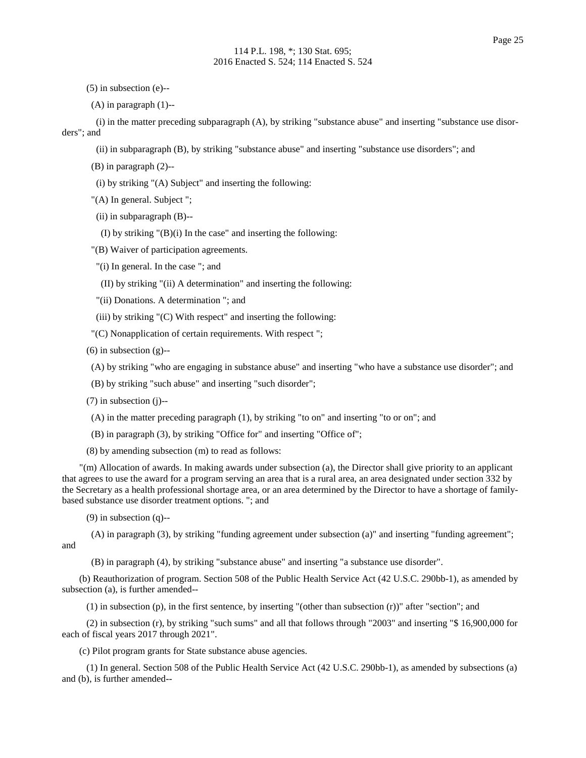(5) in subsection (e)--

(A) in paragraph (1)--

 (i) in the matter preceding subparagraph (A), by striking "substance abuse" and inserting "substance use disorders"; and

(ii) in subparagraph (B), by striking "substance abuse" and inserting "substance use disorders"; and

(B) in paragraph (2)--

(i) by striking "(A) Subject" and inserting the following:

"(A) In general. Subject ";

(ii) in subparagraph (B)--

(I) by striking "(B)(i) In the case" and inserting the following:

"(B) Waiver of participation agreements.

"(i) In general. In the case "; and

(II) by striking "(ii) A determination" and inserting the following:

"(ii) Donations. A determination "; and

(iii) by striking "(C) With respect" and inserting the following:

"(C) Nonapplication of certain requirements. With respect ";

 $(6)$  in subsection  $(g)$ --

(A) by striking "who are engaging in substance abuse" and inserting "who have a substance use disorder"; and

(B) by striking "such abuse" and inserting "such disorder";

(7) in subsection (j)--

(A) in the matter preceding paragraph (1), by striking "to on" and inserting "to or on"; and

(B) in paragraph (3), by striking "Office for" and inserting "Office of";

(8) by amending subsection (m) to read as follows:

"(m) Allocation of awards. In making awards under subsection (a), the Director shall give priority to an applicant that agrees to use the award for a program serving an area that is a rural area, an area designated under section 332 by the Secretary as a health professional shortage area, or an area determined by the Director to have a shortage of familybased substance use disorder treatment options. "; and

 $(9)$  in subsection  $(q)$ --

 (A) in paragraph (3), by striking "funding agreement under subsection (a)" and inserting "funding agreement"; and

(B) in paragraph (4), by striking "substance abuse" and inserting "a substance use disorder".

(b) Reauthorization of program. Section 508 of the Public Health Service Act (42 U.S.C. 290bb-1), as amended by subsection (a), is further amended--

(1) in subsection (p), in the first sentence, by inserting "(other than subsection (r))" after "section"; and

 (2) in subsection (r), by striking "such sums" and all that follows through "2003" and inserting "\$ 16,900,000 for each of fiscal years 2017 through 2021".

(c) Pilot program grants for State substance abuse agencies.

 (1) In general. Section 508 of the Public Health Service Act (42 U.S.C. 290bb-1), as amended by subsections (a) and (b), is further amended--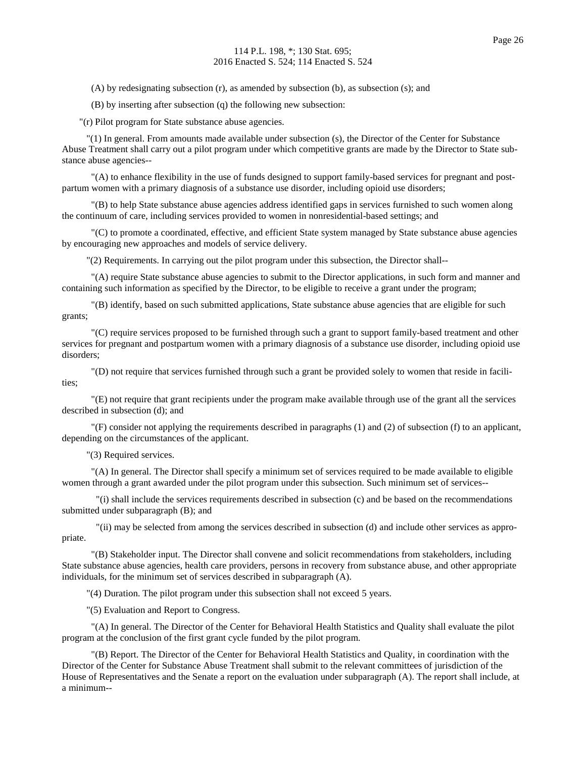(A) by redesignating subsection (r), as amended by subsection (b), as subsection (s); and

(B) by inserting after subsection (q) the following new subsection:

"(r) Pilot program for State substance abuse agencies.

 "(1) In general. From amounts made available under subsection (s), the Director of the Center for Substance Abuse Treatment shall carry out a pilot program under which competitive grants are made by the Director to State substance abuse agencies--

 "(A) to enhance flexibility in the use of funds designed to support family-based services for pregnant and postpartum women with a primary diagnosis of a substance use disorder, including opioid use disorders;

 "(B) to help State substance abuse agencies address identified gaps in services furnished to such women along the continuum of care, including services provided to women in nonresidential-based settings; and

 "(C) to promote a coordinated, effective, and efficient State system managed by State substance abuse agencies by encouraging new approaches and models of service delivery.

"(2) Requirements. In carrying out the pilot program under this subsection, the Director shall--

 "(A) require State substance abuse agencies to submit to the Director applications, in such form and manner and containing such information as specified by the Director, to be eligible to receive a grant under the program;

 "(B) identify, based on such submitted applications, State substance abuse agencies that are eligible for such grants;

 "(C) require services proposed to be furnished through such a grant to support family-based treatment and other services for pregnant and postpartum women with a primary diagnosis of a substance use disorder, including opioid use disorders;

 "(D) not require that services furnished through such a grant be provided solely to women that reside in facilities;

 "(E) not require that grant recipients under the program make available through use of the grant all the services described in subsection (d); and

 $\Gamma(F)$  consider not applying the requirements described in paragraphs (1) and (2) of subsection (f) to an applicant, depending on the circumstances of the applicant.

"(3) Required services.

 "(A) In general. The Director shall specify a minimum set of services required to be made available to eligible women through a grant awarded under the pilot program under this subsection. Such minimum set of services--

 "(i) shall include the services requirements described in subsection (c) and be based on the recommendations submitted under subparagraph (B); and

 "(ii) may be selected from among the services described in subsection (d) and include other services as appropriate.

 "(B) Stakeholder input. The Director shall convene and solicit recommendations from stakeholders, including State substance abuse agencies, health care providers, persons in recovery from substance abuse, and other appropriate individuals, for the minimum set of services described in subparagraph (A).

"(4) Duration. The pilot program under this subsection shall not exceed 5 years.

"(5) Evaluation and Report to Congress.

 "(A) In general. The Director of the Center for Behavioral Health Statistics and Quality shall evaluate the pilot program at the conclusion of the first grant cycle funded by the pilot program.

 "(B) Report. The Director of the Center for Behavioral Health Statistics and Quality, in coordination with the Director of the Center for Substance Abuse Treatment shall submit to the relevant committees of jurisdiction of the House of Representatives and the Senate a report on the evaluation under subparagraph (A). The report shall include, at a minimum--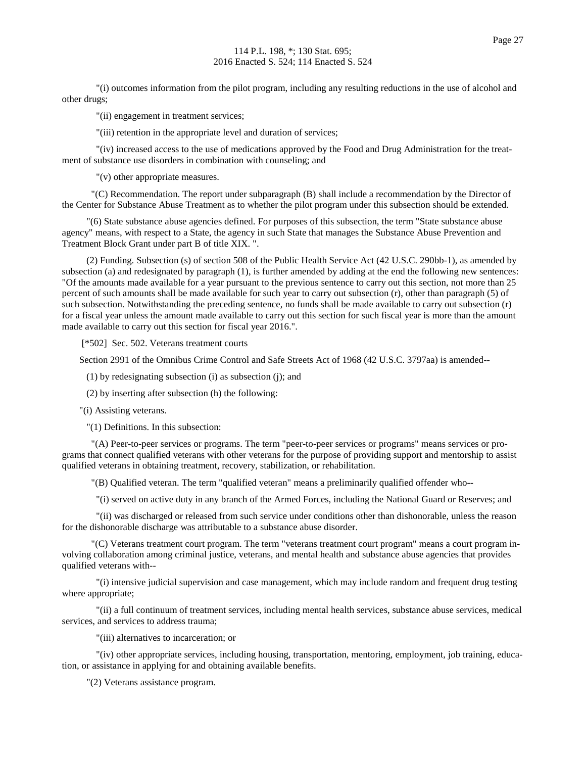"(i) outcomes information from the pilot program, including any resulting reductions in the use of alcohol and other drugs;

"(ii) engagement in treatment services;

"(iii) retention in the appropriate level and duration of services;

 "(iv) increased access to the use of medications approved by the Food and Drug Administration for the treatment of substance use disorders in combination with counseling; and

"(v) other appropriate measures.

 "(C) Recommendation. The report under subparagraph (B) shall include a recommendation by the Director of the Center for Substance Abuse Treatment as to whether the pilot program under this subsection should be extended.

 "(6) State substance abuse agencies defined. For purposes of this subsection, the term "State substance abuse agency" means, with respect to a State, the agency in such State that manages the Substance Abuse Prevention and Treatment Block Grant under part B of title XIX. ".

 (2) Funding. Subsection (s) of section 508 of the Public Health Service Act (42 U.S.C. 290bb-1), as amended by subsection (a) and redesignated by paragraph (1), is further amended by adding at the end the following new sentences: "Of the amounts made available for a year pursuant to the previous sentence to carry out this section, not more than 25 percent of such amounts shall be made available for such year to carry out subsection (r), other than paragraph (5) of such subsection. Notwithstanding the preceding sentence, no funds shall be made available to carry out subsection (r) for a fiscal year unless the amount made available to carry out this section for such fiscal year is more than the amount made available to carry out this section for fiscal year 2016.".

[\*502] Sec. 502. Veterans treatment courts

Section 2991 of the Omnibus Crime Control and Safe Streets Act of 1968 (42 U.S.C. 3797aa) is amended--

(1) by redesignating subsection (i) as subsection (j); and

(2) by inserting after subsection (h) the following:

"(i) Assisting veterans.

"(1) Definitions. In this subsection:

 "(A) Peer-to-peer services or programs. The term "peer-to-peer services or programs" means services or programs that connect qualified veterans with other veterans for the purpose of providing support and mentorship to assist qualified veterans in obtaining treatment, recovery, stabilization, or rehabilitation.

"(B) Qualified veteran. The term "qualified veteran" means a preliminarily qualified offender who--

"(i) served on active duty in any branch of the Armed Forces, including the National Guard or Reserves; and

 "(ii) was discharged or released from such service under conditions other than dishonorable, unless the reason for the dishonorable discharge was attributable to a substance abuse disorder.

 "(C) Veterans treatment court program. The term "veterans treatment court program" means a court program involving collaboration among criminal justice, veterans, and mental health and substance abuse agencies that provides qualified veterans with--

 "(i) intensive judicial supervision and case management, which may include random and frequent drug testing where appropriate;

 "(ii) a full continuum of treatment services, including mental health services, substance abuse services, medical services, and services to address trauma;

"(iii) alternatives to incarceration; or

 "(iv) other appropriate services, including housing, transportation, mentoring, employment, job training, education, or assistance in applying for and obtaining available benefits.

"(2) Veterans assistance program.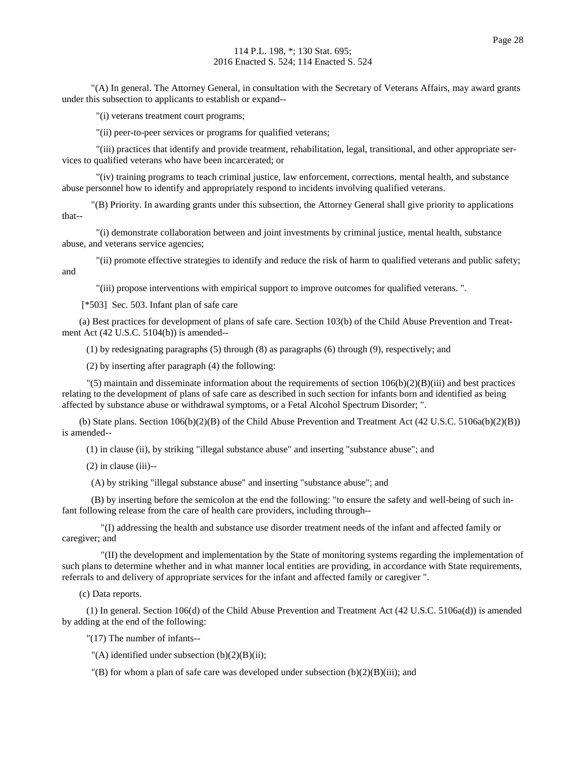"(A) In general. The Attorney General, in consultation with the Secretary of Veterans Affairs, may award grants under this subsection to applicants to establish or expand--

"(i) veterans treatment court programs;

"(ii) peer-to-peer services or programs for qualified veterans;

 "(iii) practices that identify and provide treatment, rehabilitation, legal, transitional, and other appropriate services to qualified veterans who have been incarcerated; or

 "(iv) training programs to teach criminal justice, law enforcement, corrections, mental health, and substance abuse personnel how to identify and appropriately respond to incidents involving qualified veterans.

 "(B) Priority. In awarding grants under this subsection, the Attorney General shall give priority to applications that--

 "(i) demonstrate collaboration between and joint investments by criminal justice, mental health, substance abuse, and veterans service agencies;

 "(ii) promote effective strategies to identify and reduce the risk of harm to qualified veterans and public safety; and

"(iii) propose interventions with empirical support to improve outcomes for qualified veterans. ".

[\*503] Sec. 503. Infant plan of safe care

(a) Best practices for development of plans of safe care. Section 103(b) of the Child Abuse Prevention and Treatment Act (42 U.S.C. 5104(b)) is amended--

(1) by redesignating paragraphs (5) through (8) as paragraphs (6) through (9), respectively; and

(2) by inserting after paragraph (4) the following:

"(5) maintain and disseminate information about the requirements of section  $106(b)(2)(B)(iii)$  and best practices relating to the development of plans of safe care as described in such section for infants born and identified as being affected by substance abuse or withdrawal symptoms, or a Fetal Alcohol Spectrum Disorder; ".

(b) State plans. Section  $106(b)(2)(B)$  of the Child Abuse Prevention and Treatment Act (42 U.S.C. 5106a(b)(2)(B)) is amended--

(1) in clause (ii), by striking "illegal substance abuse" and inserting "substance abuse"; and

 $(2)$  in clause (iii)--

(A) by striking "illegal substance abuse" and inserting "substance abuse"; and

 (B) by inserting before the semicolon at the end the following: "to ensure the safety and well-being of such infant following release from the care of health care providers, including through--

 "(I) addressing the health and substance use disorder treatment needs of the infant and affected family or caregiver; and

 "(II) the development and implementation by the State of monitoring systems regarding the implementation of such plans to determine whether and in what manner local entities are providing, in accordance with State requirements, referrals to and delivery of appropriate services for the infant and affected family or caregiver ".

(c) Data reports.

 (1) In general. Section 106(d) of the Child Abuse Prevention and Treatment Act (42 U.S.C. 5106a(d)) is amended by adding at the end of the following:

"(17) The number of infants--

 $''(A)$  identified under subsection  $(b)(2)(B)(ii)$ ;

 $\langle B \rangle$  for whom a plan of safe care was developed under subsection (b)(2)(B)(iii); and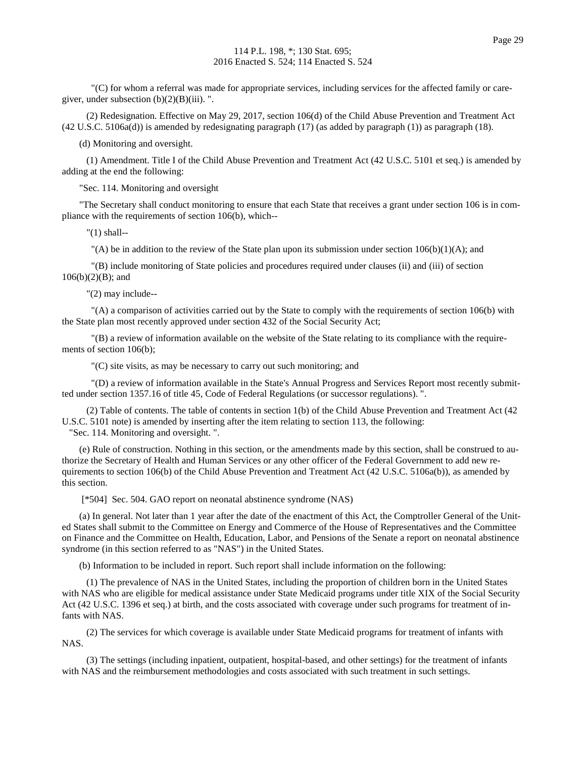"(C) for whom a referral was made for appropriate services, including services for the affected family or caregiver, under subsection  $(b)(2)(B)(iii)$ . ".

 (2) Redesignation. Effective on May 29, 2017, section 106(d) of the Child Abuse Prevention and Treatment Act (42 U.S.C. 5106a(d)) is amended by redesignating paragraph (17) (as added by paragraph (1)) as paragraph (18).

(d) Monitoring and oversight.

 (1) Amendment. Title I of the Child Abuse Prevention and Treatment Act (42 U.S.C. 5101 et seq.) is amended by adding at the end the following:

"Sec. 114. Monitoring and oversight

"The Secretary shall conduct monitoring to ensure that each State that receives a grant under section 106 is in compliance with the requirements of section 106(b), which--

"(1) shall--

 $(A)$  be in addition to the review of the State plan upon its submission under section  $106(b)(1)(A)$ ; and

 "(B) include monitoring of State policies and procedures required under clauses (ii) and (iii) of section 106(b)(2)(B); and

"(2) may include--

 "(A) a comparison of activities carried out by the State to comply with the requirements of section 106(b) with the State plan most recently approved under section 432 of the Social Security Act;

 "(B) a review of information available on the website of the State relating to its compliance with the requirements of section 106(b);

"(C) site visits, as may be necessary to carry out such monitoring; and

 "(D) a review of information available in the State's Annual Progress and Services Report most recently submitted under section 1357.16 of title 45, Code of Federal Regulations (or successor regulations). ".

 (2) Table of contents. The table of contents in section 1(b) of the Child Abuse Prevention and Treatment Act (42 U.S.C. 5101 note) is amended by inserting after the item relating to section 113, the following: "Sec. 114. Monitoring and oversight. ".

(e) Rule of construction. Nothing in this section, or the amendments made by this section, shall be construed to authorize the Secretary of Health and Human Services or any other officer of the Federal Government to add new requirements to section 106(b) of the Child Abuse Prevention and Treatment Act (42 U.S.C. 5106a(b)), as amended by this section.

[\*504] Sec. 504. GAO report on neonatal abstinence syndrome (NAS)

(a) In general. Not later than 1 year after the date of the enactment of this Act, the Comptroller General of the United States shall submit to the Committee on Energy and Commerce of the House of Representatives and the Committee on Finance and the Committee on Health, Education, Labor, and Pensions of the Senate a report on neonatal abstinence syndrome (in this section referred to as "NAS") in the United States.

(b) Information to be included in report. Such report shall include information on the following:

 (1) The prevalence of NAS in the United States, including the proportion of children born in the United States with NAS who are eligible for medical assistance under State Medicaid programs under title XIX of the Social Security Act (42 U.S.C. 1396 et seq.) at birth, and the costs associated with coverage under such programs for treatment of infants with NAS.

 (2) The services for which coverage is available under State Medicaid programs for treatment of infants with NAS.

 (3) The settings (including inpatient, outpatient, hospital-based, and other settings) for the treatment of infants with NAS and the reimbursement methodologies and costs associated with such treatment in such settings.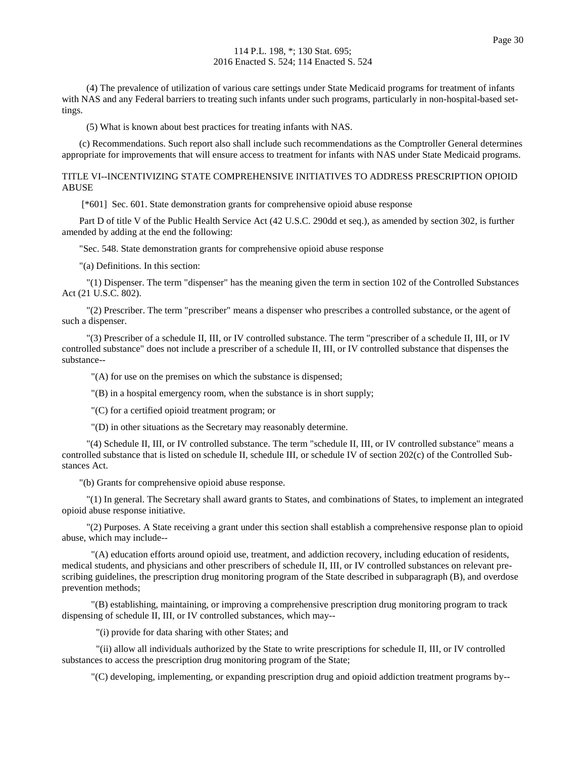(4) The prevalence of utilization of various care settings under State Medicaid programs for treatment of infants with NAS and any Federal barriers to treating such infants under such programs, particularly in non-hospital-based settings.

(5) What is known about best practices for treating infants with NAS.

(c) Recommendations. Such report also shall include such recommendations as the Comptroller General determines appropriate for improvements that will ensure access to treatment for infants with NAS under State Medicaid programs.

# TITLE VI--INCENTIVIZING STATE COMPREHENSIVE INITIATIVES TO ADDRESS PRESCRIPTION OPIOID ABUSE

[\*601] Sec. 601. State demonstration grants for comprehensive opioid abuse response

Part D of title V of the Public Health Service Act (42 U.S.C. 290dd et seq.), as amended by section 302, is further amended by adding at the end the following:

"Sec. 548. State demonstration grants for comprehensive opioid abuse response

"(a) Definitions. In this section:

 "(1) Dispenser. The term "dispenser" has the meaning given the term in section 102 of the Controlled Substances Act (21 U.S.C. 802).

 "(2) Prescriber. The term "prescriber" means a dispenser who prescribes a controlled substance, or the agent of such a dispenser.

 "(3) Prescriber of a schedule II, III, or IV controlled substance. The term "prescriber of a schedule II, III, or IV controlled substance" does not include a prescriber of a schedule II, III, or IV controlled substance that dispenses the substance--

"(A) for use on the premises on which the substance is dispensed;

"(B) in a hospital emergency room, when the substance is in short supply;

"(C) for a certified opioid treatment program; or

"(D) in other situations as the Secretary may reasonably determine.

 "(4) Schedule II, III, or IV controlled substance. The term "schedule II, III, or IV controlled substance" means a controlled substance that is listed on schedule II, schedule III, or schedule IV of section 202(c) of the Controlled Substances Act.

"(b) Grants for comprehensive opioid abuse response.

 "(1) In general. The Secretary shall award grants to States, and combinations of States, to implement an integrated opioid abuse response initiative.

 "(2) Purposes. A State receiving a grant under this section shall establish a comprehensive response plan to opioid abuse, which may include--

 "(A) education efforts around opioid use, treatment, and addiction recovery, including education of residents, medical students, and physicians and other prescribers of schedule II, III, or IV controlled substances on relevant prescribing guidelines, the prescription drug monitoring program of the State described in subparagraph (B), and overdose prevention methods;

 "(B) establishing, maintaining, or improving a comprehensive prescription drug monitoring program to track dispensing of schedule II, III, or IV controlled substances, which may--

"(i) provide for data sharing with other States; and

 "(ii) allow all individuals authorized by the State to write prescriptions for schedule II, III, or IV controlled substances to access the prescription drug monitoring program of the State;

"(C) developing, implementing, or expanding prescription drug and opioid addiction treatment programs by--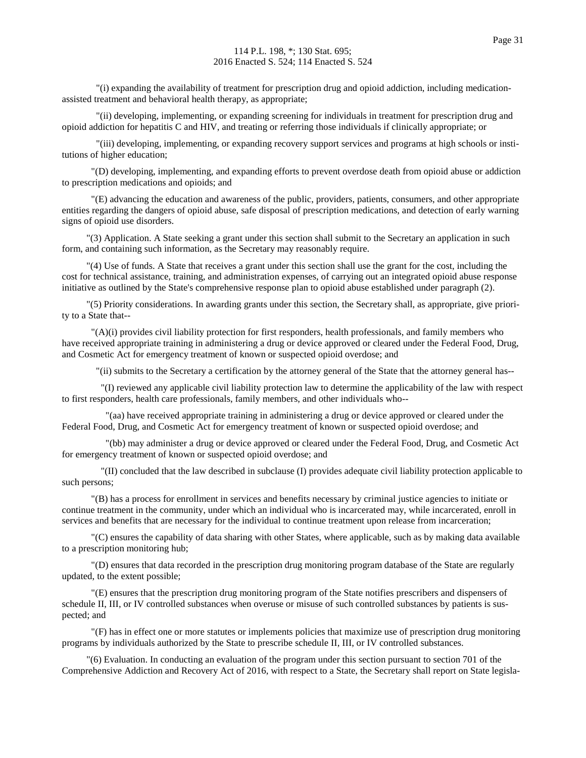"(i) expanding the availability of treatment for prescription drug and opioid addiction, including medicationassisted treatment and behavioral health therapy, as appropriate;

 "(ii) developing, implementing, or expanding screening for individuals in treatment for prescription drug and opioid addiction for hepatitis C and HIV, and treating or referring those individuals if clinically appropriate; or

 "(iii) developing, implementing, or expanding recovery support services and programs at high schools or institutions of higher education;

 "(D) developing, implementing, and expanding efforts to prevent overdose death from opioid abuse or addiction to prescription medications and opioids; and

 "(E) advancing the education and awareness of the public, providers, patients, consumers, and other appropriate entities regarding the dangers of opioid abuse, safe disposal of prescription medications, and detection of early warning signs of opioid use disorders.

 "(3) Application. A State seeking a grant under this section shall submit to the Secretary an application in such form, and containing such information, as the Secretary may reasonably require.

 "(4) Use of funds. A State that receives a grant under this section shall use the grant for the cost, including the cost for technical assistance, training, and administration expenses, of carrying out an integrated opioid abuse response initiative as outlined by the State's comprehensive response plan to opioid abuse established under paragraph (2).

 "(5) Priority considerations. In awarding grants under this section, the Secretary shall, as appropriate, give priority to a State that--

 "(A)(i) provides civil liability protection for first responders, health professionals, and family members who have received appropriate training in administering a drug or device approved or cleared under the Federal Food, Drug, and Cosmetic Act for emergency treatment of known or suspected opioid overdose; and

"(ii) submits to the Secretary a certification by the attorney general of the State that the attorney general has--

 "(I) reviewed any applicable civil liability protection law to determine the applicability of the law with respect to first responders, health care professionals, family members, and other individuals who--

 "(aa) have received appropriate training in administering a drug or device approved or cleared under the Federal Food, Drug, and Cosmetic Act for emergency treatment of known or suspected opioid overdose; and

 "(bb) may administer a drug or device approved or cleared under the Federal Food, Drug, and Cosmetic Act for emergency treatment of known or suspected opioid overdose; and

 "(II) concluded that the law described in subclause (I) provides adequate civil liability protection applicable to such persons;

 "(B) has a process for enrollment in services and benefits necessary by criminal justice agencies to initiate or continue treatment in the community, under which an individual who is incarcerated may, while incarcerated, enroll in services and benefits that are necessary for the individual to continue treatment upon release from incarceration;

 "(C) ensures the capability of data sharing with other States, where applicable, such as by making data available to a prescription monitoring hub;

 "(D) ensures that data recorded in the prescription drug monitoring program database of the State are regularly updated, to the extent possible;

 "(E) ensures that the prescription drug monitoring program of the State notifies prescribers and dispensers of schedule II, III, or IV controlled substances when overuse or misuse of such controlled substances by patients is suspected; and

 "(F) has in effect one or more statutes or implements policies that maximize use of prescription drug monitoring programs by individuals authorized by the State to prescribe schedule II, III, or IV controlled substances.

 "(6) Evaluation. In conducting an evaluation of the program under this section pursuant to section 701 of the Comprehensive Addiction and Recovery Act of 2016, with respect to a State, the Secretary shall report on State legisla-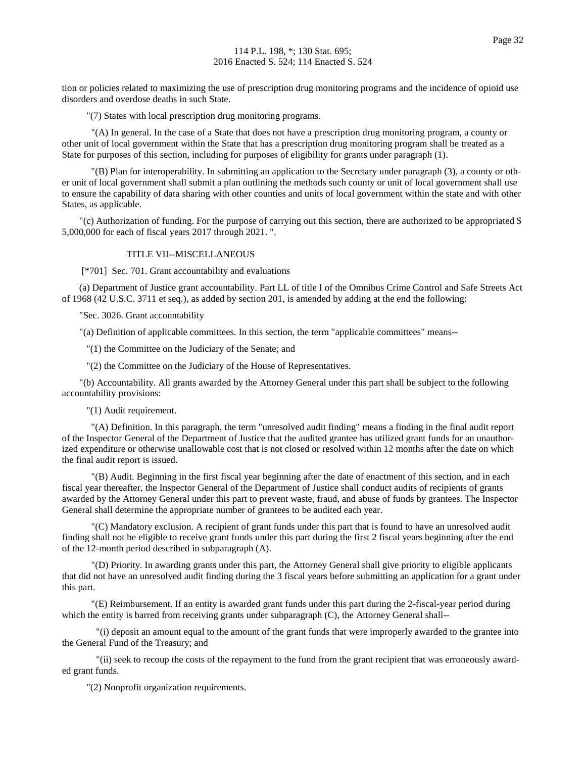tion or policies related to maximizing the use of prescription drug monitoring programs and the incidence of opioid use disorders and overdose deaths in such State.

"(7) States with local prescription drug monitoring programs.

 "(A) In general. In the case of a State that does not have a prescription drug monitoring program, a county or other unit of local government within the State that has a prescription drug monitoring program shall be treated as a State for purposes of this section, including for purposes of eligibility for grants under paragraph (1).

 "(B) Plan for interoperability. In submitting an application to the Secretary under paragraph (3), a county or other unit of local government shall submit a plan outlining the methods such county or unit of local government shall use to ensure the capability of data sharing with other counties and units of local government within the state and with other States, as applicable.

"(c) Authorization of funding. For the purpose of carrying out this section, there are authorized to be appropriated \$ 5,000,000 for each of fiscal years 2017 through 2021. ".

#### TITLE VII--MISCELLANEOUS

[\*701] Sec. 701. Grant accountability and evaluations

(a) Department of Justice grant accountability. Part LL of title I of the Omnibus Crime Control and Safe Streets Act of 1968 (42 U.S.C. 3711 et seq.), as added by section 201, is amended by adding at the end the following:

"Sec. 3026. Grant accountability

"(a) Definition of applicable committees. In this section, the term "applicable committees" means--

"(1) the Committee on the Judiciary of the Senate; and

"(2) the Committee on the Judiciary of the House of Representatives.

"(b) Accountability. All grants awarded by the Attorney General under this part shall be subject to the following accountability provisions:

"(1) Audit requirement.

 "(A) Definition. In this paragraph, the term "unresolved audit finding" means a finding in the final audit report of the Inspector General of the Department of Justice that the audited grantee has utilized grant funds for an unauthorized expenditure or otherwise unallowable cost that is not closed or resolved within 12 months after the date on which the final audit report is issued.

 "(B) Audit. Beginning in the first fiscal year beginning after the date of enactment of this section, and in each fiscal year thereafter, the Inspector General of the Department of Justice shall conduct audits of recipients of grants awarded by the Attorney General under this part to prevent waste, fraud, and abuse of funds by grantees. The Inspector General shall determine the appropriate number of grantees to be audited each year.

 "(C) Mandatory exclusion. A recipient of grant funds under this part that is found to have an unresolved audit finding shall not be eligible to receive grant funds under this part during the first 2 fiscal years beginning after the end of the 12-month period described in subparagraph (A).

 "(D) Priority. In awarding grants under this part, the Attorney General shall give priority to eligible applicants that did not have an unresolved audit finding during the 3 fiscal years before submitting an application for a grant under this part.

 "(E) Reimbursement. If an entity is awarded grant funds under this part during the 2-fiscal-year period during which the entity is barred from receiving grants under subparagraph (C), the Attorney General shall--

 "(i) deposit an amount equal to the amount of the grant funds that were improperly awarded to the grantee into the General Fund of the Treasury; and

 "(ii) seek to recoup the costs of the repayment to the fund from the grant recipient that was erroneously awarded grant funds.

"(2) Nonprofit organization requirements.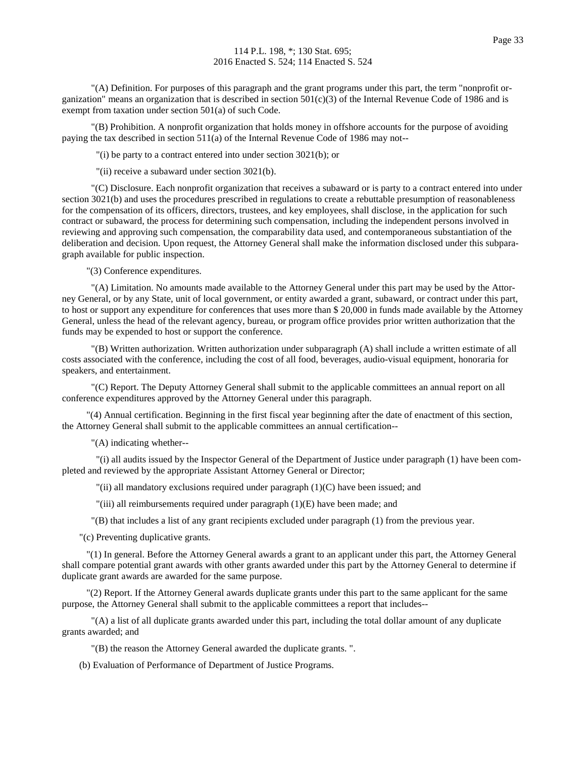"(A) Definition. For purposes of this paragraph and the grant programs under this part, the term "nonprofit organization" means an organization that is described in section  $501(c)(3)$  of the Internal Revenue Code of 1986 and is exempt from taxation under section 501(a) of such Code.

 "(B) Prohibition. A nonprofit organization that holds money in offshore accounts for the purpose of avoiding paying the tax described in section 511(a) of the Internal Revenue Code of 1986 may not--

"(i) be party to a contract entered into under section 3021(b); or

"(ii) receive a subaward under section 3021(b).

 "(C) Disclosure. Each nonprofit organization that receives a subaward or is party to a contract entered into under section 3021(b) and uses the procedures prescribed in regulations to create a rebuttable presumption of reasonableness for the compensation of its officers, directors, trustees, and key employees, shall disclose, in the application for such contract or subaward, the process for determining such compensation, including the independent persons involved in reviewing and approving such compensation, the comparability data used, and contemporaneous substantiation of the deliberation and decision. Upon request, the Attorney General shall make the information disclosed under this subparagraph available for public inspection.

"(3) Conference expenditures.

 "(A) Limitation. No amounts made available to the Attorney General under this part may be used by the Attorney General, or by any State, unit of local government, or entity awarded a grant, subaward, or contract under this part, to host or support any expenditure for conferences that uses more than \$ 20,000 in funds made available by the Attorney General, unless the head of the relevant agency, bureau, or program office provides prior written authorization that the funds may be expended to host or support the conference.

 "(B) Written authorization. Written authorization under subparagraph (A) shall include a written estimate of all costs associated with the conference, including the cost of all food, beverages, audio-visual equipment, honoraria for speakers, and entertainment.

 "(C) Report. The Deputy Attorney General shall submit to the applicable committees an annual report on all conference expenditures approved by the Attorney General under this paragraph.

 "(4) Annual certification. Beginning in the first fiscal year beginning after the date of enactment of this section, the Attorney General shall submit to the applicable committees an annual certification--

"(A) indicating whether--

 "(i) all audits issued by the Inspector General of the Department of Justice under paragraph (1) have been completed and reviewed by the appropriate Assistant Attorney General or Director;

 $\lceil$  (ii) all mandatory exclusions required under paragraph (1)(C) have been issued; and

"(iii) all reimbursements required under paragraph (1)(E) have been made; and

"(B) that includes a list of any grant recipients excluded under paragraph (1) from the previous year.

"(c) Preventing duplicative grants.

 "(1) In general. Before the Attorney General awards a grant to an applicant under this part, the Attorney General shall compare potential grant awards with other grants awarded under this part by the Attorney General to determine if duplicate grant awards are awarded for the same purpose.

 "(2) Report. If the Attorney General awards duplicate grants under this part to the same applicant for the same purpose, the Attorney General shall submit to the applicable committees a report that includes--

 "(A) a list of all duplicate grants awarded under this part, including the total dollar amount of any duplicate grants awarded; and

"(B) the reason the Attorney General awarded the duplicate grants. ".

(b) Evaluation of Performance of Department of Justice Programs.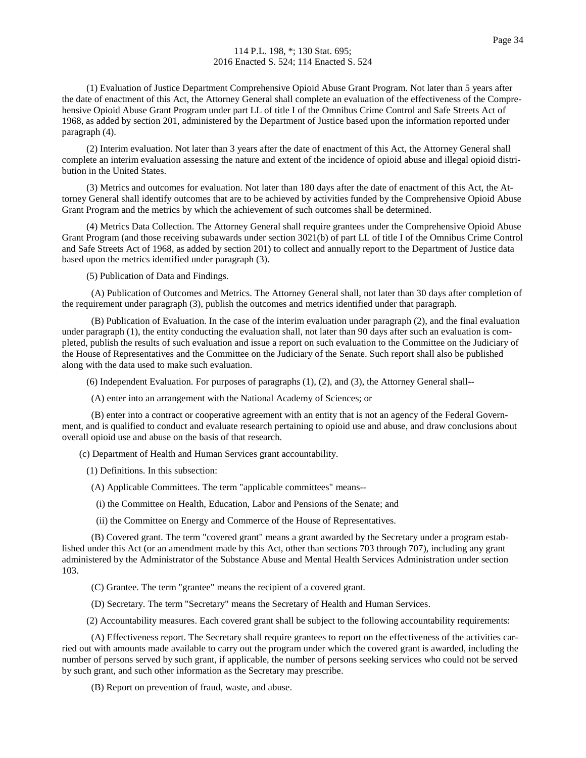(1) Evaluation of Justice Department Comprehensive Opioid Abuse Grant Program. Not later than 5 years after the date of enactment of this Act, the Attorney General shall complete an evaluation of the effectiveness of the Comprehensive Opioid Abuse Grant Program under part LL of title I of the Omnibus Crime Control and Safe Streets Act of 1968, as added by section 201, administered by the Department of Justice based upon the information reported under paragraph (4).

 (2) Interim evaluation. Not later than 3 years after the date of enactment of this Act, the Attorney General shall complete an interim evaluation assessing the nature and extent of the incidence of opioid abuse and illegal opioid distribution in the United States.

 (3) Metrics and outcomes for evaluation. Not later than 180 days after the date of enactment of this Act, the Attorney General shall identify outcomes that are to be achieved by activities funded by the Comprehensive Opioid Abuse Grant Program and the metrics by which the achievement of such outcomes shall be determined.

 (4) Metrics Data Collection. The Attorney General shall require grantees under the Comprehensive Opioid Abuse Grant Program (and those receiving subawards under section 3021(b) of part LL of title I of the Omnibus Crime Control and Safe Streets Act of 1968, as added by section 201) to collect and annually report to the Department of Justice data based upon the metrics identified under paragraph (3).

(5) Publication of Data and Findings.

 (A) Publication of Outcomes and Metrics. The Attorney General shall, not later than 30 days after completion of the requirement under paragraph (3), publish the outcomes and metrics identified under that paragraph.

 (B) Publication of Evaluation. In the case of the interim evaluation under paragraph (2), and the final evaluation under paragraph (1), the entity conducting the evaluation shall, not later than 90 days after such an evaluation is completed, publish the results of such evaluation and issue a report on such evaluation to the Committee on the Judiciary of the House of Representatives and the Committee on the Judiciary of the Senate. Such report shall also be published along with the data used to make such evaluation.

(6) Independent Evaluation. For purposes of paragraphs (1), (2), and (3), the Attorney General shall--

(A) enter into an arrangement with the National Academy of Sciences; or

 (B) enter into a contract or cooperative agreement with an entity that is not an agency of the Federal Government, and is qualified to conduct and evaluate research pertaining to opioid use and abuse, and draw conclusions about overall opioid use and abuse on the basis of that research.

(c) Department of Health and Human Services grant accountability.

(1) Definitions. In this subsection:

(A) Applicable Committees. The term "applicable committees" means--

(i) the Committee on Health, Education, Labor and Pensions of the Senate; and

(ii) the Committee on Energy and Commerce of the House of Representatives.

 (B) Covered grant. The term "covered grant" means a grant awarded by the Secretary under a program established under this Act (or an amendment made by this Act, other than sections 703 through 707), including any grant administered by the Administrator of the Substance Abuse and Mental Health Services Administration under section 103.

(C) Grantee. The term "grantee" means the recipient of a covered grant.

(D) Secretary. The term "Secretary" means the Secretary of Health and Human Services.

(2) Accountability measures. Each covered grant shall be subject to the following accountability requirements:

 (A) Effectiveness report. The Secretary shall require grantees to report on the effectiveness of the activities carried out with amounts made available to carry out the program under which the covered grant is awarded, including the number of persons served by such grant, if applicable, the number of persons seeking services who could not be served by such grant, and such other information as the Secretary may prescribe.

(B) Report on prevention of fraud, waste, and abuse.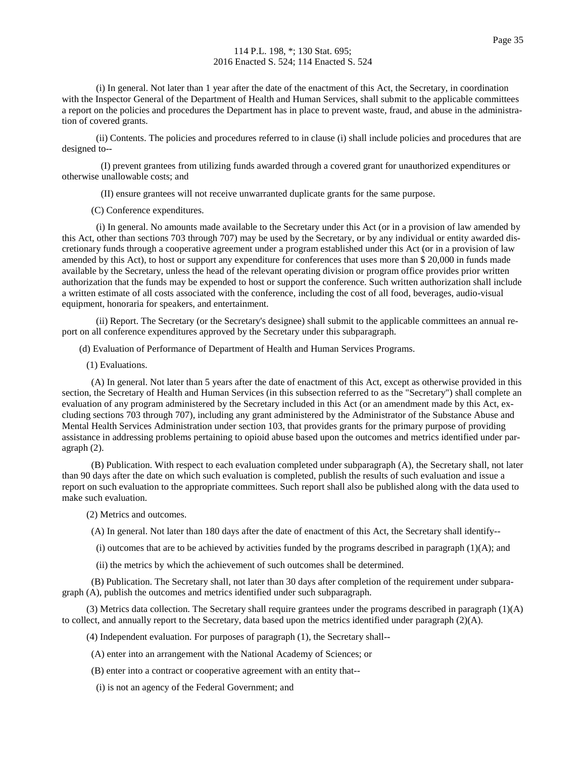(i) In general. Not later than 1 year after the date of the enactment of this Act, the Secretary, in coordination with the Inspector General of the Department of Health and Human Services, shall submit to the applicable committees a report on the policies and procedures the Department has in place to prevent waste, fraud, and abuse in the administration of covered grants.

 (ii) Contents. The policies and procedures referred to in clause (i) shall include policies and procedures that are designed to--

 (I) prevent grantees from utilizing funds awarded through a covered grant for unauthorized expenditures or otherwise unallowable costs; and

(II) ensure grantees will not receive unwarranted duplicate grants for the same purpose.

(C) Conference expenditures.

 (i) In general. No amounts made available to the Secretary under this Act (or in a provision of law amended by this Act, other than sections 703 through 707) may be used by the Secretary, or by any individual or entity awarded discretionary funds through a cooperative agreement under a program established under this Act (or in a provision of law amended by this Act), to host or support any expenditure for conferences that uses more than \$ 20,000 in funds made available by the Secretary, unless the head of the relevant operating division or program office provides prior written authorization that the funds may be expended to host or support the conference. Such written authorization shall include a written estimate of all costs associated with the conference, including the cost of all food, beverages, audio-visual equipment, honoraria for speakers, and entertainment.

 (ii) Report. The Secretary (or the Secretary's designee) shall submit to the applicable committees an annual report on all conference expenditures approved by the Secretary under this subparagraph.

(d) Evaluation of Performance of Department of Health and Human Services Programs.

(1) Evaluations.

 (A) In general. Not later than 5 years after the date of enactment of this Act, except as otherwise provided in this section, the Secretary of Health and Human Services (in this subsection referred to as the "Secretary") shall complete an evaluation of any program administered by the Secretary included in this Act (or an amendment made by this Act, excluding sections 703 through 707), including any grant administered by the Administrator of the Substance Abuse and Mental Health Services Administration under section 103, that provides grants for the primary purpose of providing assistance in addressing problems pertaining to opioid abuse based upon the outcomes and metrics identified under paragraph (2).

 (B) Publication. With respect to each evaluation completed under subparagraph (A), the Secretary shall, not later than 90 days after the date on which such evaluation is completed, publish the results of such evaluation and issue a report on such evaluation to the appropriate committees. Such report shall also be published along with the data used to make such evaluation.

(2) Metrics and outcomes.

(A) In general. Not later than 180 days after the date of enactment of this Act, the Secretary shall identify--

(i) outcomes that are to be achieved by activities funded by the programs described in paragraph  $(1)(A)$ ; and

(ii) the metrics by which the achievement of such outcomes shall be determined.

 (B) Publication. The Secretary shall, not later than 30 days after completion of the requirement under subparagraph (A), publish the outcomes and metrics identified under such subparagraph.

 (3) Metrics data collection. The Secretary shall require grantees under the programs described in paragraph (1)(A) to collect, and annually report to the Secretary, data based upon the metrics identified under paragraph (2)(A).

(4) Independent evaluation. For purposes of paragraph (1), the Secretary shall--

(A) enter into an arrangement with the National Academy of Sciences; or

(B) enter into a contract or cooperative agreement with an entity that--

(i) is not an agency of the Federal Government; and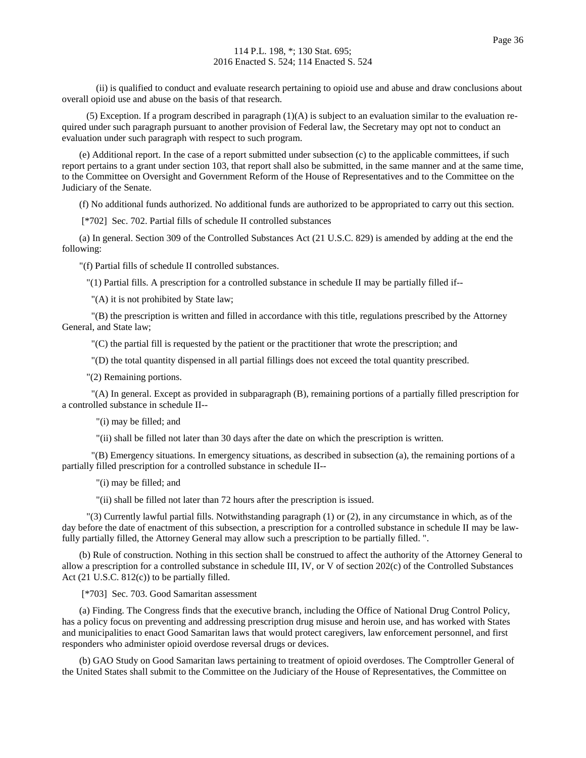(ii) is qualified to conduct and evaluate research pertaining to opioid use and abuse and draw conclusions about overall opioid use and abuse on the basis of that research.

(5) Exception. If a program described in paragraph  $(1)(A)$  is subject to an evaluation similar to the evaluation required under such paragraph pursuant to another provision of Federal law, the Secretary may opt not to conduct an evaluation under such paragraph with respect to such program.

(e) Additional report. In the case of a report submitted under subsection (c) to the applicable committees, if such report pertains to a grant under section 103, that report shall also be submitted, in the same manner and at the same time, to the Committee on Oversight and Government Reform of the House of Representatives and to the Committee on the Judiciary of the Senate.

(f) No additional funds authorized. No additional funds are authorized to be appropriated to carry out this section.

[\*702] Sec. 702. Partial fills of schedule II controlled substances

(a) In general. Section 309 of the Controlled Substances Act (21 U.S.C. 829) is amended by adding at the end the following:

"(f) Partial fills of schedule II controlled substances.

"(1) Partial fills. A prescription for a controlled substance in schedule II may be partially filled if--

"(A) it is not prohibited by State law;

 "(B) the prescription is written and filled in accordance with this title, regulations prescribed by the Attorney General, and State law;

"(C) the partial fill is requested by the patient or the practitioner that wrote the prescription; and

"(D) the total quantity dispensed in all partial fillings does not exceed the total quantity prescribed.

"(2) Remaining portions.

 "(A) In general. Except as provided in subparagraph (B), remaining portions of a partially filled prescription for a controlled substance in schedule II--

"(i) may be filled; and

"(ii) shall be filled not later than 30 days after the date on which the prescription is written.

 "(B) Emergency situations. In emergency situations, as described in subsection (a), the remaining portions of a partially filled prescription for a controlled substance in schedule II--

"(i) may be filled; and

"(ii) shall be filled not later than 72 hours after the prescription is issued.

 "(3) Currently lawful partial fills. Notwithstanding paragraph (1) or (2), in any circumstance in which, as of the day before the date of enactment of this subsection, a prescription for a controlled substance in schedule II may be lawfully partially filled, the Attorney General may allow such a prescription to be partially filled. ".

(b) Rule of construction. Nothing in this section shall be construed to affect the authority of the Attorney General to allow a prescription for a controlled substance in schedule III, IV, or V of section 202(c) of the Controlled Substances Act (21 U.S.C. 812(c)) to be partially filled.

[\*703] Sec. 703. Good Samaritan assessment

(a) Finding. The Congress finds that the executive branch, including the Office of National Drug Control Policy, has a policy focus on preventing and addressing prescription drug misuse and heroin use, and has worked with States and municipalities to enact Good Samaritan laws that would protect caregivers, law enforcement personnel, and first responders who administer opioid overdose reversal drugs or devices.

(b) GAO Study on Good Samaritan laws pertaining to treatment of opioid overdoses. The Comptroller General of the United States shall submit to the Committee on the Judiciary of the House of Representatives, the Committee on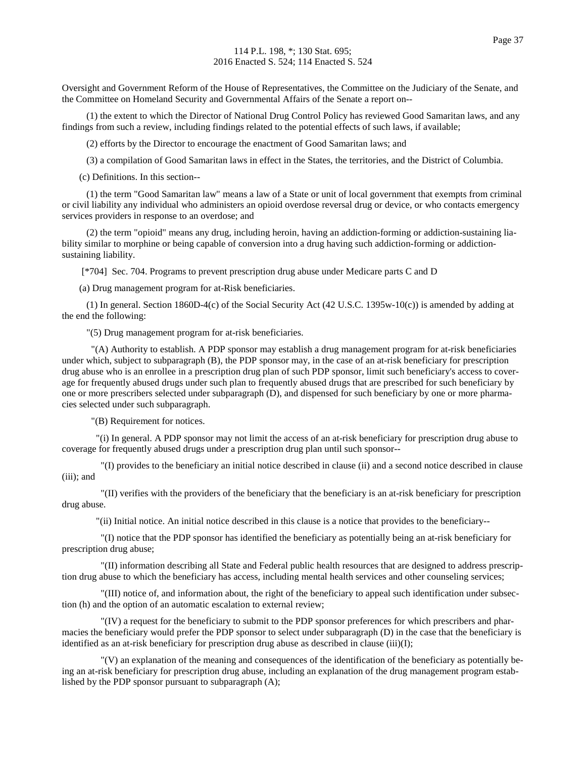Oversight and Government Reform of the House of Representatives, the Committee on the Judiciary of the Senate, and the Committee on Homeland Security and Governmental Affairs of the Senate a report on--

 (1) the extent to which the Director of National Drug Control Policy has reviewed Good Samaritan laws, and any findings from such a review, including findings related to the potential effects of such laws, if available;

(2) efforts by the Director to encourage the enactment of Good Samaritan laws; and

(3) a compilation of Good Samaritan laws in effect in the States, the territories, and the District of Columbia.

(c) Definitions. In this section--

 (1) the term "Good Samaritan law" means a law of a State or unit of local government that exempts from criminal or civil liability any individual who administers an opioid overdose reversal drug or device, or who contacts emergency services providers in response to an overdose; and

 (2) the term "opioid" means any drug, including heroin, having an addiction-forming or addiction-sustaining liability similar to morphine or being capable of conversion into a drug having such addiction-forming or addictionsustaining liability.

[\*704] Sec. 704. Programs to prevent prescription drug abuse under Medicare parts C and D

(a) Drug management program for at-Risk beneficiaries.

 (1) In general. Section 1860D-4(c) of the Social Security Act (42 U.S.C. 1395w-10(c)) is amended by adding at the end the following:

"(5) Drug management program for at-risk beneficiaries.

 "(A) Authority to establish. A PDP sponsor may establish a drug management program for at-risk beneficiaries under which, subject to subparagraph (B), the PDP sponsor may, in the case of an at-risk beneficiary for prescription drug abuse who is an enrollee in a prescription drug plan of such PDP sponsor, limit such beneficiary's access to coverage for frequently abused drugs under such plan to frequently abused drugs that are prescribed for such beneficiary by one or more prescribers selected under subparagraph (D), and dispensed for such beneficiary by one or more pharmacies selected under such subparagraph.

"(B) Requirement for notices.

 "(i) In general. A PDP sponsor may not limit the access of an at-risk beneficiary for prescription drug abuse to coverage for frequently abused drugs under a prescription drug plan until such sponsor--

 "(I) provides to the beneficiary an initial notice described in clause (ii) and a second notice described in clause (iii); and

 "(II) verifies with the providers of the beneficiary that the beneficiary is an at-risk beneficiary for prescription drug abuse.

"(ii) Initial notice. An initial notice described in this clause is a notice that provides to the beneficiary--

 "(I) notice that the PDP sponsor has identified the beneficiary as potentially being an at-risk beneficiary for prescription drug abuse;

 "(II) information describing all State and Federal public health resources that are designed to address prescription drug abuse to which the beneficiary has access, including mental health services and other counseling services;

 "(III) notice of, and information about, the right of the beneficiary to appeal such identification under subsection (h) and the option of an automatic escalation to external review;

 "(IV) a request for the beneficiary to submit to the PDP sponsor preferences for which prescribers and pharmacies the beneficiary would prefer the PDP sponsor to select under subparagraph (D) in the case that the beneficiary is identified as an at-risk beneficiary for prescription drug abuse as described in clause (iii)(I);

 "(V) an explanation of the meaning and consequences of the identification of the beneficiary as potentially being an at-risk beneficiary for prescription drug abuse, including an explanation of the drug management program established by the PDP sponsor pursuant to subparagraph (A);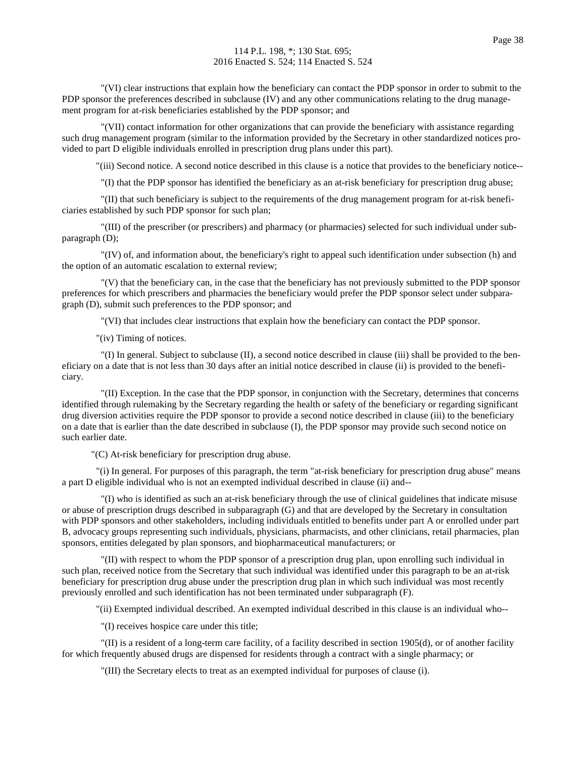"(VI) clear instructions that explain how the beneficiary can contact the PDP sponsor in order to submit to the PDP sponsor the preferences described in subclause (IV) and any other communications relating to the drug management program for at-risk beneficiaries established by the PDP sponsor; and

 "(VII) contact information for other organizations that can provide the beneficiary with assistance regarding such drug management program (similar to the information provided by the Secretary in other standardized notices provided to part D eligible individuals enrolled in prescription drug plans under this part).

"(iii) Second notice. A second notice described in this clause is a notice that provides to the beneficiary notice--

"(I) that the PDP sponsor has identified the beneficiary as an at-risk beneficiary for prescription drug abuse;

 "(II) that such beneficiary is subject to the requirements of the drug management program for at-risk beneficiaries established by such PDP sponsor for such plan;

 "(III) of the prescriber (or prescribers) and pharmacy (or pharmacies) selected for such individual under subparagraph (D);

 "(IV) of, and information about, the beneficiary's right to appeal such identification under subsection (h) and the option of an automatic escalation to external review;

 "(V) that the beneficiary can, in the case that the beneficiary has not previously submitted to the PDP sponsor preferences for which prescribers and pharmacies the beneficiary would prefer the PDP sponsor select under subparagraph (D), submit such preferences to the PDP sponsor; and

"(VI) that includes clear instructions that explain how the beneficiary can contact the PDP sponsor.

"(iv) Timing of notices.

 "(I) In general. Subject to subclause (II), a second notice described in clause (iii) shall be provided to the beneficiary on a date that is not less than 30 days after an initial notice described in clause (ii) is provided to the beneficiary.

 "(II) Exception. In the case that the PDP sponsor, in conjunction with the Secretary, determines that concerns identified through rulemaking by the Secretary regarding the health or safety of the beneficiary or regarding significant drug diversion activities require the PDP sponsor to provide a second notice described in clause (iii) to the beneficiary on a date that is earlier than the date described in subclause (I), the PDP sponsor may provide such second notice on such earlier date.

"(C) At-risk beneficiary for prescription drug abuse.

 "(i) In general. For purposes of this paragraph, the term "at-risk beneficiary for prescription drug abuse" means a part D eligible individual who is not an exempted individual described in clause (ii) and--

 "(I) who is identified as such an at-risk beneficiary through the use of clinical guidelines that indicate misuse or abuse of prescription drugs described in subparagraph (G) and that are developed by the Secretary in consultation with PDP sponsors and other stakeholders, including individuals entitled to benefits under part A or enrolled under part B, advocacy groups representing such individuals, physicians, pharmacists, and other clinicians, retail pharmacies, plan sponsors, entities delegated by plan sponsors, and biopharmaceutical manufacturers; or

 "(II) with respect to whom the PDP sponsor of a prescription drug plan, upon enrolling such individual in such plan, received notice from the Secretary that such individual was identified under this paragraph to be an at-risk beneficiary for prescription drug abuse under the prescription drug plan in which such individual was most recently previously enrolled and such identification has not been terminated under subparagraph (F).

"(ii) Exempted individual described. An exempted individual described in this clause is an individual who--

"(I) receives hospice care under this title;

 "(II) is a resident of a long-term care facility, of a facility described in section 1905(d), or of another facility for which frequently abused drugs are dispensed for residents through a contract with a single pharmacy; or

"(III) the Secretary elects to treat as an exempted individual for purposes of clause (i).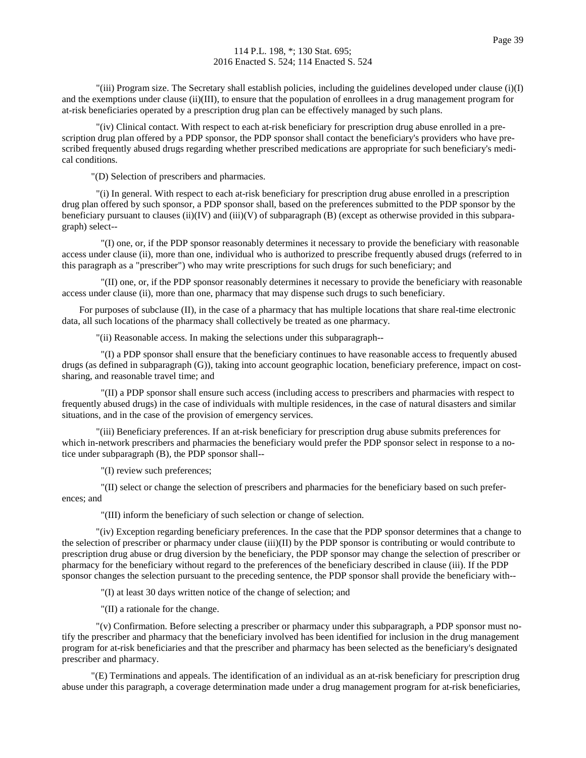$\tilde{f}$  (iii) Program size. The Secretary shall establish policies, including the guidelines developed under clause (i)(I) and the exemptions under clause (ii)(III), to ensure that the population of enrollees in a drug management program for at-risk beneficiaries operated by a prescription drug plan can be effectively managed by such plans.

 "(iv) Clinical contact. With respect to each at-risk beneficiary for prescription drug abuse enrolled in a prescription drug plan offered by a PDP sponsor, the PDP sponsor shall contact the beneficiary's providers who have prescribed frequently abused drugs regarding whether prescribed medications are appropriate for such beneficiary's medical conditions.

"(D) Selection of prescribers and pharmacies.

 "(i) In general. With respect to each at-risk beneficiary for prescription drug abuse enrolled in a prescription drug plan offered by such sponsor, a PDP sponsor shall, based on the preferences submitted to the PDP sponsor by the beneficiary pursuant to clauses (ii)(IV) and (iii)(V) of subparagraph (B) (except as otherwise provided in this subparagraph) select--

 "(I) one, or, if the PDP sponsor reasonably determines it necessary to provide the beneficiary with reasonable access under clause (ii), more than one, individual who is authorized to prescribe frequently abused drugs (referred to in this paragraph as a "prescriber") who may write prescriptions for such drugs for such beneficiary; and

 "(II) one, or, if the PDP sponsor reasonably determines it necessary to provide the beneficiary with reasonable access under clause (ii), more than one, pharmacy that may dispense such drugs to such beneficiary.

For purposes of subclause (II), in the case of a pharmacy that has multiple locations that share real-time electronic data, all such locations of the pharmacy shall collectively be treated as one pharmacy.

"(ii) Reasonable access. In making the selections under this subparagraph--

 "(I) a PDP sponsor shall ensure that the beneficiary continues to have reasonable access to frequently abused drugs (as defined in subparagraph (G)), taking into account geographic location, beneficiary preference, impact on costsharing, and reasonable travel time; and

 "(II) a PDP sponsor shall ensure such access (including access to prescribers and pharmacies with respect to frequently abused drugs) in the case of individuals with multiple residences, in the case of natural disasters and similar situations, and in the case of the provision of emergency services.

 "(iii) Beneficiary preferences. If an at-risk beneficiary for prescription drug abuse submits preferences for which in-network prescribers and pharmacies the beneficiary would prefer the PDP sponsor select in response to a notice under subparagraph (B), the PDP sponsor shall--

"(I) review such preferences;

 "(II) select or change the selection of prescribers and pharmacies for the beneficiary based on such preferences; and

"(III) inform the beneficiary of such selection or change of selection.

 "(iv) Exception regarding beneficiary preferences. In the case that the PDP sponsor determines that a change to the selection of prescriber or pharmacy under clause  $(iii)(II)$  by the PDP sponsor is contributing or would contribute to prescription drug abuse or drug diversion by the beneficiary, the PDP sponsor may change the selection of prescriber or pharmacy for the beneficiary without regard to the preferences of the beneficiary described in clause (iii). If the PDP sponsor changes the selection pursuant to the preceding sentence, the PDP sponsor shall provide the beneficiary with--

"(I) at least 30 days written notice of the change of selection; and

"(II) a rationale for the change.

 "(v) Confirmation. Before selecting a prescriber or pharmacy under this subparagraph, a PDP sponsor must notify the prescriber and pharmacy that the beneficiary involved has been identified for inclusion in the drug management program for at-risk beneficiaries and that the prescriber and pharmacy has been selected as the beneficiary's designated prescriber and pharmacy.

 "(E) Terminations and appeals. The identification of an individual as an at-risk beneficiary for prescription drug abuse under this paragraph, a coverage determination made under a drug management program for at-risk beneficiaries,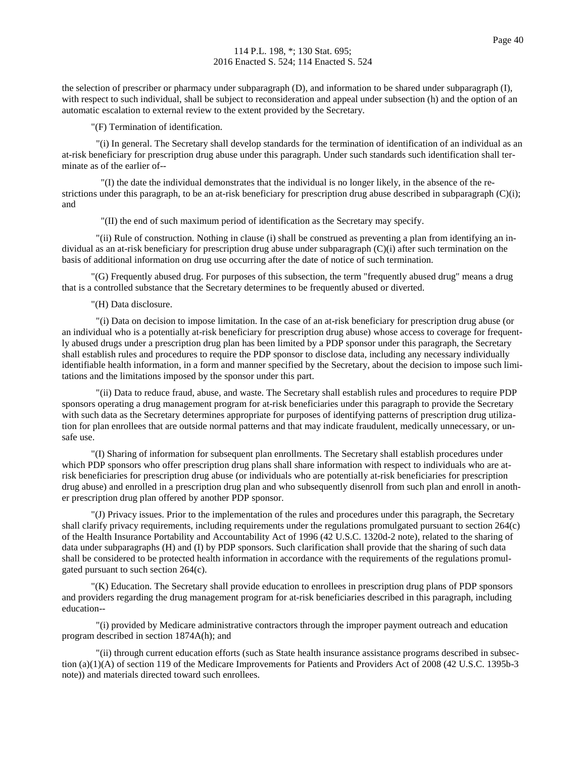the selection of prescriber or pharmacy under subparagraph (D), and information to be shared under subparagraph (I), with respect to such individual, shall be subject to reconsideration and appeal under subsection (h) and the option of an automatic escalation to external review to the extent provided by the Secretary.

"(F) Termination of identification.

 "(i) In general. The Secretary shall develop standards for the termination of identification of an individual as an at-risk beneficiary for prescription drug abuse under this paragraph. Under such standards such identification shall terminate as of the earlier of--

 "(I) the date the individual demonstrates that the individual is no longer likely, in the absence of the restrictions under this paragraph, to be an at-risk beneficiary for prescription drug abuse described in subparagraph (C)(i); and

"(II) the end of such maximum period of identification as the Secretary may specify.

 "(ii) Rule of construction. Nothing in clause (i) shall be construed as preventing a plan from identifying an individual as an at-risk beneficiary for prescription drug abuse under subparagraph (C)(i) after such termination on the basis of additional information on drug use occurring after the date of notice of such termination.

 "(G) Frequently abused drug. For purposes of this subsection, the term "frequently abused drug" means a drug that is a controlled substance that the Secretary determines to be frequently abused or diverted.

#### "(H) Data disclosure.

 "(i) Data on decision to impose limitation. In the case of an at-risk beneficiary for prescription drug abuse (or an individual who is a potentially at-risk beneficiary for prescription drug abuse) whose access to coverage for frequently abused drugs under a prescription drug plan has been limited by a PDP sponsor under this paragraph, the Secretary shall establish rules and procedures to require the PDP sponsor to disclose data, including any necessary individually identifiable health information, in a form and manner specified by the Secretary, about the decision to impose such limitations and the limitations imposed by the sponsor under this part.

 "(ii) Data to reduce fraud, abuse, and waste. The Secretary shall establish rules and procedures to require PDP sponsors operating a drug management program for at-risk beneficiaries under this paragraph to provide the Secretary with such data as the Secretary determines appropriate for purposes of identifying patterns of prescription drug utilization for plan enrollees that are outside normal patterns and that may indicate fraudulent, medically unnecessary, or unsafe use.

 "(I) Sharing of information for subsequent plan enrollments. The Secretary shall establish procedures under which PDP sponsors who offer prescription drug plans shall share information with respect to individuals who are atrisk beneficiaries for prescription drug abuse (or individuals who are potentially at-risk beneficiaries for prescription drug abuse) and enrolled in a prescription drug plan and who subsequently disenroll from such plan and enroll in another prescription drug plan offered by another PDP sponsor.

 "(J) Privacy issues. Prior to the implementation of the rules and procedures under this paragraph, the Secretary shall clarify privacy requirements, including requirements under the regulations promulgated pursuant to section 264(c) of the Health Insurance Portability and Accountability Act of 1996 (42 U.S.C. 1320d-2 note), related to the sharing of data under subparagraphs (H) and (I) by PDP sponsors. Such clarification shall provide that the sharing of such data shall be considered to be protected health information in accordance with the requirements of the regulations promulgated pursuant to such section 264(c).

 "(K) Education. The Secretary shall provide education to enrollees in prescription drug plans of PDP sponsors and providers regarding the drug management program for at-risk beneficiaries described in this paragraph, including education--

 "(i) provided by Medicare administrative contractors through the improper payment outreach and education program described in section 1874A(h); and

 "(ii) through current education efforts (such as State health insurance assistance programs described in subsection (a)(1)(A) of section 119 of the Medicare Improvements for Patients and Providers Act of 2008 (42 U.S.C. 1395b-3 note)) and materials directed toward such enrollees.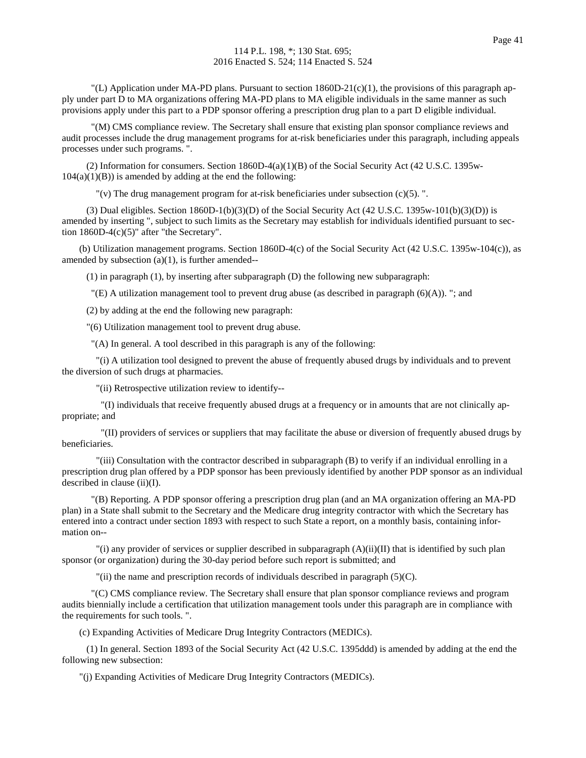"(L) Application under MA-PD plans. Pursuant to section  $1860D-21(c)(1)$ , the provisions of this paragraph apply under part D to MA organizations offering MA-PD plans to MA eligible individuals in the same manner as such provisions apply under this part to a PDP sponsor offering a prescription drug plan to a part D eligible individual.

 "(M) CMS compliance review. The Secretary shall ensure that existing plan sponsor compliance reviews and audit processes include the drug management programs for at-risk beneficiaries under this paragraph, including appeals processes under such programs. ".

 (2) Information for consumers. Section 1860D-4(a)(1)(B) of the Social Security Act (42 U.S.C. 1395w- $104(a)(1)(B)$  is amended by adding at the end the following:

"(v) The drug management program for at-risk beneficiaries under subsection (c)(5). ".

(3) Dual eligibles. Section  $1860D-1(b)(3)(D)$  of the Social Security Act (42 U.S.C. 1395w-101(b)(3)(D)) is amended by inserting ", subject to such limits as the Secretary may establish for individuals identified pursuant to section 1860D-4(c)(5)" after "the Secretary".

(b) Utilization management programs. Section 1860D-4(c) of the Social Security Act (42 U.S.C. 1395w-104(c)), as amended by subsection  $(a)(1)$ , is further amended--

(1) in paragraph (1), by inserting after subparagraph (D) the following new subparagraph:

 $E(E)$  A utilization management tool to prevent drug abuse (as described in paragraph  $(6)(A)$ ). "; and

(2) by adding at the end the following new paragraph:

"(6) Utilization management tool to prevent drug abuse.

"(A) In general. A tool described in this paragraph is any of the following:

 "(i) A utilization tool designed to prevent the abuse of frequently abused drugs by individuals and to prevent the diversion of such drugs at pharmacies.

"(ii) Retrospective utilization review to identify--

 "(I) individuals that receive frequently abused drugs at a frequency or in amounts that are not clinically appropriate; and

 "(II) providers of services or suppliers that may facilitate the abuse or diversion of frequently abused drugs by beneficiaries.

 "(iii) Consultation with the contractor described in subparagraph (B) to verify if an individual enrolling in a prescription drug plan offered by a PDP sponsor has been previously identified by another PDP sponsor as an individual described in clause (ii)(I).

 "(B) Reporting. A PDP sponsor offering a prescription drug plan (and an MA organization offering an MA-PD plan) in a State shall submit to the Secretary and the Medicare drug integrity contractor with which the Secretary has entered into a contract under section 1893 with respect to such State a report, on a monthly basis, containing information on--

"(i) any provider of services or supplier described in subparagraph  $(A)(ii)(II)$  that is identified by such plan sponsor (or organization) during the 30-day period before such report is submitted; and

 $\lceil$  (ii) the name and prescription records of individuals described in paragraph (5)(C).

 "(C) CMS compliance review. The Secretary shall ensure that plan sponsor compliance reviews and program audits biennially include a certification that utilization management tools under this paragraph are in compliance with the requirements for such tools. ".

(c) Expanding Activities of Medicare Drug Integrity Contractors (MEDICs).

 (1) In general. Section 1893 of the Social Security Act (42 U.S.C. 1395ddd) is amended by adding at the end the following new subsection:

"(j) Expanding Activities of Medicare Drug Integrity Contractors (MEDICs).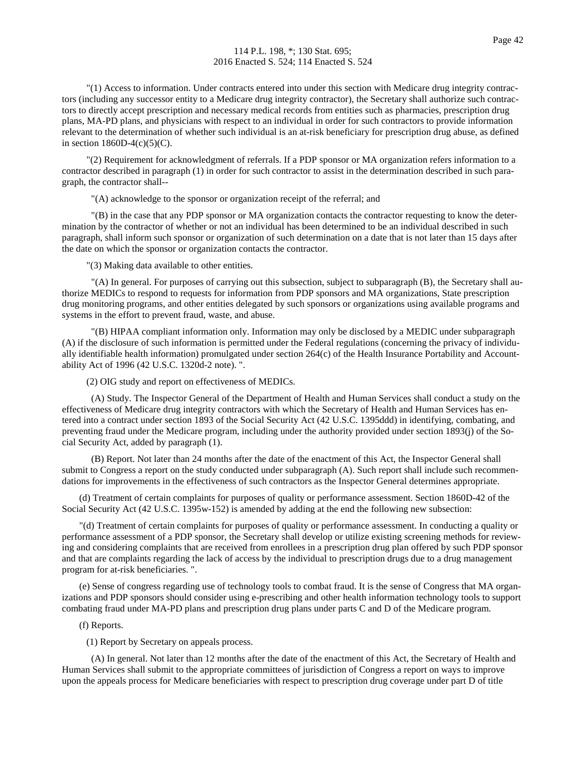"(1) Access to information. Under contracts entered into under this section with Medicare drug integrity contractors (including any successor entity to a Medicare drug integrity contractor), the Secretary shall authorize such contractors to directly accept prescription and necessary medical records from entities such as pharmacies, prescription drug plans, MA-PD plans, and physicians with respect to an individual in order for such contractors to provide information relevant to the determination of whether such individual is an at-risk beneficiary for prescription drug abuse, as defined in section  $1860D-4(c)(5)(C)$ .

 "(2) Requirement for acknowledgment of referrals. If a PDP sponsor or MA organization refers information to a contractor described in paragraph (1) in order for such contractor to assist in the determination described in such paragraph, the contractor shall--

"(A) acknowledge to the sponsor or organization receipt of the referral; and

 "(B) in the case that any PDP sponsor or MA organization contacts the contractor requesting to know the determination by the contractor of whether or not an individual has been determined to be an individual described in such paragraph, shall inform such sponsor or organization of such determination on a date that is not later than 15 days after the date on which the sponsor or organization contacts the contractor.

"(3) Making data available to other entities.

 "(A) In general. For purposes of carrying out this subsection, subject to subparagraph (B), the Secretary shall authorize MEDICs to respond to requests for information from PDP sponsors and MA organizations, State prescription drug monitoring programs, and other entities delegated by such sponsors or organizations using available programs and systems in the effort to prevent fraud, waste, and abuse.

 "(B) HIPAA compliant information only. Information may only be disclosed by a MEDIC under subparagraph (A) if the disclosure of such information is permitted under the Federal regulations (concerning the privacy of individually identifiable health information) promulgated under section 264(c) of the Health Insurance Portability and Accountability Act of 1996 (42 U.S.C. 1320d-2 note). ".

(2) OIG study and report on effectiveness of MEDICs.

 (A) Study. The Inspector General of the Department of Health and Human Services shall conduct a study on the effectiveness of Medicare drug integrity contractors with which the Secretary of Health and Human Services has entered into a contract under section 1893 of the Social Security Act (42 U.S.C. 1395ddd) in identifying, combating, and preventing fraud under the Medicare program, including under the authority provided under section 1893(j) of the Social Security Act, added by paragraph (1).

 (B) Report. Not later than 24 months after the date of the enactment of this Act, the Inspector General shall submit to Congress a report on the study conducted under subparagraph (A). Such report shall include such recommendations for improvements in the effectiveness of such contractors as the Inspector General determines appropriate.

(d) Treatment of certain complaints for purposes of quality or performance assessment. Section 1860D-42 of the Social Security Act (42 U.S.C. 1395w-152) is amended by adding at the end the following new subsection:

"(d) Treatment of certain complaints for purposes of quality or performance assessment. In conducting a quality or performance assessment of a PDP sponsor, the Secretary shall develop or utilize existing screening methods for reviewing and considering complaints that are received from enrollees in a prescription drug plan offered by such PDP sponsor and that are complaints regarding the lack of access by the individual to prescription drugs due to a drug management program for at-risk beneficiaries. ".

(e) Sense of congress regarding use of technology tools to combat fraud. It is the sense of Congress that MA organizations and PDP sponsors should consider using e-prescribing and other health information technology tools to support combating fraud under MA-PD plans and prescription drug plans under parts C and D of the Medicare program.

(f) Reports.

(1) Report by Secretary on appeals process.

 (A) In general. Not later than 12 months after the date of the enactment of this Act, the Secretary of Health and Human Services shall submit to the appropriate committees of jurisdiction of Congress a report on ways to improve upon the appeals process for Medicare beneficiaries with respect to prescription drug coverage under part D of title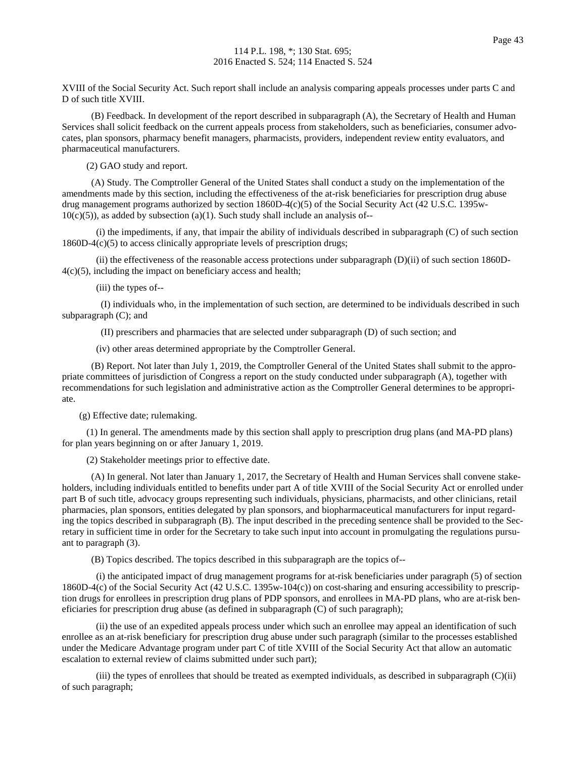XVIII of the Social Security Act. Such report shall include an analysis comparing appeals processes under parts C and D of such title XVIII.

 (B) Feedback. In development of the report described in subparagraph (A), the Secretary of Health and Human Services shall solicit feedback on the current appeals process from stakeholders, such as beneficiaries, consumer advocates, plan sponsors, pharmacy benefit managers, pharmacists, providers, independent review entity evaluators, and pharmaceutical manufacturers.

(2) GAO study and report.

 (A) Study. The Comptroller General of the United States shall conduct a study on the implementation of the amendments made by this section, including the effectiveness of the at-risk beneficiaries for prescription drug abuse drug management programs authorized by section 1860D-4(c)(5) of the Social Security Act (42 U.S.C. 1395w- $10(c)(5)$ ), as added by subsection (a)(1). Such study shall include an analysis of--

 (i) the impediments, if any, that impair the ability of individuals described in subparagraph (C) of such section 1860D-4(c)(5) to access clinically appropriate levels of prescription drugs;

 (ii) the effectiveness of the reasonable access protections under subparagraph (D)(ii) of such section 1860D-4(c)(5), including the impact on beneficiary access and health;

(iii) the types of--

 (I) individuals who, in the implementation of such section, are determined to be individuals described in such subparagraph (C); and

(II) prescribers and pharmacies that are selected under subparagraph (D) of such section; and

(iv) other areas determined appropriate by the Comptroller General.

 (B) Report. Not later than July 1, 2019, the Comptroller General of the United States shall submit to the appropriate committees of jurisdiction of Congress a report on the study conducted under subparagraph (A), together with recommendations for such legislation and administrative action as the Comptroller General determines to be appropriate.

(g) Effective date; rulemaking.

 (1) In general. The amendments made by this section shall apply to prescription drug plans (and MA-PD plans) for plan years beginning on or after January 1, 2019.

(2) Stakeholder meetings prior to effective date.

 (A) In general. Not later than January 1, 2017, the Secretary of Health and Human Services shall convene stakeholders, including individuals entitled to benefits under part A of title XVIII of the Social Security Act or enrolled under part B of such title, advocacy groups representing such individuals, physicians, pharmacists, and other clinicians, retail pharmacies, plan sponsors, entities delegated by plan sponsors, and biopharmaceutical manufacturers for input regarding the topics described in subparagraph (B). The input described in the preceding sentence shall be provided to the Secretary in sufficient time in order for the Secretary to take such input into account in promulgating the regulations pursuant to paragraph (3).

(B) Topics described. The topics described in this subparagraph are the topics of--

 (i) the anticipated impact of drug management programs for at-risk beneficiaries under paragraph (5) of section 1860D-4(c) of the Social Security Act (42 U.S.C. 1395w-104(c)) on cost-sharing and ensuring accessibility to prescription drugs for enrollees in prescription drug plans of PDP sponsors, and enrollees in MA-PD plans, who are at-risk beneficiaries for prescription drug abuse (as defined in subparagraph (C) of such paragraph);

 (ii) the use of an expedited appeals process under which such an enrollee may appeal an identification of such enrollee as an at-risk beneficiary for prescription drug abuse under such paragraph (similar to the processes established under the Medicare Advantage program under part C of title XVIII of the Social Security Act that allow an automatic escalation to external review of claims submitted under such part);

 (iii) the types of enrollees that should be treated as exempted individuals, as described in subparagraph (C)(ii) of such paragraph;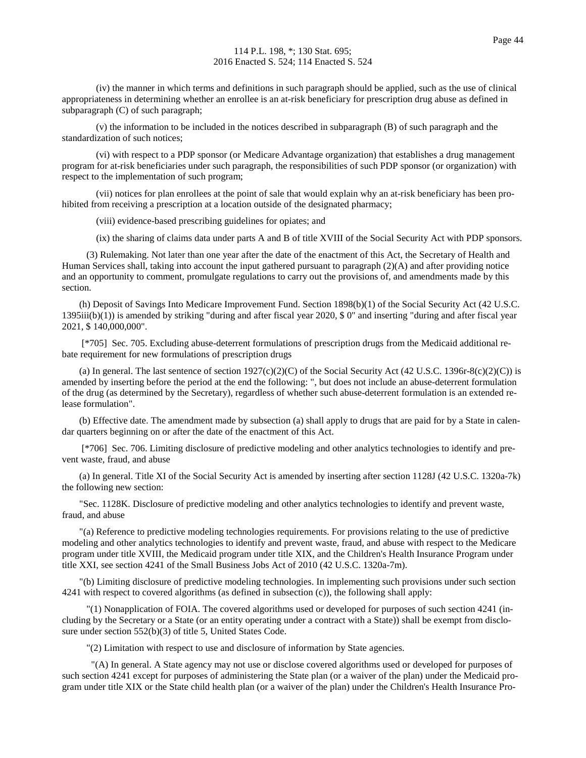(iv) the manner in which terms and definitions in such paragraph should be applied, such as the use of clinical appropriateness in determining whether an enrollee is an at-risk beneficiary for prescription drug abuse as defined in subparagraph (C) of such paragraph;

 (v) the information to be included in the notices described in subparagraph (B) of such paragraph and the standardization of such notices;

 (vi) with respect to a PDP sponsor (or Medicare Advantage organization) that establishes a drug management program for at-risk beneficiaries under such paragraph, the responsibilities of such PDP sponsor (or organization) with respect to the implementation of such program;

 (vii) notices for plan enrollees at the point of sale that would explain why an at-risk beneficiary has been prohibited from receiving a prescription at a location outside of the designated pharmacy;

(viii) evidence-based prescribing guidelines for opiates; and

(ix) the sharing of claims data under parts A and B of title XVIII of the Social Security Act with PDP sponsors.

 (3) Rulemaking. Not later than one year after the date of the enactment of this Act, the Secretary of Health and Human Services shall, taking into account the input gathered pursuant to paragraph (2)(A) and after providing notice and an opportunity to comment, promulgate regulations to carry out the provisions of, and amendments made by this section.

(h) Deposit of Savings Into Medicare Improvement Fund. Section 1898(b)(1) of the Social Security Act (42 U.S.C. 1395iii(b)(1)) is amended by striking "during and after fiscal year 2020, \$ 0" and inserting "during and after fiscal year 2021, \$ 140,000,000".

[\*705] Sec. 705. Excluding abuse-deterrent formulations of prescription drugs from the Medicaid additional rebate requirement for new formulations of prescription drugs

(a) In general. The last sentence of section  $1927(c)(2)(C)$  of the Social Security Act (42 U.S.C. 1396r-8(c)(2)(C)) is amended by inserting before the period at the end the following: ", but does not include an abuse-deterrent formulation of the drug (as determined by the Secretary), regardless of whether such abuse-deterrent formulation is an extended release formulation".

(b) Effective date. The amendment made by subsection (a) shall apply to drugs that are paid for by a State in calendar quarters beginning on or after the date of the enactment of this Act.

[\*706] Sec. 706. Limiting disclosure of predictive modeling and other analytics technologies to identify and prevent waste, fraud, and abuse

(a) In general. Title XI of the Social Security Act is amended by inserting after section 1128J (42 U.S.C. 1320a-7k) the following new section:

"Sec. 1128K. Disclosure of predictive modeling and other analytics technologies to identify and prevent waste, fraud, and abuse

"(a) Reference to predictive modeling technologies requirements. For provisions relating to the use of predictive modeling and other analytics technologies to identify and prevent waste, fraud, and abuse with respect to the Medicare program under title XVIII, the Medicaid program under title XIX, and the Children's Health Insurance Program under title XXI, see section 4241 of the Small Business Jobs Act of 2010 (42 U.S.C. 1320a-7m).

"(b) Limiting disclosure of predictive modeling technologies. In implementing such provisions under such section 4241 with respect to covered algorithms (as defined in subsection (c)), the following shall apply:

 "(1) Nonapplication of FOIA. The covered algorithms used or developed for purposes of such section 4241 (including by the Secretary or a State (or an entity operating under a contract with a State)) shall be exempt from disclosure under section 552(b)(3) of title 5, United States Code.

"(2) Limitation with respect to use and disclosure of information by State agencies.

 "(A) In general. A State agency may not use or disclose covered algorithms used or developed for purposes of such section 4241 except for purposes of administering the State plan (or a waiver of the plan) under the Medicaid program under title XIX or the State child health plan (or a waiver of the plan) under the Children's Health Insurance Pro-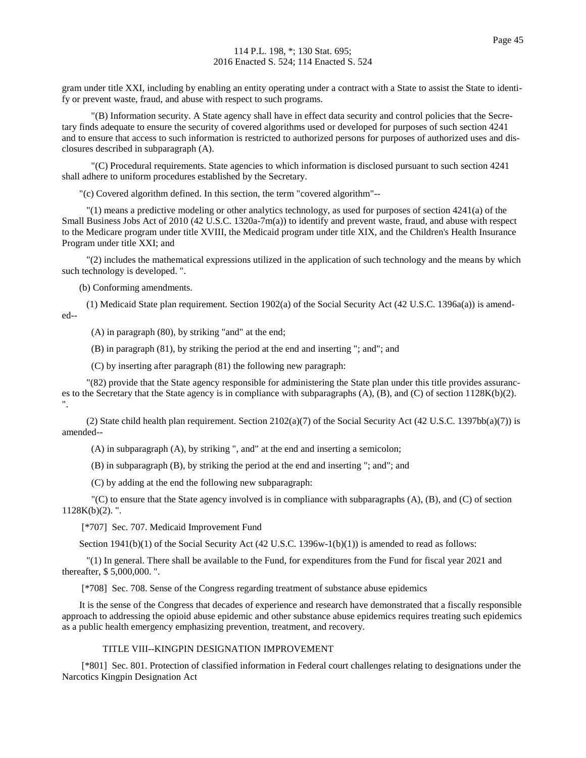gram under title XXI, including by enabling an entity operating under a contract with a State to assist the State to identify or prevent waste, fraud, and abuse with respect to such programs.

 "(B) Information security. A State agency shall have in effect data security and control policies that the Secretary finds adequate to ensure the security of covered algorithms used or developed for purposes of such section 4241 and to ensure that access to such information is restricted to authorized persons for purposes of authorized uses and disclosures described in subparagraph (A).

 "(C) Procedural requirements. State agencies to which information is disclosed pursuant to such section 4241 shall adhere to uniform procedures established by the Secretary.

"(c) Covered algorithm defined. In this section, the term "covered algorithm"--

 "(1) means a predictive modeling or other analytics technology, as used for purposes of section 4241(a) of the Small Business Jobs Act of 2010 (42 U.S.C. 1320a-7m(a)) to identify and prevent waste, fraud, and abuse with respect to the Medicare program under title XVIII, the Medicaid program under title XIX, and the Children's Health Insurance Program under title XXI; and

 "(2) includes the mathematical expressions utilized in the application of such technology and the means by which such technology is developed. ".

(b) Conforming amendments.

 (1) Medicaid State plan requirement. Section 1902(a) of the Social Security Act (42 U.S.C. 1396a(a)) is amended--

(A) in paragraph (80), by striking "and" at the end;

(B) in paragraph (81), by striking the period at the end and inserting "; and"; and

(C) by inserting after paragraph (81) the following new paragraph:

 "(82) provide that the State agency responsible for administering the State plan under this title provides assurances to the Secretary that the State agency is in compliance with subparagraphs (A), (B), and (C) of section 1128K(b)(2). ".

(2) State child health plan requirement. Section  $2102(a)(7)$  of the Social Security Act (42 U.S.C. 1397bb(a)(7)) is amended--

(A) in subparagraph (A), by striking ", and" at the end and inserting a semicolon;

(B) in subparagraph (B), by striking the period at the end and inserting "; and"; and

(C) by adding at the end the following new subparagraph:

 "(C) to ensure that the State agency involved is in compliance with subparagraphs (A), (B), and (C) of section  $1128K(b)(2)$ . ".

[\*707] Sec. 707. Medicaid Improvement Fund

Section 1941(b)(1) of the Social Security Act (42 U.S.C. 1396w-1(b)(1)) is amended to read as follows:

 "(1) In general. There shall be available to the Fund, for expenditures from the Fund for fiscal year 2021 and thereafter, \$ 5,000,000. ".

[\*708] Sec. 708. Sense of the Congress regarding treatment of substance abuse epidemics

It is the sense of the Congress that decades of experience and research have demonstrated that a fiscally responsible approach to addressing the opioid abuse epidemic and other substance abuse epidemics requires treating such epidemics as a public health emergency emphasizing prevention, treatment, and recovery.

#### TITLE VIII--KINGPIN DESIGNATION IMPROVEMENT

[\*801] Sec. 801. Protection of classified information in Federal court challenges relating to designations under the Narcotics Kingpin Designation Act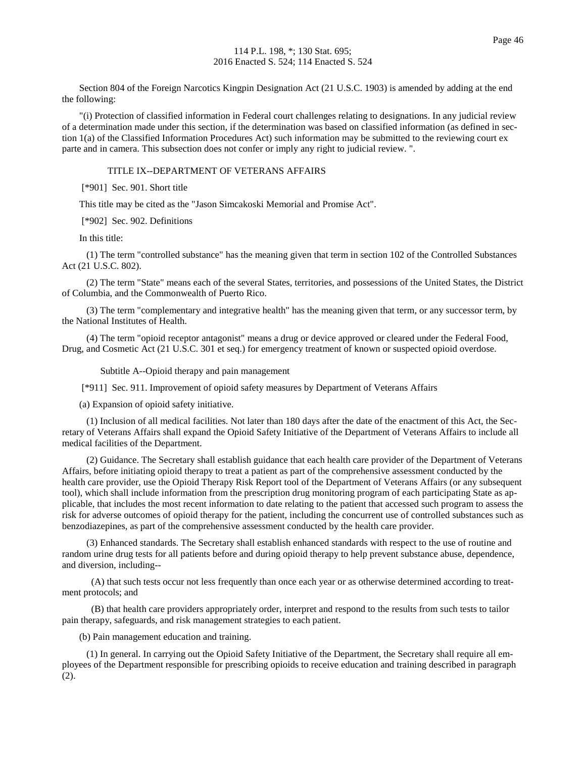Section 804 of the Foreign Narcotics Kingpin Designation Act (21 U.S.C. 1903) is amended by adding at the end the following:

"(i) Protection of classified information in Federal court challenges relating to designations. In any judicial review of a determination made under this section, if the determination was based on classified information (as defined in section 1(a) of the Classified Information Procedures Act) such information may be submitted to the reviewing court ex parte and in camera. This subsection does not confer or imply any right to judicial review. ".

#### TITLE IX--DEPARTMENT OF VETERANS AFFAIRS

[\*901] Sec. 901. Short title

This title may be cited as the "Jason Simcakoski Memorial and Promise Act".

[\*902] Sec. 902. Definitions

In this title:

 (1) The term "controlled substance" has the meaning given that term in section 102 of the Controlled Substances Act (21 U.S.C. 802).

 (2) The term "State" means each of the several States, territories, and possessions of the United States, the District of Columbia, and the Commonwealth of Puerto Rico.

 (3) The term "complementary and integrative health" has the meaning given that term, or any successor term, by the National Institutes of Health.

 (4) The term "opioid receptor antagonist" means a drug or device approved or cleared under the Federal Food, Drug, and Cosmetic Act (21 U.S.C. 301 et seq.) for emergency treatment of known or suspected opioid overdose.

Subtitle A--Opioid therapy and pain management

[\*911] Sec. 911. Improvement of opioid safety measures by Department of Veterans Affairs

(a) Expansion of opioid safety initiative.

 (1) Inclusion of all medical facilities. Not later than 180 days after the date of the enactment of this Act, the Secretary of Veterans Affairs shall expand the Opioid Safety Initiative of the Department of Veterans Affairs to include all medical facilities of the Department.

 (2) Guidance. The Secretary shall establish guidance that each health care provider of the Department of Veterans Affairs, before initiating opioid therapy to treat a patient as part of the comprehensive assessment conducted by the health care provider, use the Opioid Therapy Risk Report tool of the Department of Veterans Affairs (or any subsequent tool), which shall include information from the prescription drug monitoring program of each participating State as applicable, that includes the most recent information to date relating to the patient that accessed such program to assess the risk for adverse outcomes of opioid therapy for the patient, including the concurrent use of controlled substances such as benzodiazepines, as part of the comprehensive assessment conducted by the health care provider.

 (3) Enhanced standards. The Secretary shall establish enhanced standards with respect to the use of routine and random urine drug tests for all patients before and during opioid therapy to help prevent substance abuse, dependence, and diversion, including--

 (A) that such tests occur not less frequently than once each year or as otherwise determined according to treatment protocols; and

 (B) that health care providers appropriately order, interpret and respond to the results from such tests to tailor pain therapy, safeguards, and risk management strategies to each patient.

(b) Pain management education and training.

 (1) In general. In carrying out the Opioid Safety Initiative of the Department, the Secretary shall require all employees of the Department responsible for prescribing opioids to receive education and training described in paragraph (2).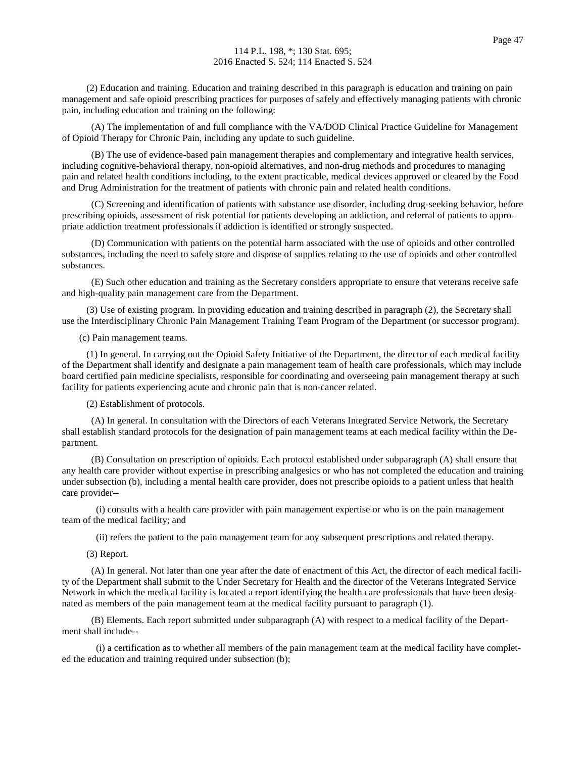(2) Education and training. Education and training described in this paragraph is education and training on pain management and safe opioid prescribing practices for purposes of safely and effectively managing patients with chronic pain, including education and training on the following:

 (A) The implementation of and full compliance with the VA/DOD Clinical Practice Guideline for Management of Opioid Therapy for Chronic Pain, including any update to such guideline.

 (B) The use of evidence-based pain management therapies and complementary and integrative health services, including cognitive-behavioral therapy, non-opioid alternatives, and non-drug methods and procedures to managing pain and related health conditions including, to the extent practicable, medical devices approved or cleared by the Food and Drug Administration for the treatment of patients with chronic pain and related health conditions.

 (C) Screening and identification of patients with substance use disorder, including drug-seeking behavior, before prescribing opioids, assessment of risk potential for patients developing an addiction, and referral of patients to appropriate addiction treatment professionals if addiction is identified or strongly suspected.

 (D) Communication with patients on the potential harm associated with the use of opioids and other controlled substances, including the need to safely store and dispose of supplies relating to the use of opioids and other controlled substances.

 (E) Such other education and training as the Secretary considers appropriate to ensure that veterans receive safe and high-quality pain management care from the Department.

 (3) Use of existing program. In providing education and training described in paragraph (2), the Secretary shall use the Interdisciplinary Chronic Pain Management Training Team Program of the Department (or successor program).

(c) Pain management teams.

 (1) In general. In carrying out the Opioid Safety Initiative of the Department, the director of each medical facility of the Department shall identify and designate a pain management team of health care professionals, which may include board certified pain medicine specialists, responsible for coordinating and overseeing pain management therapy at such facility for patients experiencing acute and chronic pain that is non-cancer related.

(2) Establishment of protocols.

 (A) In general. In consultation with the Directors of each Veterans Integrated Service Network, the Secretary shall establish standard protocols for the designation of pain management teams at each medical facility within the Department.

 (B) Consultation on prescription of opioids. Each protocol established under subparagraph (A) shall ensure that any health care provider without expertise in prescribing analgesics or who has not completed the education and training under subsection (b), including a mental health care provider, does not prescribe opioids to a patient unless that health care provider--

 (i) consults with a health care provider with pain management expertise or who is on the pain management team of the medical facility; and

(ii) refers the patient to the pain management team for any subsequent prescriptions and related therapy.

(3) Report.

 (A) In general. Not later than one year after the date of enactment of this Act, the director of each medical facility of the Department shall submit to the Under Secretary for Health and the director of the Veterans Integrated Service Network in which the medical facility is located a report identifying the health care professionals that have been designated as members of the pain management team at the medical facility pursuant to paragraph (1).

 (B) Elements. Each report submitted under subparagraph (A) with respect to a medical facility of the Department shall include--

 (i) a certification as to whether all members of the pain management team at the medical facility have completed the education and training required under subsection (b);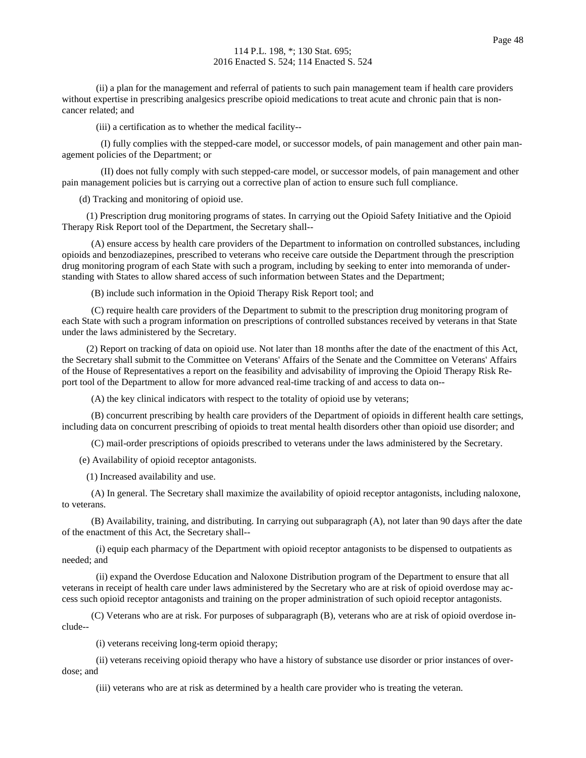(ii) a plan for the management and referral of patients to such pain management team if health care providers without expertise in prescribing analgesics prescribe opioid medications to treat acute and chronic pain that is noncancer related; and

(iii) a certification as to whether the medical facility--

 (I) fully complies with the stepped-care model, or successor models, of pain management and other pain management policies of the Department; or

 (II) does not fully comply with such stepped-care model, or successor models, of pain management and other pain management policies but is carrying out a corrective plan of action to ensure such full compliance.

(d) Tracking and monitoring of opioid use.

 (1) Prescription drug monitoring programs of states. In carrying out the Opioid Safety Initiative and the Opioid Therapy Risk Report tool of the Department, the Secretary shall--

 (A) ensure access by health care providers of the Department to information on controlled substances, including opioids and benzodiazepines, prescribed to veterans who receive care outside the Department through the prescription drug monitoring program of each State with such a program, including by seeking to enter into memoranda of understanding with States to allow shared access of such information between States and the Department;

(B) include such information in the Opioid Therapy Risk Report tool; and

 (C) require health care providers of the Department to submit to the prescription drug monitoring program of each State with such a program information on prescriptions of controlled substances received by veterans in that State under the laws administered by the Secretary.

 (2) Report on tracking of data on opioid use. Not later than 18 months after the date of the enactment of this Act, the Secretary shall submit to the Committee on Veterans' Affairs of the Senate and the Committee on Veterans' Affairs of the House of Representatives a report on the feasibility and advisability of improving the Opioid Therapy Risk Report tool of the Department to allow for more advanced real-time tracking of and access to data on--

(A) the key clinical indicators with respect to the totality of opioid use by veterans;

 (B) concurrent prescribing by health care providers of the Department of opioids in different health care settings, including data on concurrent prescribing of opioids to treat mental health disorders other than opioid use disorder; and

(C) mail-order prescriptions of opioids prescribed to veterans under the laws administered by the Secretary.

(e) Availability of opioid receptor antagonists.

(1) Increased availability and use.

 (A) In general. The Secretary shall maximize the availability of opioid receptor antagonists, including naloxone, to veterans.

 (B) Availability, training, and distributing. In carrying out subparagraph (A), not later than 90 days after the date of the enactment of this Act, the Secretary shall--

 (i) equip each pharmacy of the Department with opioid receptor antagonists to be dispensed to outpatients as needed; and

 (ii) expand the Overdose Education and Naloxone Distribution program of the Department to ensure that all veterans in receipt of health care under laws administered by the Secretary who are at risk of opioid overdose may access such opioid receptor antagonists and training on the proper administration of such opioid receptor antagonists.

 (C) Veterans who are at risk. For purposes of subparagraph (B), veterans who are at risk of opioid overdose include--

(i) veterans receiving long-term opioid therapy;

 (ii) veterans receiving opioid therapy who have a history of substance use disorder or prior instances of overdose; and

(iii) veterans who are at risk as determined by a health care provider who is treating the veteran.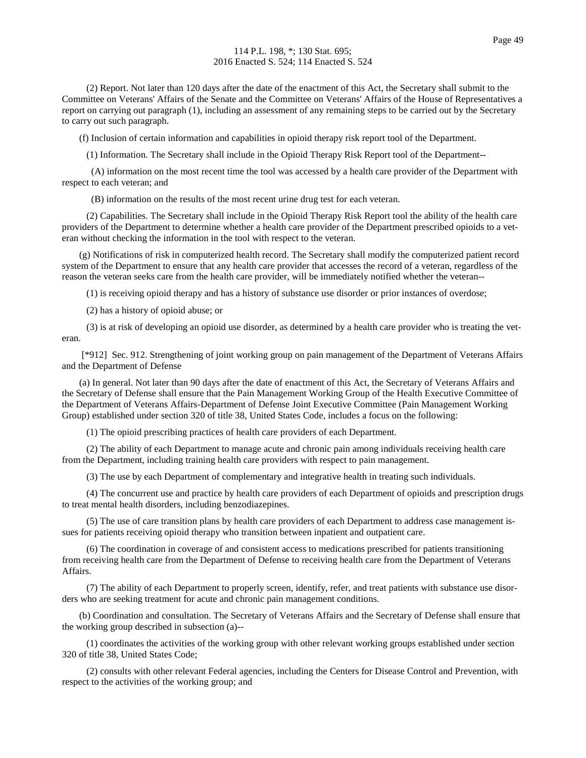(2) Report. Not later than 120 days after the date of the enactment of this Act, the Secretary shall submit to the Committee on Veterans' Affairs of the Senate and the Committee on Veterans' Affairs of the House of Representatives a report on carrying out paragraph (1), including an assessment of any remaining steps to be carried out by the Secretary to carry out such paragraph.

(f) Inclusion of certain information and capabilities in opioid therapy risk report tool of the Department.

(1) Information. The Secretary shall include in the Opioid Therapy Risk Report tool of the Department--

 (A) information on the most recent time the tool was accessed by a health care provider of the Department with respect to each veteran; and

(B) information on the results of the most recent urine drug test for each veteran.

 (2) Capabilities. The Secretary shall include in the Opioid Therapy Risk Report tool the ability of the health care providers of the Department to determine whether a health care provider of the Department prescribed opioids to a veteran without checking the information in the tool with respect to the veteran.

(g) Notifications of risk in computerized health record. The Secretary shall modify the computerized patient record system of the Department to ensure that any health care provider that accesses the record of a veteran, regardless of the reason the veteran seeks care from the health care provider, will be immediately notified whether the veteran--

(1) is receiving opioid therapy and has a history of substance use disorder or prior instances of overdose;

(2) has a history of opioid abuse; or

 (3) is at risk of developing an opioid use disorder, as determined by a health care provider who is treating the veteran.

[\*912] Sec. 912. Strengthening of joint working group on pain management of the Department of Veterans Affairs and the Department of Defense

(a) In general. Not later than 90 days after the date of enactment of this Act, the Secretary of Veterans Affairs and the Secretary of Defense shall ensure that the Pain Management Working Group of the Health Executive Committee of the Department of Veterans Affairs-Department of Defense Joint Executive Committee (Pain Management Working Group) established under section 320 of title 38, United States Code, includes a focus on the following:

(1) The opioid prescribing practices of health care providers of each Department.

 (2) The ability of each Department to manage acute and chronic pain among individuals receiving health care from the Department, including training health care providers with respect to pain management.

(3) The use by each Department of complementary and integrative health in treating such individuals.

 (4) The concurrent use and practice by health care providers of each Department of opioids and prescription drugs to treat mental health disorders, including benzodiazepines.

 (5) The use of care transition plans by health care providers of each Department to address case management issues for patients receiving opioid therapy who transition between inpatient and outpatient care.

 (6) The coordination in coverage of and consistent access to medications prescribed for patients transitioning from receiving health care from the Department of Defense to receiving health care from the Department of Veterans Affairs.

 (7) The ability of each Department to properly screen, identify, refer, and treat patients with substance use disorders who are seeking treatment for acute and chronic pain management conditions.

(b) Coordination and consultation. The Secretary of Veterans Affairs and the Secretary of Defense shall ensure that the working group described in subsection (a)--

 (1) coordinates the activities of the working group with other relevant working groups established under section 320 of title 38, United States Code;

 (2) consults with other relevant Federal agencies, including the Centers for Disease Control and Prevention, with respect to the activities of the working group; and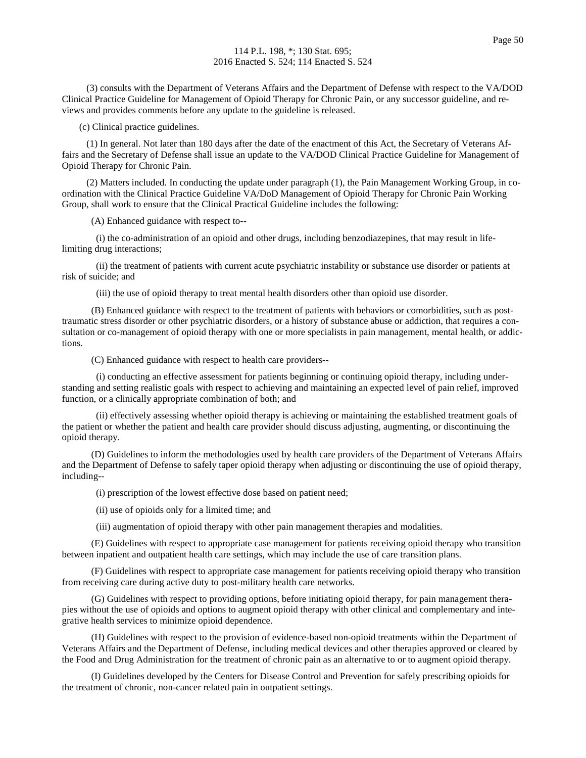(3) consults with the Department of Veterans Affairs and the Department of Defense with respect to the VA/DOD Clinical Practice Guideline for Management of Opioid Therapy for Chronic Pain, or any successor guideline, and reviews and provides comments before any update to the guideline is released.

(c) Clinical practice guidelines.

 (1) In general. Not later than 180 days after the date of the enactment of this Act, the Secretary of Veterans Affairs and the Secretary of Defense shall issue an update to the VA/DOD Clinical Practice Guideline for Management of Opioid Therapy for Chronic Pain.

 (2) Matters included. In conducting the update under paragraph (1), the Pain Management Working Group, in coordination with the Clinical Practice Guideline VA/DoD Management of Opioid Therapy for Chronic Pain Working Group, shall work to ensure that the Clinical Practical Guideline includes the following:

(A) Enhanced guidance with respect to--

 (i) the co-administration of an opioid and other drugs, including benzodiazepines, that may result in lifelimiting drug interactions;

 (ii) the treatment of patients with current acute psychiatric instability or substance use disorder or patients at risk of suicide; and

(iii) the use of opioid therapy to treat mental health disorders other than opioid use disorder.

 (B) Enhanced guidance with respect to the treatment of patients with behaviors or comorbidities, such as posttraumatic stress disorder or other psychiatric disorders, or a history of substance abuse or addiction, that requires a consultation or co-management of opioid therapy with one or more specialists in pain management, mental health, or addictions.

(C) Enhanced guidance with respect to health care providers--

 (i) conducting an effective assessment for patients beginning or continuing opioid therapy, including understanding and setting realistic goals with respect to achieving and maintaining an expected level of pain relief, improved function, or a clinically appropriate combination of both; and

 (ii) effectively assessing whether opioid therapy is achieving or maintaining the established treatment goals of the patient or whether the patient and health care provider should discuss adjusting, augmenting, or discontinuing the opioid therapy.

 (D) Guidelines to inform the methodologies used by health care providers of the Department of Veterans Affairs and the Department of Defense to safely taper opioid therapy when adjusting or discontinuing the use of opioid therapy, including--

(i) prescription of the lowest effective dose based on patient need;

(ii) use of opioids only for a limited time; and

(iii) augmentation of opioid therapy with other pain management therapies and modalities.

 (E) Guidelines with respect to appropriate case management for patients receiving opioid therapy who transition between inpatient and outpatient health care settings, which may include the use of care transition plans.

 (F) Guidelines with respect to appropriate case management for patients receiving opioid therapy who transition from receiving care during active duty to post-military health care networks.

 (G) Guidelines with respect to providing options, before initiating opioid therapy, for pain management therapies without the use of opioids and options to augment opioid therapy with other clinical and complementary and integrative health services to minimize opioid dependence.

 (H) Guidelines with respect to the provision of evidence-based non-opioid treatments within the Department of Veterans Affairs and the Department of Defense, including medical devices and other therapies approved or cleared by the Food and Drug Administration for the treatment of chronic pain as an alternative to or to augment opioid therapy.

 (I) Guidelines developed by the Centers for Disease Control and Prevention for safely prescribing opioids for the treatment of chronic, non-cancer related pain in outpatient settings.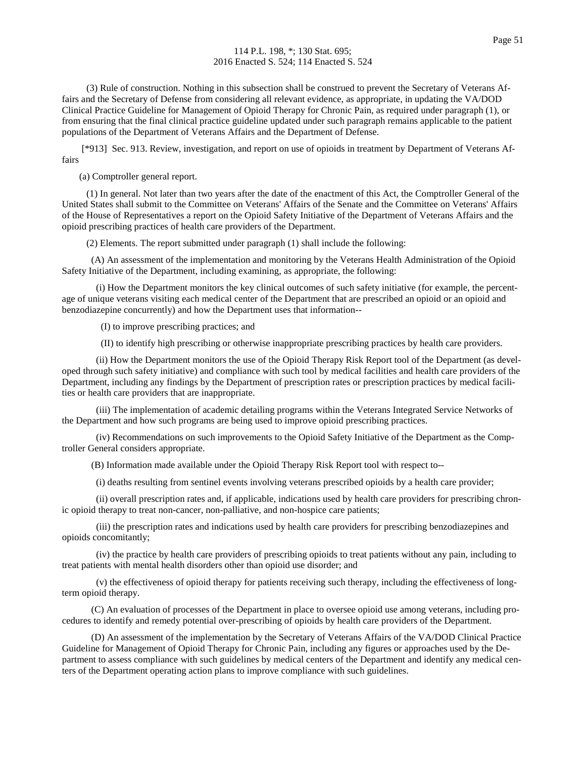(3) Rule of construction. Nothing in this subsection shall be construed to prevent the Secretary of Veterans Affairs and the Secretary of Defense from considering all relevant evidence, as appropriate, in updating the VA/DOD Clinical Practice Guideline for Management of Opioid Therapy for Chronic Pain, as required under paragraph (1), or from ensuring that the final clinical practice guideline updated under such paragraph remains applicable to the patient populations of the Department of Veterans Affairs and the Department of Defense.

[\*913] Sec. 913. Review, investigation, and report on use of opioids in treatment by Department of Veterans Affairs

(a) Comptroller general report.

 (1) In general. Not later than two years after the date of the enactment of this Act, the Comptroller General of the United States shall submit to the Committee on Veterans' Affairs of the Senate and the Committee on Veterans' Affairs of the House of Representatives a report on the Opioid Safety Initiative of the Department of Veterans Affairs and the opioid prescribing practices of health care providers of the Department.

(2) Elements. The report submitted under paragraph (1) shall include the following:

 (A) An assessment of the implementation and monitoring by the Veterans Health Administration of the Opioid Safety Initiative of the Department, including examining, as appropriate, the following:

 (i) How the Department monitors the key clinical outcomes of such safety initiative (for example, the percentage of unique veterans visiting each medical center of the Department that are prescribed an opioid or an opioid and benzodiazepine concurrently) and how the Department uses that information--

(I) to improve prescribing practices; and

(II) to identify high prescribing or otherwise inappropriate prescribing practices by health care providers.

 (ii) How the Department monitors the use of the Opioid Therapy Risk Report tool of the Department (as developed through such safety initiative) and compliance with such tool by medical facilities and health care providers of the Department, including any findings by the Department of prescription rates or prescription practices by medical facilities or health care providers that are inappropriate.

 (iii) The implementation of academic detailing programs within the Veterans Integrated Service Networks of the Department and how such programs are being used to improve opioid prescribing practices.

 (iv) Recommendations on such improvements to the Opioid Safety Initiative of the Department as the Comptroller General considers appropriate.

(B) Information made available under the Opioid Therapy Risk Report tool with respect to--

(i) deaths resulting from sentinel events involving veterans prescribed opioids by a health care provider;

 (ii) overall prescription rates and, if applicable, indications used by health care providers for prescribing chronic opioid therapy to treat non-cancer, non-palliative, and non-hospice care patients;

 (iii) the prescription rates and indications used by health care providers for prescribing benzodiazepines and opioids concomitantly;

 (iv) the practice by health care providers of prescribing opioids to treat patients without any pain, including to treat patients with mental health disorders other than opioid use disorder; and

 (v) the effectiveness of opioid therapy for patients receiving such therapy, including the effectiveness of longterm opioid therapy.

 (C) An evaluation of processes of the Department in place to oversee opioid use among veterans, including procedures to identify and remedy potential over-prescribing of opioids by health care providers of the Department.

 (D) An assessment of the implementation by the Secretary of Veterans Affairs of the VA/DOD Clinical Practice Guideline for Management of Opioid Therapy for Chronic Pain, including any figures or approaches used by the Department to assess compliance with such guidelines by medical centers of the Department and identify any medical centers of the Department operating action plans to improve compliance with such guidelines.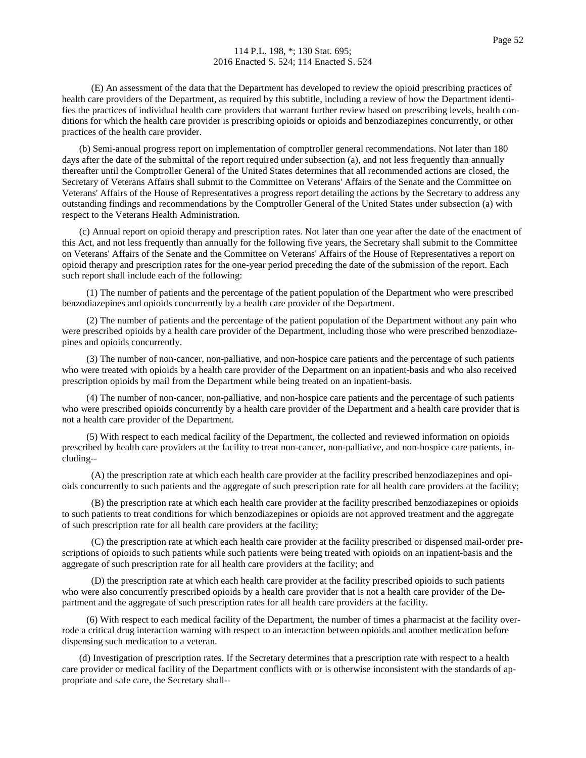(E) An assessment of the data that the Department has developed to review the opioid prescribing practices of health care providers of the Department, as required by this subtitle, including a review of how the Department identifies the practices of individual health care providers that warrant further review based on prescribing levels, health conditions for which the health care provider is prescribing opioids or opioids and benzodiazepines concurrently, or other practices of the health care provider.

(b) Semi-annual progress report on implementation of comptroller general recommendations. Not later than 180 days after the date of the submittal of the report required under subsection (a), and not less frequently than annually thereafter until the Comptroller General of the United States determines that all recommended actions are closed, the Secretary of Veterans Affairs shall submit to the Committee on Veterans' Affairs of the Senate and the Committee on Veterans' Affairs of the House of Representatives a progress report detailing the actions by the Secretary to address any outstanding findings and recommendations by the Comptroller General of the United States under subsection (a) with respect to the Veterans Health Administration.

(c) Annual report on opioid therapy and prescription rates. Not later than one year after the date of the enactment of this Act, and not less frequently than annually for the following five years, the Secretary shall submit to the Committee on Veterans' Affairs of the Senate and the Committee on Veterans' Affairs of the House of Representatives a report on opioid therapy and prescription rates for the one-year period preceding the date of the submission of the report. Each such report shall include each of the following:

 (1) The number of patients and the percentage of the patient population of the Department who were prescribed benzodiazepines and opioids concurrently by a health care provider of the Department.

 (2) The number of patients and the percentage of the patient population of the Department without any pain who were prescribed opioids by a health care provider of the Department, including those who were prescribed benzodiazepines and opioids concurrently.

 (3) The number of non-cancer, non-palliative, and non-hospice care patients and the percentage of such patients who were treated with opioids by a health care provider of the Department on an inpatient-basis and who also received prescription opioids by mail from the Department while being treated on an inpatient-basis.

 (4) The number of non-cancer, non-palliative, and non-hospice care patients and the percentage of such patients who were prescribed opioids concurrently by a health care provider of the Department and a health care provider that is not a health care provider of the Department.

 (5) With respect to each medical facility of the Department, the collected and reviewed information on opioids prescribed by health care providers at the facility to treat non-cancer, non-palliative, and non-hospice care patients, including--

 (A) the prescription rate at which each health care provider at the facility prescribed benzodiazepines and opioids concurrently to such patients and the aggregate of such prescription rate for all health care providers at the facility;

 (B) the prescription rate at which each health care provider at the facility prescribed benzodiazepines or opioids to such patients to treat conditions for which benzodiazepines or opioids are not approved treatment and the aggregate of such prescription rate for all health care providers at the facility;

 (C) the prescription rate at which each health care provider at the facility prescribed or dispensed mail-order prescriptions of opioids to such patients while such patients were being treated with opioids on an inpatient-basis and the aggregate of such prescription rate for all health care providers at the facility; and

 (D) the prescription rate at which each health care provider at the facility prescribed opioids to such patients who were also concurrently prescribed opioids by a health care provider that is not a health care provider of the Department and the aggregate of such prescription rates for all health care providers at the facility.

 (6) With respect to each medical facility of the Department, the number of times a pharmacist at the facility overrode a critical drug interaction warning with respect to an interaction between opioids and another medication before dispensing such medication to a veteran.

(d) Investigation of prescription rates. If the Secretary determines that a prescription rate with respect to a health care provider or medical facility of the Department conflicts with or is otherwise inconsistent with the standards of appropriate and safe care, the Secretary shall--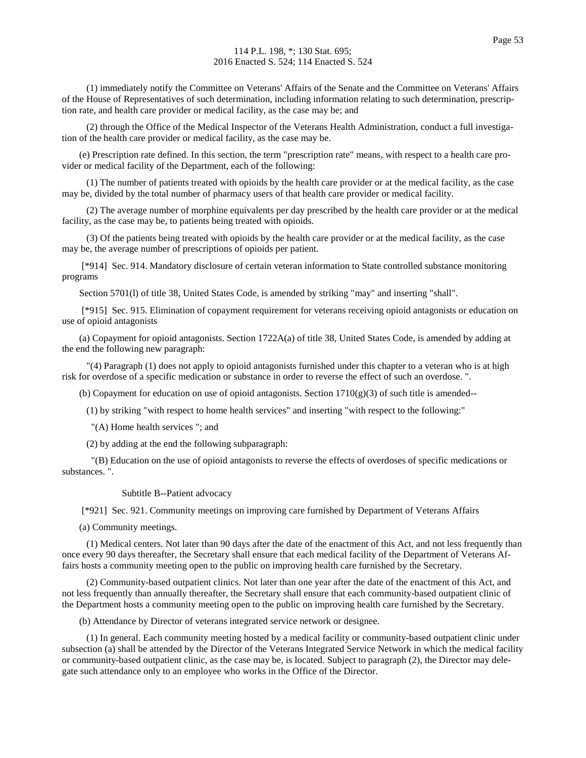(1) immediately notify the Committee on Veterans' Affairs of the Senate and the Committee on Veterans' Affairs of the House of Representatives of such determination, including information relating to such determination, prescription rate, and health care provider or medical facility, as the case may be; and

 (2) through the Office of the Medical Inspector of the Veterans Health Administration, conduct a full investigation of the health care provider or medical facility, as the case may be.

(e) Prescription rate defined. In this section, the term "prescription rate" means, with respect to a health care provider or medical facility of the Department, each of the following:

 (1) The number of patients treated with opioids by the health care provider or at the medical facility, as the case may be, divided by the total number of pharmacy users of that health care provider or medical facility.

 (2) The average number of morphine equivalents per day prescribed by the health care provider or at the medical facility, as the case may be, to patients being treated with opioids.

 (3) Of the patients being treated with opioids by the health care provider or at the medical facility, as the case may be, the average number of prescriptions of opioids per patient.

[\*914] Sec. 914. Mandatory disclosure of certain veteran information to State controlled substance monitoring programs

Section 5701(l) of title 38, United States Code, is amended by striking "may" and inserting "shall".

[\*915] Sec. 915. Elimination of copayment requirement for veterans receiving opioid antagonists or education on use of opioid antagonists

(a) Copayment for opioid antagonists. Section 1722A(a) of title 38, United States Code, is amended by adding at the end the following new paragraph:

 "(4) Paragraph (1) does not apply to opioid antagonists furnished under this chapter to a veteran who is at high risk for overdose of a specific medication or substance in order to reverse the effect of such an overdose. ".

(b) Copayment for education on use of opioid antagonists. Section  $1710(g)(3)$  of such title is amended--

(1) by striking "with respect to home health services" and inserting "with respect to the following:"

"(A) Home health services "; and

(2) by adding at the end the following subparagraph:

 "(B) Education on the use of opioid antagonists to reverse the effects of overdoses of specific medications or substances. ".

Subtitle B--Patient advocacy

[\*921] Sec. 921. Community meetings on improving care furnished by Department of Veterans Affairs

(a) Community meetings.

 (1) Medical centers. Not later than 90 days after the date of the enactment of this Act, and not less frequently than once every 90 days thereafter, the Secretary shall ensure that each medical facility of the Department of Veterans Affairs hosts a community meeting open to the public on improving health care furnished by the Secretary.

 (2) Community-based outpatient clinics. Not later than one year after the date of the enactment of this Act, and not less frequently than annually thereafter, the Secretary shall ensure that each community-based outpatient clinic of the Department hosts a community meeting open to the public on improving health care furnished by the Secretary.

(b) Attendance by Director of veterans integrated service network or designee.

 (1) In general. Each community meeting hosted by a medical facility or community-based outpatient clinic under subsection (a) shall be attended by the Director of the Veterans Integrated Service Network in which the medical facility or community-based outpatient clinic, as the case may be, is located. Subject to paragraph (2), the Director may delegate such attendance only to an employee who works in the Office of the Director.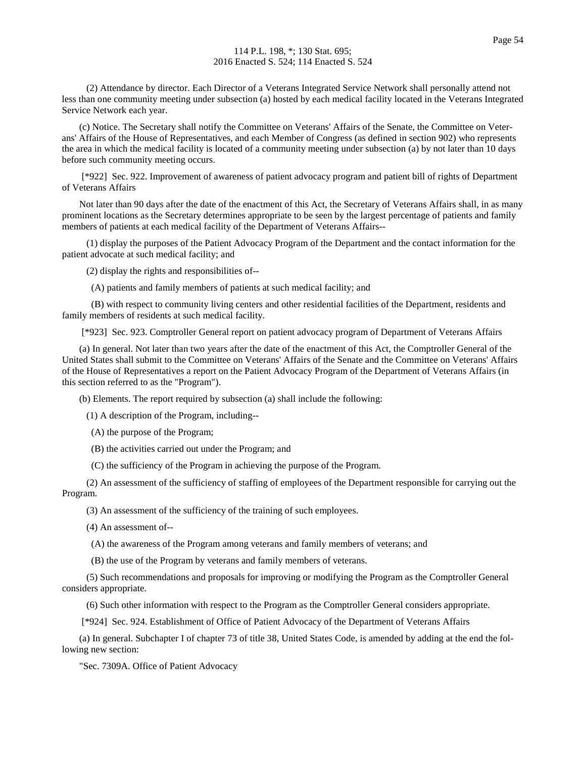(2) Attendance by director. Each Director of a Veterans Integrated Service Network shall personally attend not less than one community meeting under subsection (a) hosted by each medical facility located in the Veterans Integrated Service Network each year.

(c) Notice. The Secretary shall notify the Committee on Veterans' Affairs of the Senate, the Committee on Veterans' Affairs of the House of Representatives, and each Member of Congress (as defined in section 902) who represents the area in which the medical facility is located of a community meeting under subsection (a) by not later than 10 days before such community meeting occurs.

[\*922] Sec. 922. Improvement of awareness of patient advocacy program and patient bill of rights of Department of Veterans Affairs

Not later than 90 days after the date of the enactment of this Act, the Secretary of Veterans Affairs shall, in as many prominent locations as the Secretary determines appropriate to be seen by the largest percentage of patients and family members of patients at each medical facility of the Department of Veterans Affairs--

 (1) display the purposes of the Patient Advocacy Program of the Department and the contact information for the patient advocate at such medical facility; and

(2) display the rights and responsibilities of--

(A) patients and family members of patients at such medical facility; and

 (B) with respect to community living centers and other residential facilities of the Department, residents and family members of residents at such medical facility.

[\*923] Sec. 923. Comptroller General report on patient advocacy program of Department of Veterans Affairs

(a) In general. Not later than two years after the date of the enactment of this Act, the Comptroller General of the United States shall submit to the Committee on Veterans' Affairs of the Senate and the Committee on Veterans' Affairs of the House of Representatives a report on the Patient Advocacy Program of the Department of Veterans Affairs (in this section referred to as the "Program").

(b) Elements. The report required by subsection (a) shall include the following:

(1) A description of the Program, including--

(A) the purpose of the Program;

(B) the activities carried out under the Program; and

(C) the sufficiency of the Program in achieving the purpose of the Program.

 (2) An assessment of the sufficiency of staffing of employees of the Department responsible for carrying out the Program.

(3) An assessment of the sufficiency of the training of such employees.

(4) An assessment of--

(A) the awareness of the Program among veterans and family members of veterans; and

(B) the use of the Program by veterans and family members of veterans.

 (5) Such recommendations and proposals for improving or modifying the Program as the Comptroller General considers appropriate.

(6) Such other information with respect to the Program as the Comptroller General considers appropriate.

[\*924] Sec. 924. Establishment of Office of Patient Advocacy of the Department of Veterans Affairs

(a) In general. Subchapter I of chapter 73 of title 38, United States Code, is amended by adding at the end the following new section:

"Sec. 7309A. Office of Patient Advocacy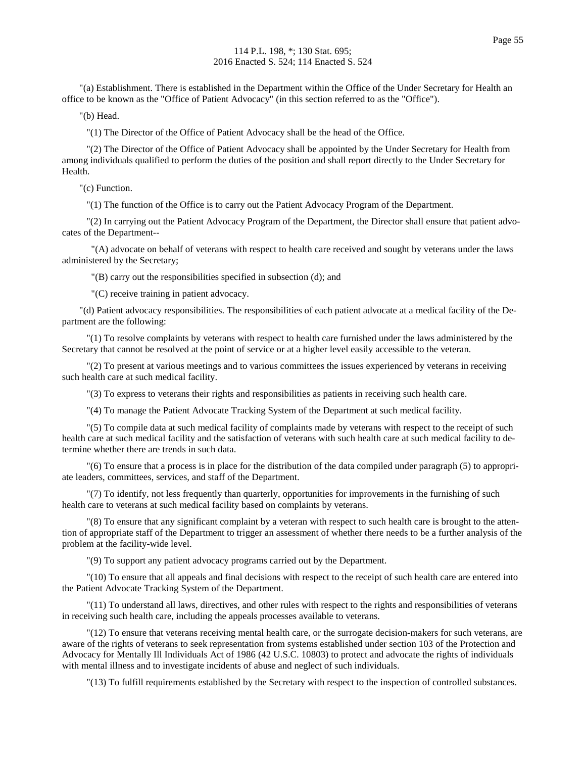"(a) Establishment. There is established in the Department within the Office of the Under Secretary for Health an office to be known as the "Office of Patient Advocacy" (in this section referred to as the "Office").

"(b) Head.

"(1) The Director of the Office of Patient Advocacy shall be the head of the Office.

 "(2) The Director of the Office of Patient Advocacy shall be appointed by the Under Secretary for Health from among individuals qualified to perform the duties of the position and shall report directly to the Under Secretary for Health.

"(c) Function.

"(1) The function of the Office is to carry out the Patient Advocacy Program of the Department.

 "(2) In carrying out the Patient Advocacy Program of the Department, the Director shall ensure that patient advocates of the Department--

 "(A) advocate on behalf of veterans with respect to health care received and sought by veterans under the laws administered by the Secretary;

"(B) carry out the responsibilities specified in subsection (d); and

"(C) receive training in patient advocacy.

"(d) Patient advocacy responsibilities. The responsibilities of each patient advocate at a medical facility of the Department are the following:

 "(1) To resolve complaints by veterans with respect to health care furnished under the laws administered by the Secretary that cannot be resolved at the point of service or at a higher level easily accessible to the veteran.

 "(2) To present at various meetings and to various committees the issues experienced by veterans in receiving such health care at such medical facility.

"(3) To express to veterans their rights and responsibilities as patients in receiving such health care.

"(4) To manage the Patient Advocate Tracking System of the Department at such medical facility.

 "(5) To compile data at such medical facility of complaints made by veterans with respect to the receipt of such health care at such medical facility and the satisfaction of veterans with such health care at such medical facility to determine whether there are trends in such data.

 "(6) To ensure that a process is in place for the distribution of the data compiled under paragraph (5) to appropriate leaders, committees, services, and staff of the Department.

 "(7) To identify, not less frequently than quarterly, opportunities for improvements in the furnishing of such health care to veterans at such medical facility based on complaints by veterans.

 "(8) To ensure that any significant complaint by a veteran with respect to such health care is brought to the attention of appropriate staff of the Department to trigger an assessment of whether there needs to be a further analysis of the problem at the facility-wide level.

"(9) To support any patient advocacy programs carried out by the Department.

 "(10) To ensure that all appeals and final decisions with respect to the receipt of such health care are entered into the Patient Advocate Tracking System of the Department.

 "(11) To understand all laws, directives, and other rules with respect to the rights and responsibilities of veterans in receiving such health care, including the appeals processes available to veterans.

 "(12) To ensure that veterans receiving mental health care, or the surrogate decision-makers for such veterans, are aware of the rights of veterans to seek representation from systems established under section 103 of the Protection and Advocacy for Mentally Ill Individuals Act of 1986 (42 U.S.C. 10803) to protect and advocate the rights of individuals with mental illness and to investigate incidents of abuse and neglect of such individuals.

"(13) To fulfill requirements established by the Secretary with respect to the inspection of controlled substances.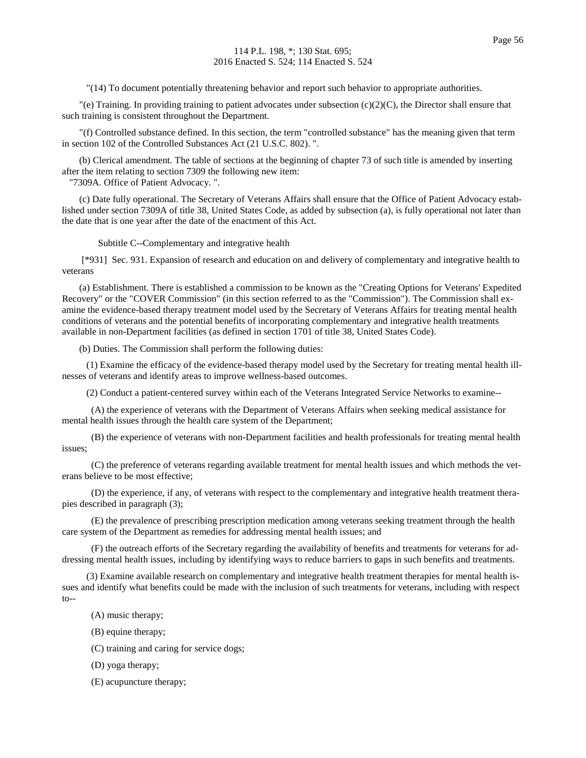"(14) To document potentially threatening behavior and report such behavior to appropriate authorities.

 $\mathcal{C}(e)$  Training. In providing training to patient advocates under subsection  $(c)(2)(C)$ , the Director shall ensure that such training is consistent throughout the Department.

"(f) Controlled substance defined. In this section, the term "controlled substance" has the meaning given that term in section 102 of the Controlled Substances Act (21 U.S.C. 802). ".

(b) Clerical amendment. The table of sections at the beginning of chapter 73 of such title is amended by inserting after the item relating to section 7309 the following new item:

"7309A. Office of Patient Advocacy. ".

(c) Date fully operational. The Secretary of Veterans Affairs shall ensure that the Office of Patient Advocacy established under section 7309A of title 38, United States Code, as added by subsection (a), is fully operational not later than the date that is one year after the date of the enactment of this Act.

Subtitle C--Complementary and integrative health

[\*931] Sec. 931. Expansion of research and education on and delivery of complementary and integrative health to veterans

(a) Establishment. There is established a commission to be known as the "Creating Options for Veterans' Expedited Recovery" or the "COVER Commission" (in this section referred to as the "Commission"). The Commission shall examine the evidence-based therapy treatment model used by the Secretary of Veterans Affairs for treating mental health conditions of veterans and the potential benefits of incorporating complementary and integrative health treatments available in non-Department facilities (as defined in section 1701 of title 38, United States Code).

(b) Duties. The Commission shall perform the following duties:

 (1) Examine the efficacy of the evidence-based therapy model used by the Secretary for treating mental health illnesses of veterans and identify areas to improve wellness-based outcomes.

(2) Conduct a patient-centered survey within each of the Veterans Integrated Service Networks to examine--

 (A) the experience of veterans with the Department of Veterans Affairs when seeking medical assistance for mental health issues through the health care system of the Department;

 (B) the experience of veterans with non-Department facilities and health professionals for treating mental health issues;

 (C) the preference of veterans regarding available treatment for mental health issues and which methods the veterans believe to be most effective;

 (D) the experience, if any, of veterans with respect to the complementary and integrative health treatment therapies described in paragraph (3);

 (E) the prevalence of prescribing prescription medication among veterans seeking treatment through the health care system of the Department as remedies for addressing mental health issues; and

 (F) the outreach efforts of the Secretary regarding the availability of benefits and treatments for veterans for addressing mental health issues, including by identifying ways to reduce barriers to gaps in such benefits and treatments.

 (3) Examine available research on complementary and integrative health treatment therapies for mental health issues and identify what benefits could be made with the inclusion of such treatments for veterans, including with respect  $to--$ 

(A) music therapy;

(B) equine therapy;

(C) training and caring for service dogs;

(D) yoga therapy;

(E) acupuncture therapy;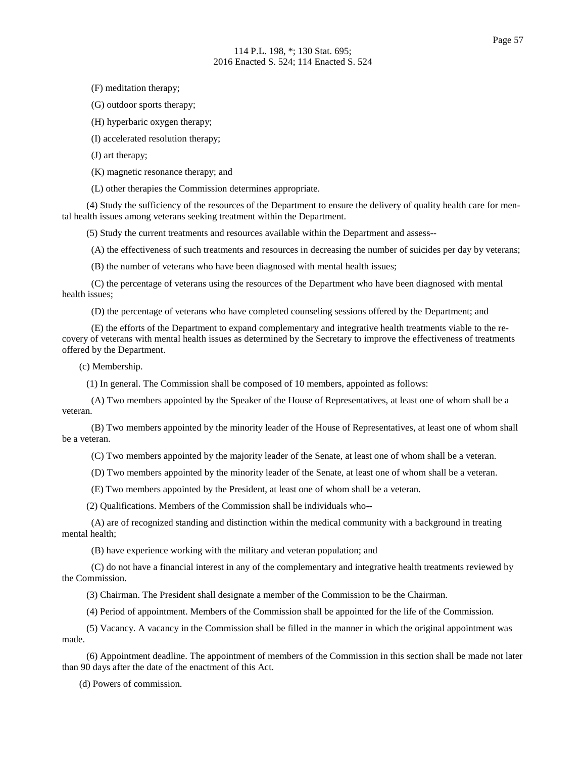(F) meditation therapy;

(G) outdoor sports therapy;

(H) hyperbaric oxygen therapy;

(I) accelerated resolution therapy;

(J) art therapy;

(K) magnetic resonance therapy; and

(L) other therapies the Commission determines appropriate.

 (4) Study the sufficiency of the resources of the Department to ensure the delivery of quality health care for mental health issues among veterans seeking treatment within the Department.

(5) Study the current treatments and resources available within the Department and assess--

(A) the effectiveness of such treatments and resources in decreasing the number of suicides per day by veterans;

(B) the number of veterans who have been diagnosed with mental health issues;

 (C) the percentage of veterans using the resources of the Department who have been diagnosed with mental health issues;

(D) the percentage of veterans who have completed counseling sessions offered by the Department; and

 (E) the efforts of the Department to expand complementary and integrative health treatments viable to the recovery of veterans with mental health issues as determined by the Secretary to improve the effectiveness of treatments offered by the Department.

(c) Membership.

(1) In general. The Commission shall be composed of 10 members, appointed as follows:

 (A) Two members appointed by the Speaker of the House of Representatives, at least one of whom shall be a veteran.

 (B) Two members appointed by the minority leader of the House of Representatives, at least one of whom shall be a veteran.

(C) Two members appointed by the majority leader of the Senate, at least one of whom shall be a veteran.

(D) Two members appointed by the minority leader of the Senate, at least one of whom shall be a veteran.

(E) Two members appointed by the President, at least one of whom shall be a veteran.

(2) Qualifications. Members of the Commission shall be individuals who--

 (A) are of recognized standing and distinction within the medical community with a background in treating mental health;

(B) have experience working with the military and veteran population; and

 (C) do not have a financial interest in any of the complementary and integrative health treatments reviewed by the Commission.

(3) Chairman. The President shall designate a member of the Commission to be the Chairman.

(4) Period of appointment. Members of the Commission shall be appointed for the life of the Commission.

 (5) Vacancy. A vacancy in the Commission shall be filled in the manner in which the original appointment was made.

 (6) Appointment deadline. The appointment of members of the Commission in this section shall be made not later than 90 days after the date of the enactment of this Act.

(d) Powers of commission.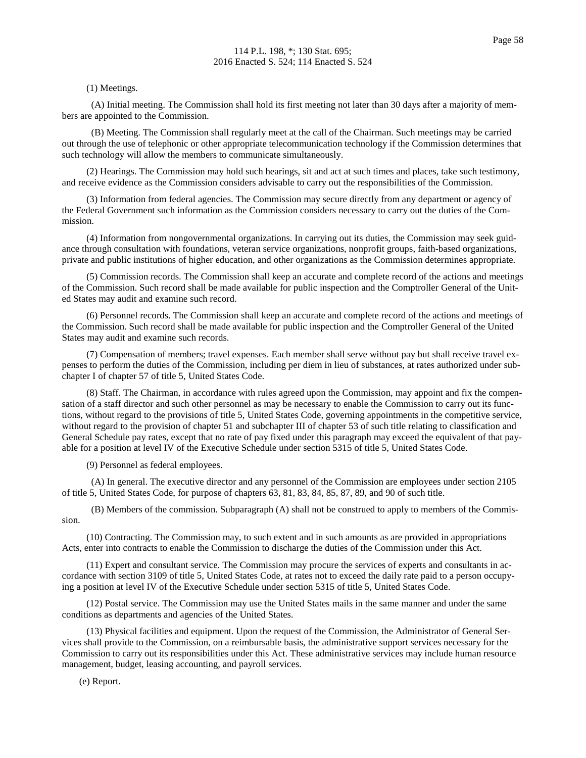(1) Meetings.

 (A) Initial meeting. The Commission shall hold its first meeting not later than 30 days after a majority of members are appointed to the Commission.

 (B) Meeting. The Commission shall regularly meet at the call of the Chairman. Such meetings may be carried out through the use of telephonic or other appropriate telecommunication technology if the Commission determines that such technology will allow the members to communicate simultaneously.

 (2) Hearings. The Commission may hold such hearings, sit and act at such times and places, take such testimony, and receive evidence as the Commission considers advisable to carry out the responsibilities of the Commission.

 (3) Information from federal agencies. The Commission may secure directly from any department or agency of the Federal Government such information as the Commission considers necessary to carry out the duties of the Commission.

 (4) Information from nongovernmental organizations. In carrying out its duties, the Commission may seek guidance through consultation with foundations, veteran service organizations, nonprofit groups, faith-based organizations, private and public institutions of higher education, and other organizations as the Commission determines appropriate.

 (5) Commission records. The Commission shall keep an accurate and complete record of the actions and meetings of the Commission. Such record shall be made available for public inspection and the Comptroller General of the United States may audit and examine such record.

 (6) Personnel records. The Commission shall keep an accurate and complete record of the actions and meetings of the Commission. Such record shall be made available for public inspection and the Comptroller General of the United States may audit and examine such records.

 (7) Compensation of members; travel expenses. Each member shall serve without pay but shall receive travel expenses to perform the duties of the Commission, including per diem in lieu of substances, at rates authorized under subchapter I of chapter 57 of title 5, United States Code.

 (8) Staff. The Chairman, in accordance with rules agreed upon the Commission, may appoint and fix the compensation of a staff director and such other personnel as may be necessary to enable the Commission to carry out its functions, without regard to the provisions of title 5, United States Code, governing appointments in the competitive service, without regard to the provision of chapter 51 and subchapter III of chapter 53 of such title relating to classification and General Schedule pay rates, except that no rate of pay fixed under this paragraph may exceed the equivalent of that payable for a position at level IV of the Executive Schedule under section 5315 of title 5, United States Code.

(9) Personnel as federal employees.

 (A) In general. The executive director and any personnel of the Commission are employees under section 2105 of title 5, United States Code, for purpose of chapters 63, 81, 83, 84, 85, 87, 89, and 90 of such title.

 (B) Members of the commission. Subparagraph (A) shall not be construed to apply to members of the Commission.

 (10) Contracting. The Commission may, to such extent and in such amounts as are provided in appropriations Acts, enter into contracts to enable the Commission to discharge the duties of the Commission under this Act.

 (11) Expert and consultant service. The Commission may procure the services of experts and consultants in accordance with section 3109 of title 5, United States Code, at rates not to exceed the daily rate paid to a person occupying a position at level IV of the Executive Schedule under section 5315 of title 5, United States Code.

 (12) Postal service. The Commission may use the United States mails in the same manner and under the same conditions as departments and agencies of the United States.

 (13) Physical facilities and equipment. Upon the request of the Commission, the Administrator of General Services shall provide to the Commission, on a reimbursable basis, the administrative support services necessary for the Commission to carry out its responsibilities under this Act. These administrative services may include human resource management, budget, leasing accounting, and payroll services.

(e) Report.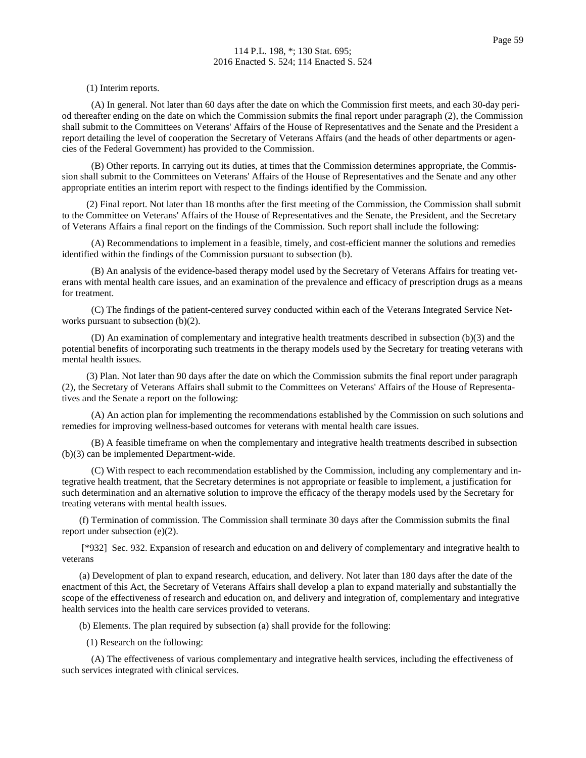(1) Interim reports.

 (A) In general. Not later than 60 days after the date on which the Commission first meets, and each 30-day period thereafter ending on the date on which the Commission submits the final report under paragraph (2), the Commission shall submit to the Committees on Veterans' Affairs of the House of Representatives and the Senate and the President a report detailing the level of cooperation the Secretary of Veterans Affairs (and the heads of other departments or agencies of the Federal Government) has provided to the Commission.

 (B) Other reports. In carrying out its duties, at times that the Commission determines appropriate, the Commission shall submit to the Committees on Veterans' Affairs of the House of Representatives and the Senate and any other appropriate entities an interim report with respect to the findings identified by the Commission.

 (2) Final report. Not later than 18 months after the first meeting of the Commission, the Commission shall submit to the Committee on Veterans' Affairs of the House of Representatives and the Senate, the President, and the Secretary of Veterans Affairs a final report on the findings of the Commission. Such report shall include the following:

 (A) Recommendations to implement in a feasible, timely, and cost-efficient manner the solutions and remedies identified within the findings of the Commission pursuant to subsection (b).

 (B) An analysis of the evidence-based therapy model used by the Secretary of Veterans Affairs for treating veterans with mental health care issues, and an examination of the prevalence and efficacy of prescription drugs as a means for treatment.

 (C) The findings of the patient-centered survey conducted within each of the Veterans Integrated Service Networks pursuant to subsection (b)(2).

 (D) An examination of complementary and integrative health treatments described in subsection (b)(3) and the potential benefits of incorporating such treatments in the therapy models used by the Secretary for treating veterans with mental health issues.

 (3) Plan. Not later than 90 days after the date on which the Commission submits the final report under paragraph (2), the Secretary of Veterans Affairs shall submit to the Committees on Veterans' Affairs of the House of Representatives and the Senate a report on the following:

 (A) An action plan for implementing the recommendations established by the Commission on such solutions and remedies for improving wellness-based outcomes for veterans with mental health care issues.

 (B) A feasible timeframe on when the complementary and integrative health treatments described in subsection (b)(3) can be implemented Department-wide.

 (C) With respect to each recommendation established by the Commission, including any complementary and integrative health treatment, that the Secretary determines is not appropriate or feasible to implement, a justification for such determination and an alternative solution to improve the efficacy of the therapy models used by the Secretary for treating veterans with mental health issues.

(f) Termination of commission. The Commission shall terminate 30 days after the Commission submits the final report under subsection (e)(2).

[\*932] Sec. 932. Expansion of research and education on and delivery of complementary and integrative health to veterans

(a) Development of plan to expand research, education, and delivery. Not later than 180 days after the date of the enactment of this Act, the Secretary of Veterans Affairs shall develop a plan to expand materially and substantially the scope of the effectiveness of research and education on, and delivery and integration of, complementary and integrative health services into the health care services provided to veterans.

(b) Elements. The plan required by subsection (a) shall provide for the following:

(1) Research on the following:

 (A) The effectiveness of various complementary and integrative health services, including the effectiveness of such services integrated with clinical services.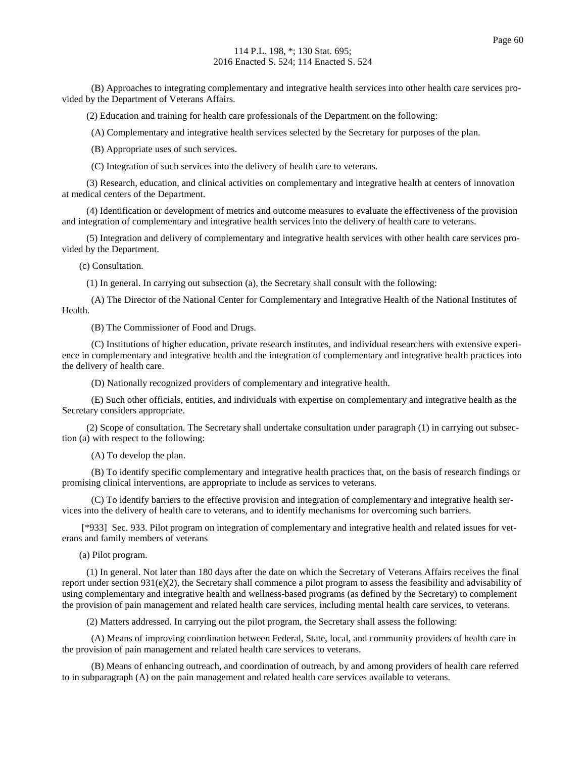#### Page 60

## 114 P.L. 198, \*; 130 Stat. 695; 2016 Enacted S. 524; 114 Enacted S. 524

 (B) Approaches to integrating complementary and integrative health services into other health care services provided by the Department of Veterans Affairs.

(2) Education and training for health care professionals of the Department on the following:

(A) Complementary and integrative health services selected by the Secretary for purposes of the plan.

(B) Appropriate uses of such services.

(C) Integration of such services into the delivery of health care to veterans.

 (3) Research, education, and clinical activities on complementary and integrative health at centers of innovation at medical centers of the Department.

 (4) Identification or development of metrics and outcome measures to evaluate the effectiveness of the provision and integration of complementary and integrative health services into the delivery of health care to veterans.

 (5) Integration and delivery of complementary and integrative health services with other health care services provided by the Department.

(c) Consultation.

(1) In general. In carrying out subsection (a), the Secretary shall consult with the following:

 (A) The Director of the National Center for Complementary and Integrative Health of the National Institutes of Health.

(B) The Commissioner of Food and Drugs.

 (C) Institutions of higher education, private research institutes, and individual researchers with extensive experience in complementary and integrative health and the integration of complementary and integrative health practices into the delivery of health care.

(D) Nationally recognized providers of complementary and integrative health.

 (E) Such other officials, entities, and individuals with expertise on complementary and integrative health as the Secretary considers appropriate.

 (2) Scope of consultation. The Secretary shall undertake consultation under paragraph (1) in carrying out subsection (a) with respect to the following:

(A) To develop the plan.

 (B) To identify specific complementary and integrative health practices that, on the basis of research findings or promising clinical interventions, are appropriate to include as services to veterans.

 (C) To identify barriers to the effective provision and integration of complementary and integrative health services into the delivery of health care to veterans, and to identify mechanisms for overcoming such barriers.

[\*933] Sec. 933. Pilot program on integration of complementary and integrative health and related issues for veterans and family members of veterans

(a) Pilot program.

 (1) In general. Not later than 180 days after the date on which the Secretary of Veterans Affairs receives the final report under section 931(e)(2), the Secretary shall commence a pilot program to assess the feasibility and advisability of using complementary and integrative health and wellness-based programs (as defined by the Secretary) to complement the provision of pain management and related health care services, including mental health care services, to veterans.

(2) Matters addressed. In carrying out the pilot program, the Secretary shall assess the following:

 (A) Means of improving coordination between Federal, State, local, and community providers of health care in the provision of pain management and related health care services to veterans.

 (B) Means of enhancing outreach, and coordination of outreach, by and among providers of health care referred to in subparagraph (A) on the pain management and related health care services available to veterans.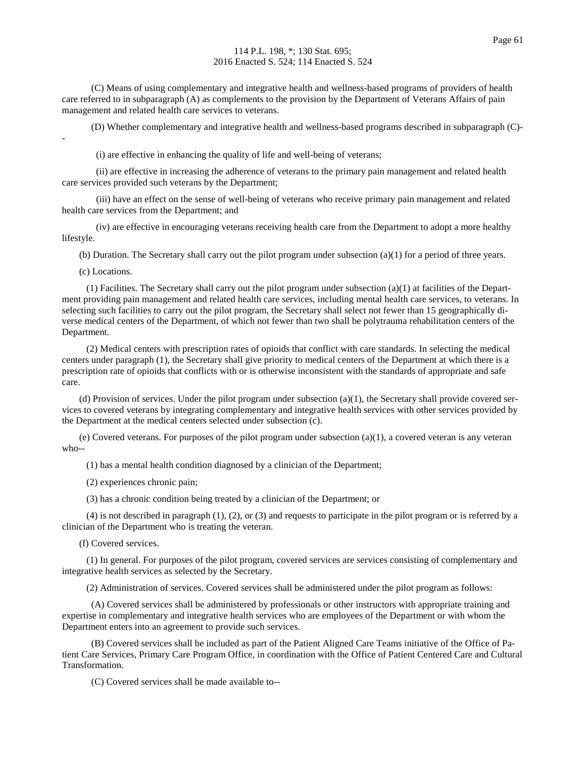(C) Means of using complementary and integrative health and wellness-based programs of providers of health care referred to in subparagraph (A) as complements to the provision by the Department of Veterans Affairs of pain management and related health care services to veterans.

(D) Whether complementary and integrative health and wellness-based programs described in subparagraph (C)-

(i) are effective in enhancing the quality of life and well-being of veterans;

 (ii) are effective in increasing the adherence of veterans to the primary pain management and related health care services provided such veterans by the Department;

 (iii) have an effect on the sense of well-being of veterans who receive primary pain management and related health care services from the Department; and

 (iv) are effective in encouraging veterans receiving health care from the Department to adopt a more healthy lifestyle.

(b) Duration. The Secretary shall carry out the pilot program under subsection (a)(1) for a period of three years.

(c) Locations.

-

(1) Facilities. The Secretary shall carry out the pilot program under subsection  $(a)(1)$  at facilities of the Department providing pain management and related health care services, including mental health care services, to veterans. In selecting such facilities to carry out the pilot program, the Secretary shall select not fewer than 15 geographically diverse medical centers of the Department, of which not fewer than two shall be polytrauma rehabilitation centers of the Department.

 (2) Medical centers with prescription rates of opioids that conflict with care standards. In selecting the medical centers under paragraph (1), the Secretary shall give priority to medical centers of the Department at which there is a prescription rate of opioids that conflicts with or is otherwise inconsistent with the standards of appropriate and safe care.

(d) Provision of services. Under the pilot program under subsection  $(a)(1)$ , the Secretary shall provide covered services to covered veterans by integrating complementary and integrative health services with other services provided by the Department at the medical centers selected under subsection (c).

(e) Covered veterans. For purposes of the pilot program under subsection (a)(1), a covered veteran is any veteran who--

(1) has a mental health condition diagnosed by a clinician of the Department;

(2) experiences chronic pain;

(3) has a chronic condition being treated by a clinician of the Department; or

 (4) is not described in paragraph (1), (2), or (3) and requests to participate in the pilot program or is referred by a clinician of the Department who is treating the veteran.

(f) Covered services.

 (1) In general. For purposes of the pilot program, covered services are services consisting of complementary and integrative health services as selected by the Secretary.

(2) Administration of services. Covered services shall be administered under the pilot program as follows:

 (A) Covered services shall be administered by professionals or other instructors with appropriate training and expertise in complementary and integrative health services who are employees of the Department or with whom the Department enters into an agreement to provide such services.

 (B) Covered services shall be included as part of the Patient Aligned Care Teams initiative of the Office of Patient Care Services, Primary Care Program Office, in coordination with the Office of Patient Centered Care and Cultural Transformation.

(C) Covered services shall be made available to--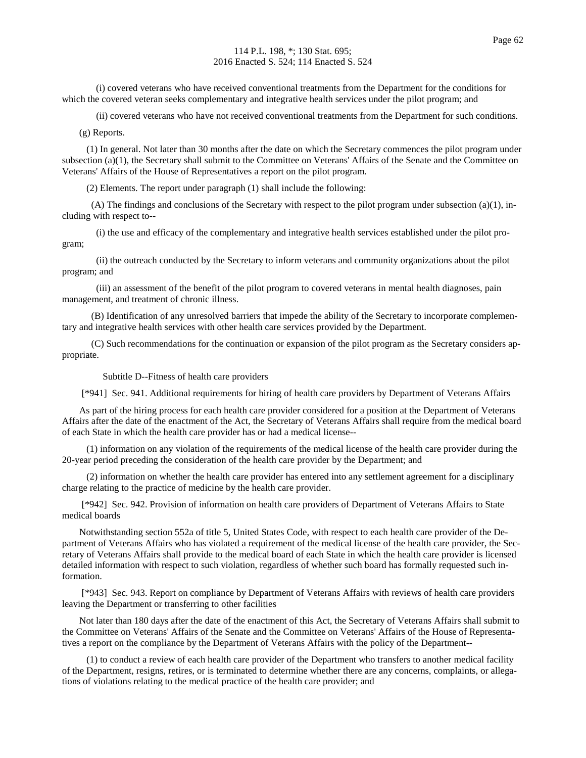(i) covered veterans who have received conventional treatments from the Department for the conditions for which the covered veteran seeks complementary and integrative health services under the pilot program; and

(ii) covered veterans who have not received conventional treatments from the Department for such conditions.

(g) Reports.

 (1) In general. Not later than 30 months after the date on which the Secretary commences the pilot program under subsection (a)(1), the Secretary shall submit to the Committee on Veterans' Affairs of the Senate and the Committee on Veterans' Affairs of the House of Representatives a report on the pilot program.

(2) Elements. The report under paragraph (1) shall include the following:

(A) The findings and conclusions of the Secretary with respect to the pilot program under subsection (a)(1), including with respect to--

 (i) the use and efficacy of the complementary and integrative health services established under the pilot program;

 (ii) the outreach conducted by the Secretary to inform veterans and community organizations about the pilot program; and

 (iii) an assessment of the benefit of the pilot program to covered veterans in mental health diagnoses, pain management, and treatment of chronic illness.

 (B) Identification of any unresolved barriers that impede the ability of the Secretary to incorporate complementary and integrative health services with other health care services provided by the Department.

 (C) Such recommendations for the continuation or expansion of the pilot program as the Secretary considers appropriate.

Subtitle D--Fitness of health care providers

[\*941] Sec. 941. Additional requirements for hiring of health care providers by Department of Veterans Affairs

As part of the hiring process for each health care provider considered for a position at the Department of Veterans Affairs after the date of the enactment of the Act, the Secretary of Veterans Affairs shall require from the medical board of each State in which the health care provider has or had a medical license--

 (1) information on any violation of the requirements of the medical license of the health care provider during the 20-year period preceding the consideration of the health care provider by the Department; and

 (2) information on whether the health care provider has entered into any settlement agreement for a disciplinary charge relating to the practice of medicine by the health care provider.

[\*942] Sec. 942. Provision of information on health care providers of Department of Veterans Affairs to State medical boards

Notwithstanding section 552a of title 5, United States Code, with respect to each health care provider of the Department of Veterans Affairs who has violated a requirement of the medical license of the health care provider, the Secretary of Veterans Affairs shall provide to the medical board of each State in which the health care provider is licensed detailed information with respect to such violation, regardless of whether such board has formally requested such information.

[\*943] Sec. 943. Report on compliance by Department of Veterans Affairs with reviews of health care providers leaving the Department or transferring to other facilities

Not later than 180 days after the date of the enactment of this Act, the Secretary of Veterans Affairs shall submit to the Committee on Veterans' Affairs of the Senate and the Committee on Veterans' Affairs of the House of Representatives a report on the compliance by the Department of Veterans Affairs with the policy of the Department--

 (1) to conduct a review of each health care provider of the Department who transfers to another medical facility of the Department, resigns, retires, or is terminated to determine whether there are any concerns, complaints, or allegations of violations relating to the medical practice of the health care provider; and